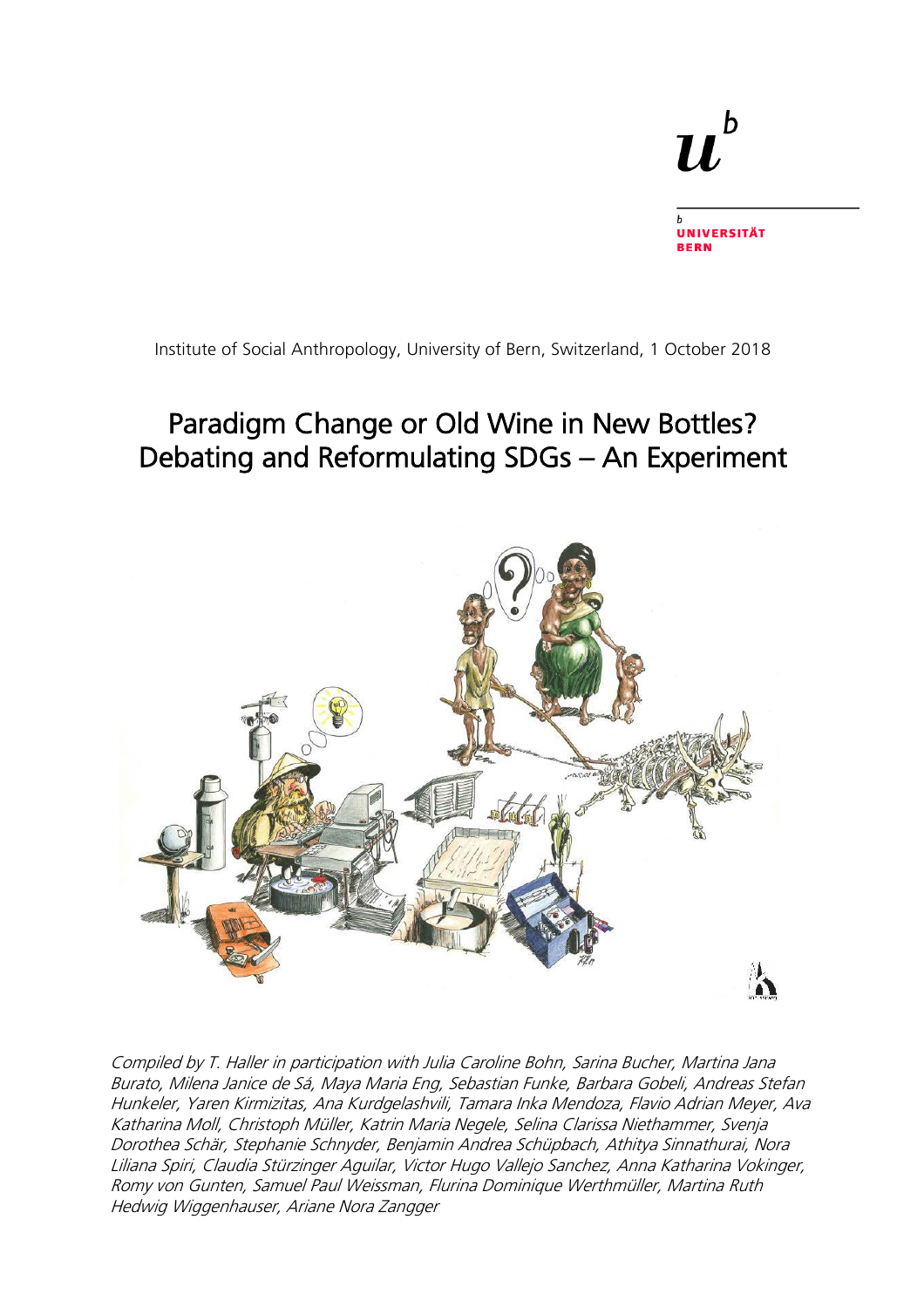# $\mathbf b$  $\bm{u}$

**UNIVERSITÄT BERN** 

Institute of Social Anthropology, University of Bern, Switzerland, 1 October 2018

## Paradigm Change or Old Wine in New Bottles? Debating and Reformulating SDGs – An Experiment



Compiled by T. Haller in participation with Julia Caroline Bohn, Sarina Bucher, Martina Jana Burato, Milena Janice de Sá, Maya Maria Eng, Sebastian Funke, Barbara Gobeli, Andreas Stefan Hunkeler, Yaren Kirmizitas, Ana Kurdgelashvili, Tamara Inka Mendoza, Flavio Adrian Meyer, Ava Katharina Moll, Christoph Müller, Katrin Maria Negele, Selina Clarissa Niethammer, Svenja Dorothea Schär, Stephanie Schnyder, Benjamin Andrea Schüpbach, Athitya Sinnathurai, Nora Liliana Spiri, Claudia Stürzinger Aguilar, Victor Hugo Vallejo Sanchez, Anna Katharina Vokinger, Romy von Gunten, Samuel Paul Weissman, Flurina Dominique Werthmüller, Martina Ruth Hedwig Wiggenhauser, Ariane Nora Zangger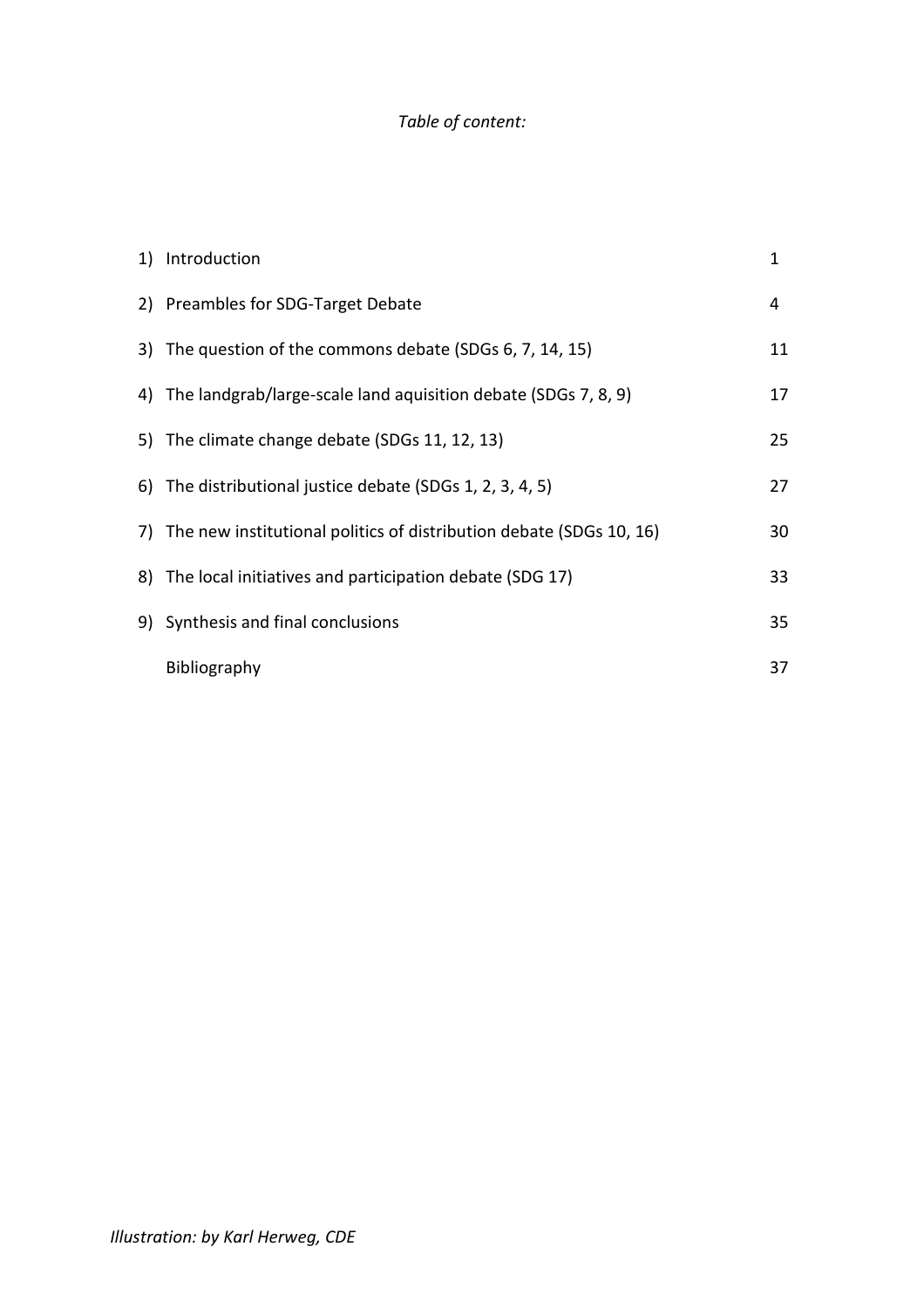## *Table of content:*

| 1) Introduction                                                        | $\mathbf{1}$ |
|------------------------------------------------------------------------|--------------|
| 2) Preambles for SDG-Target Debate                                     | 4            |
| 3) The question of the commons debate (SDGs 6, 7, 14, 15)              | 11           |
| 4) The landgrab/large-scale land aquisition debate (SDGs 7, 8, 9)      | 17           |
| 5) The climate change debate (SDGs 11, 12, 13)                         | 25           |
| 6) The distributional justice debate (SDGs 1, 2, 3, 4, 5)              | 27           |
| 7) The new institutional politics of distribution debate (SDGs 10, 16) | 30           |
| 8) The local initiatives and participation debate (SDG 17)             | 33           |
| 9) Synthesis and final conclusions                                     | 35           |
| Bibliography                                                           | 37           |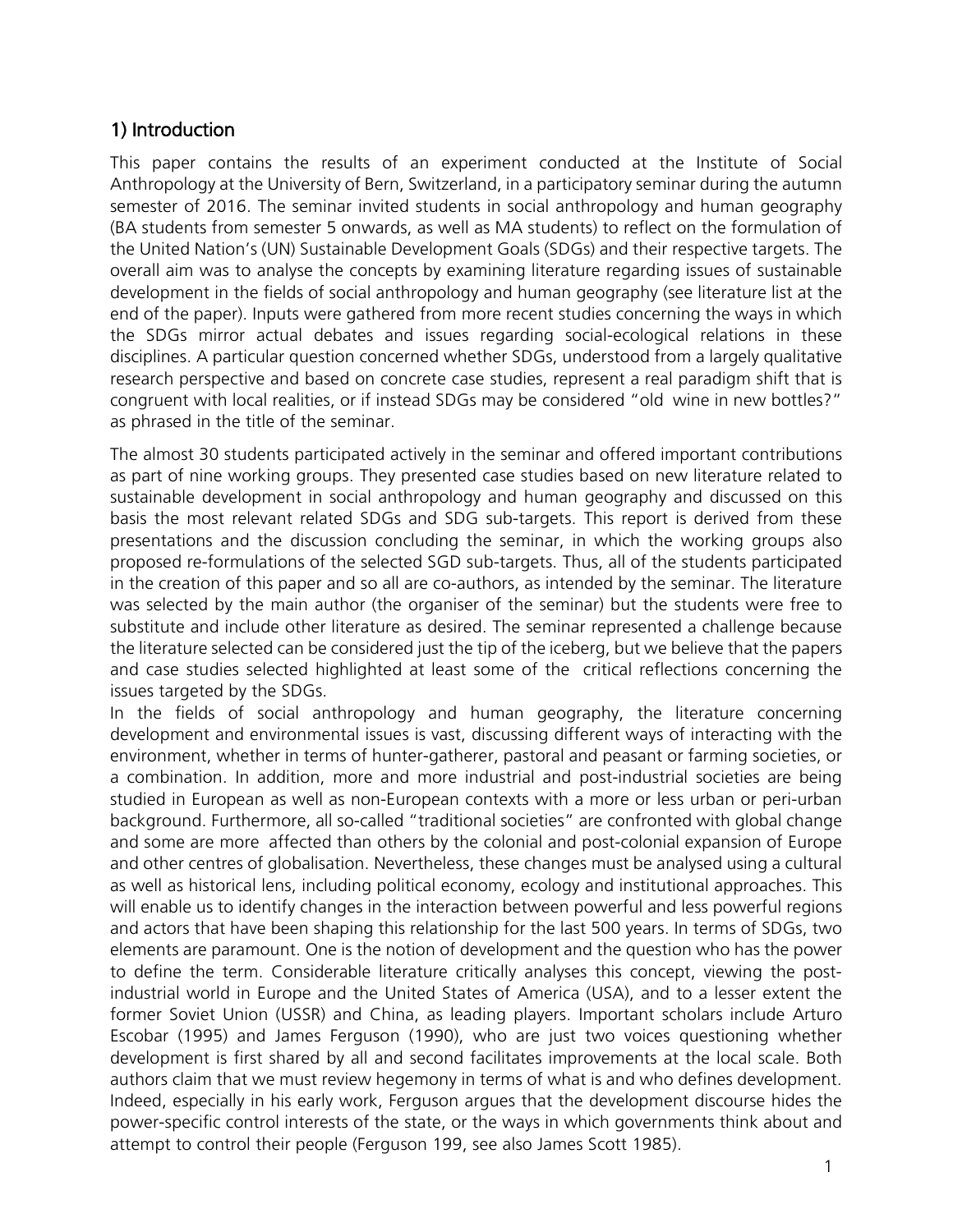## 1) Introduction

This paper contains the results of an experiment conducted at the Institute of Social Anthropology at the University of Bern, Switzerland, in a participatory seminar during the autumn semester of 2016. The seminar invited students in social anthropology and human geography (BA students from semester 5 onwards, as well as MA students) to reflect on the formulation of the United Nation's (UN) Sustainable Development Goals (SDGs) and their respective targets. The overall aim was to analyse the concepts by examining literature regarding issues of sustainable development in the fields of social anthropology and human geography (see literature list at the end of the paper). Inputs were gathered from more recent studies concerning the ways in which the SDGs mirror actual debates and issues regarding social-ecological relations in these disciplines. A particular question concerned whether SDGs, understood from a largely qualitative research perspective and based on concrete case studies, represent a real paradigm shift that is congruent with local realities, or if instead SDGs may be considered "old wine in new bottles?" as phrased in the title of the seminar.

The almost 30 students participated actively in the seminar and offered important contributions as part of nine working groups. They presented case studies based on new literature related to sustainable development in social anthropology and human geography and discussed on this basis the most relevant related SDGs and SDG sub-targets. This report is derived from these presentations and the discussion concluding the seminar, in which the working groups also proposed re-formulations of the selected SGD sub-targets. Thus, all of the students participated in the creation of this paper and so all are co-authors, as intended by the seminar. The literature was selected by the main author (the organiser of the seminar) but the students were free to substitute and include other literature as desired. The seminar represented a challenge because the literature selected can be considered just the tip of the iceberg, but we believe that the papers and case studies selected highlighted at least some of the critical reflections concerning the issues targeted by the SDGs.

In the fields of social anthropology and human geography, the literature concerning development and environmental issues is vast, discussing different ways of interacting with the environment, whether in terms of hunter-gatherer, pastoral and peasant or farming societies, or a combination. In addition, more and more industrial and post-industrial societies are being studied in European as well as non-European contexts with a more or less urban or peri-urban background. Furthermore, all so-called "traditional societies" are confronted with global change and some are more affected than others by the colonial and post-colonial expansion of Europe and other centres of globalisation. Nevertheless, these changes must be analysed using a cultural as well as historical lens, including political economy, ecology and institutional approaches. This will enable us to identify changes in the interaction between powerful and less powerful regions and actors that have been shaping this relationship for the last 500 years. In terms of SDGs, two elements are paramount. One is the notion of development and the question who has the power to define the term. Considerable literature critically analyses this concept, viewing the postindustrial world in Europe and the United States of America (USA), and to a lesser extent the former Soviet Union (USSR) and China, as leading players. Important scholars include Arturo Escobar (1995) and James Ferguson (1990), who are just two voices questioning whether development is first shared by all and second facilitates improvements at the local scale. Both authors claim that we must review hegemony in terms of what is and who defines development. Indeed, especially in his early work, Ferguson argues that the development discourse hides the power-specific control interests of the state, or the ways in which governments think about and attempt to control their people (Ferguson 199, see also James Scott 1985).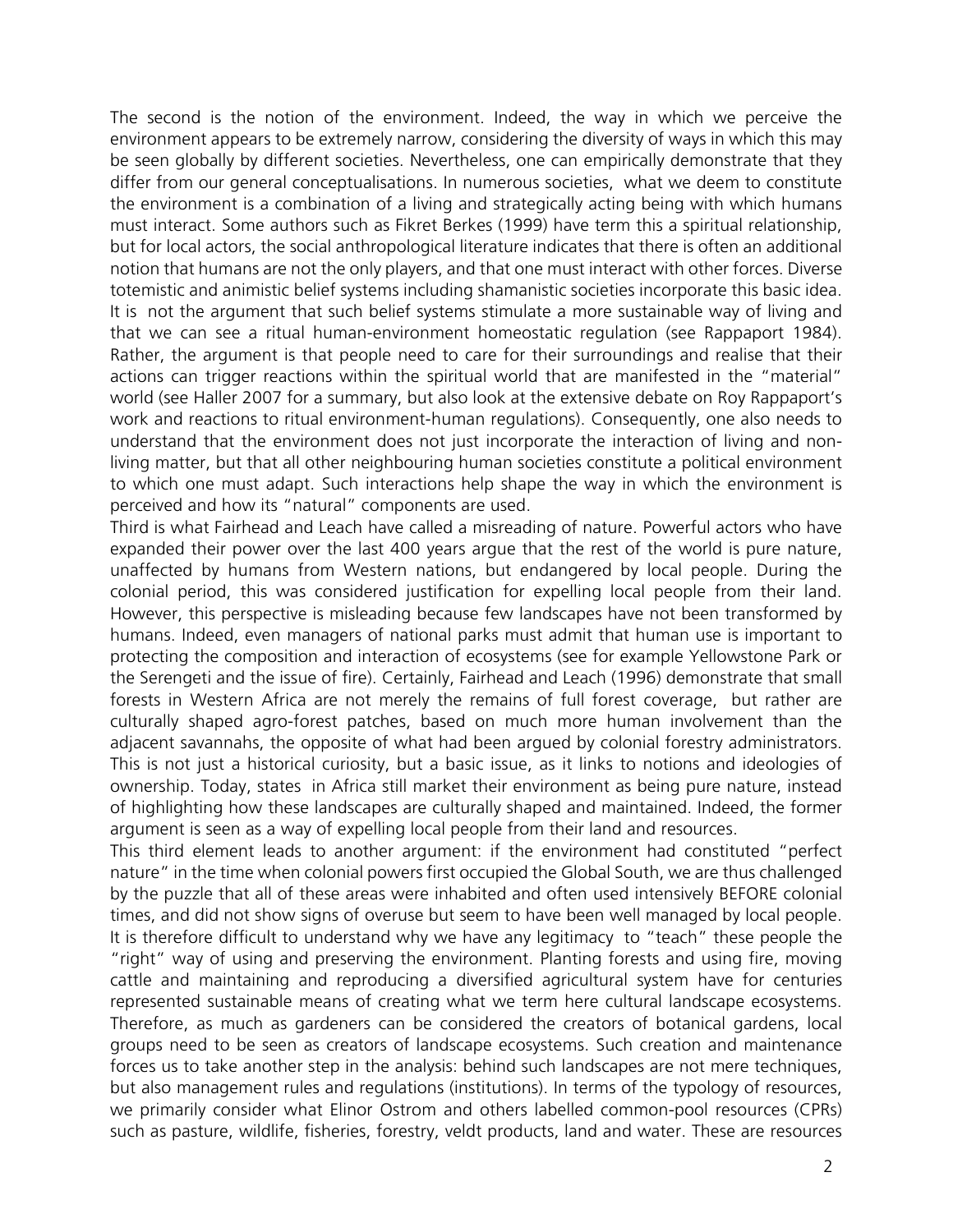The second is the notion of the environment. Indeed, the way in which we perceive the environment appears to be extremely narrow, considering the diversity of ways in which this may be seen globally by different societies. Nevertheless, one can empirically demonstrate that they differ from our general conceptualisations. In numerous societies, what we deem to constitute the environment is a combination of a living and strategically acting being with which humans must interact. Some authors such as Fikret Berkes (1999) have term this a spiritual relationship, but for local actors, the social anthropological literature indicates that there is often an additional notion that humans are not the only players, and that one must interact with other forces. Diverse totemistic and animistic belief systems including shamanistic societies incorporate this basic idea. It is not the argument that such belief systems stimulate a more sustainable way of living and that we can see a ritual human-environment homeostatic regulation (see Rappaport 1984). Rather, the argument is that people need to care for their surroundings and realise that their actions can trigger reactions within the spiritual world that are manifested in the "material" world (see Haller 2007 for a summary, but also look at the extensive debate on Roy Rappaport's work and reactions to ritual environment-human regulations). Consequently, one also needs to understand that the environment does not just incorporate the interaction of living and nonliving matter, but that all other neighbouring human societies constitute a political environment to which one must adapt. Such interactions help shape the way in which the environment is perceived and how its "natural" components are used.

Third is what Fairhead and Leach have called a misreading of nature. Powerful actors who have expanded their power over the last 400 years argue that the rest of the world is pure nature, unaffected by humans from Western nations, but endangered by local people. During the colonial period, this was considered justification for expelling local people from their land. However, this perspective is misleading because few landscapes have not been transformed by humans. Indeed, even managers of national parks must admit that human use is important to protecting the composition and interaction of ecosystems (see for example Yellowstone Park or the Serengeti and the issue of fire). Certainly, Fairhead and Leach (1996) demonstrate that small forests in Western Africa are not merely the remains of full forest coverage, but rather are culturally shaped agro-forest patches, based on much more human involvement than the adjacent savannahs, the opposite of what had been argued by colonial forestry administrators. This is not just a historical curiosity, but a basic issue, as it links to notions and ideologies of ownership. Today, states in Africa still market their environment as being pure nature, instead of highlighting how these landscapes are culturally shaped and maintained. Indeed, the former argument is seen as a way of expelling local people from their land and resources.

This third element leads to another argument: if the environment had constituted "perfect nature" in the time when colonial powers first occupied the Global South, we are thus challenged by the puzzle that all of these areas were inhabited and often used intensively BEFORE colonial times, and did not show signs of overuse but seem to have been well managed by local people. It is therefore difficult to understand why we have any legitimacy to "teach" these people the "right" way of using and preserving the environment. Planting forests and using fire, moving cattle and maintaining and reproducing a diversified agricultural system have for centuries represented sustainable means of creating what we term here cultural landscape ecosystems. Therefore, as much as gardeners can be considered the creators of botanical gardens, local groups need to be seen as creators of landscape ecosystems. Such creation and maintenance forces us to take another step in the analysis: behind such landscapes are not mere techniques, but also management rules and regulations (institutions). In terms of the typology of resources, we primarily consider what Elinor Ostrom and others labelled common-pool resources (CPRs) such as pasture, wildlife, fisheries, forestry, veldt products, land and water. These are resources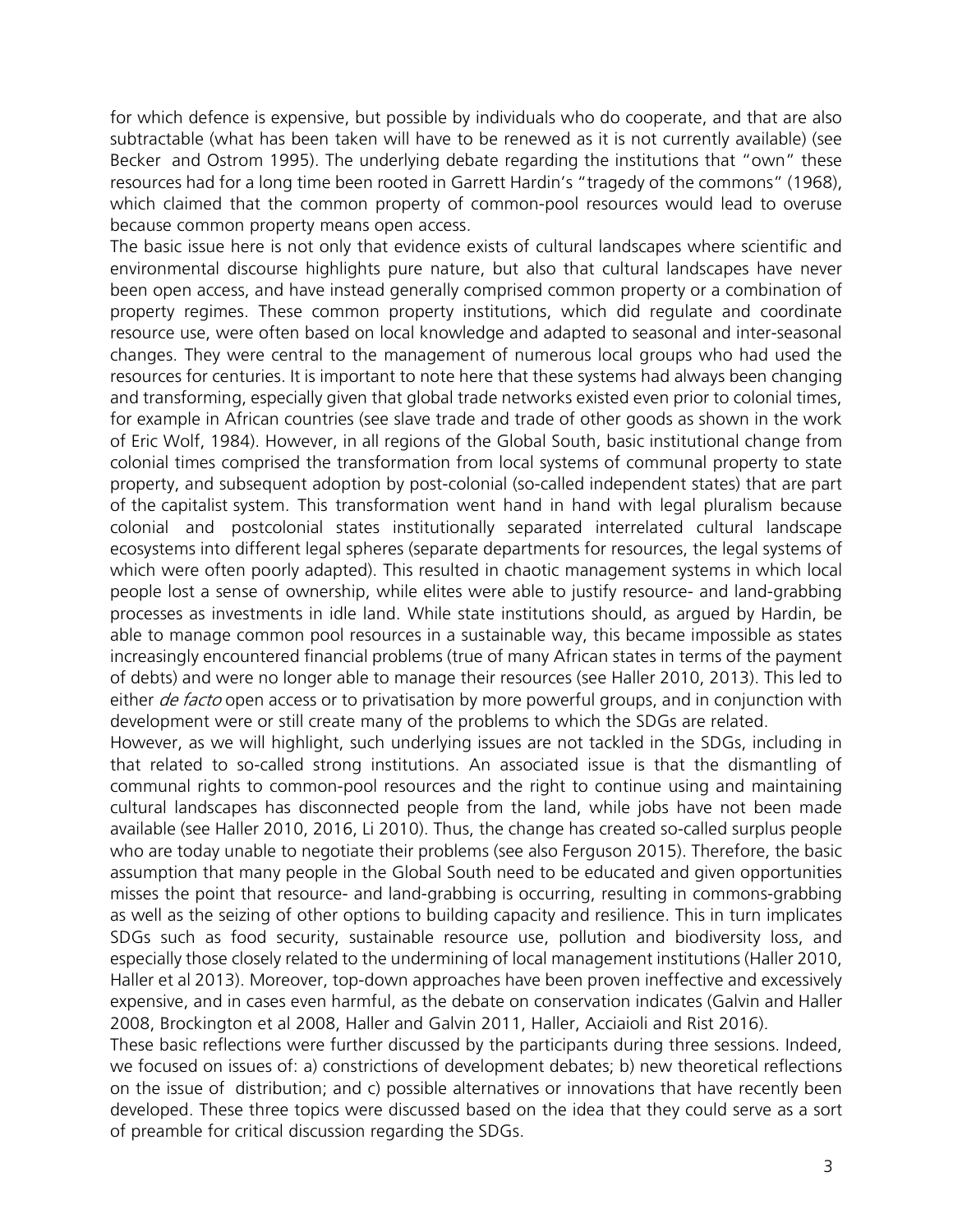for which defence is expensive, but possible by individuals who do cooperate, and that are also subtractable (what has been taken will have to be renewed as it is not currently available) (see Becker and Ostrom 1995). The underlying debate regarding the institutions that "own" these resources had for a long time been rooted in Garrett Hardin's "tragedy of the commons" (1968), which claimed that the common property of common-pool resources would lead to overuse because common property means open access.

The basic issue here is not only that evidence exists of cultural landscapes where scientific and environmental discourse highlights pure nature, but also that cultural landscapes have never been open access, and have instead generally comprised common property or a combination of property regimes. These common property institutions, which did regulate and coordinate resource use, were often based on local knowledge and adapted to seasonal and inter-seasonal changes. They were central to the management of numerous local groups who had used the resources for centuries. It is important to note here that these systems had always been changing and transforming, especially given that global trade networks existed even prior to colonial times, for example in African countries (see slave trade and trade of other goods as shown in the work of Eric Wolf, 1984). However, in all regions of the Global South, basic institutional change from colonial times comprised the transformation from local systems of communal property to state property, and subsequent adoption by post-colonial (so-called independent states) that are part of the capitalist system. This transformation went hand in hand with legal pluralism because colonial and postcolonial states institutionally separated interrelated cultural landscape ecosystems into different legal spheres (separate departments for resources, the legal systems of which were often poorly adapted). This resulted in chaotic management systems in which local people lost a sense of ownership, while elites were able to justify resource- and land-grabbing processes as investments in idle land. While state institutions should, as argued by Hardin, be able to manage common pool resources in a sustainable way, this became impossible as states increasingly encountered financial problems (true of many African states in terms of the payment of debts) and were no longer able to manage their resources (see Haller 2010, 2013). This led to either *de facto* open access or to privatisation by more powerful groups, and in conjunction with development were or still create many of the problems to which the SDGs are related.

However, as we will highlight, such underlying issues are not tackled in the SDGs, including in that related to so-called strong institutions. An associated issue is that the dismantling of communal rights to common-pool resources and the right to continue using and maintaining cultural landscapes has disconnected people from the land, while jobs have not been made available (see Haller 2010, 2016, Li 2010). Thus, the change has created so-called surplus people who are today unable to negotiate their problems (see also Ferguson 2015). Therefore, the basic assumption that many people in the Global South need to be educated and given opportunities misses the point that resource- and land-grabbing is occurring, resulting in commons-grabbing as well as the seizing of other options to building capacity and resilience. This in turn implicates SDGs such as food security, sustainable resource use, pollution and biodiversity loss, and especially those closely related to the undermining of local management institutions (Haller 2010, Haller et al 2013). Moreover, top-down approaches have been proven ineffective and excessively expensive, and in cases even harmful, as the debate on conservation indicates (Galvin and Haller 2008, Brockington et al 2008, Haller and Galvin 2011, Haller, Acciaioli and Rist 2016).

These basic reflections were further discussed by the participants during three sessions. Indeed, we focused on issues of: a) constrictions of development debates; b) new theoretical reflections on the issue of distribution; and c) possible alternatives or innovations that have recently been developed. These three topics were discussed based on the idea that they could serve as a sort of preamble for critical discussion regarding the SDGs.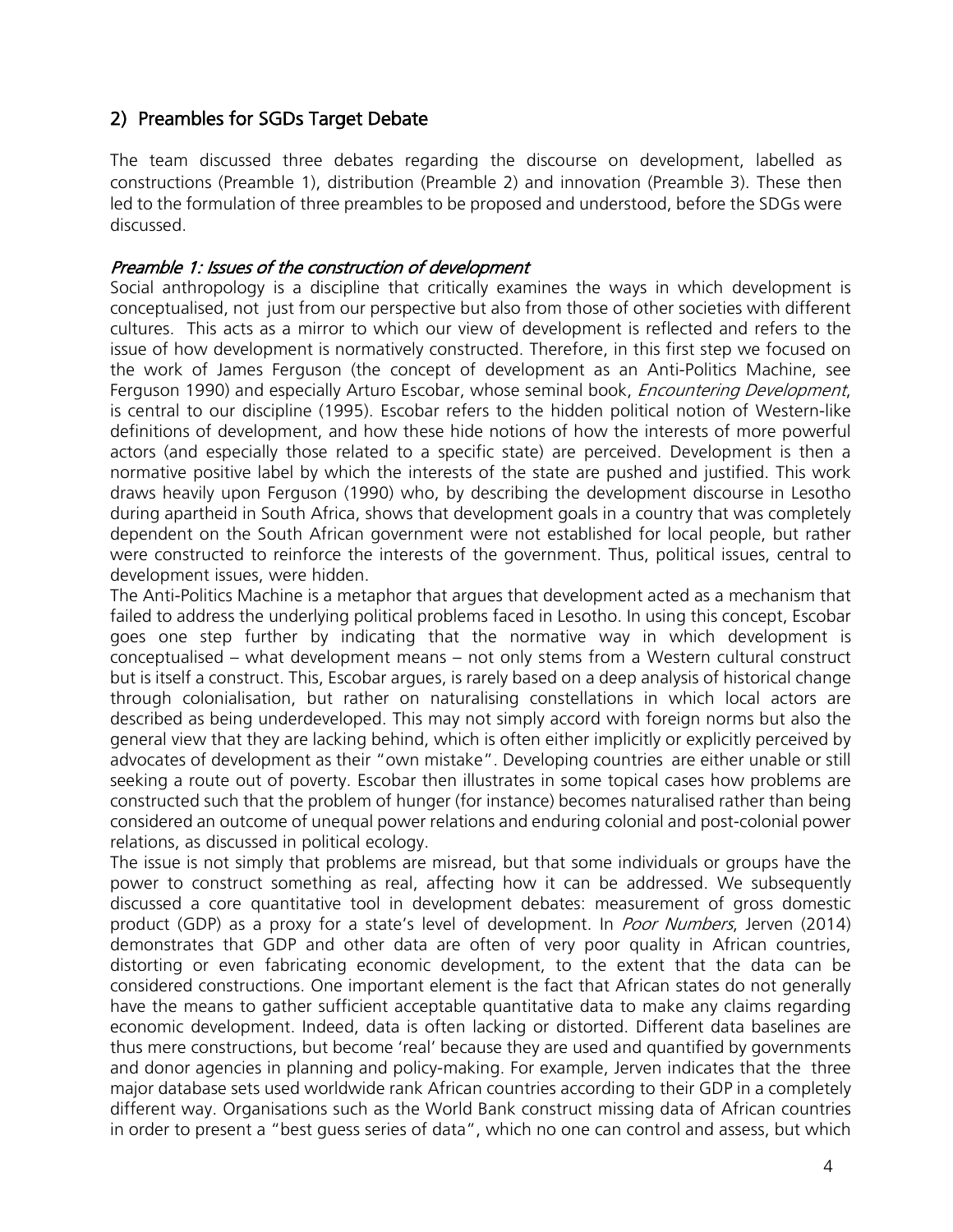## 2) Preambles for SGDs Target Debate

The team discussed three debates regarding the discourse on development, labelled as constructions (Preamble 1), distribution (Preamble 2) and innovation (Preamble 3). These then led to the formulation of three preambles to be proposed and understood, before the SDGs were discussed.

#### Preamble 1: Issues of the construction of development

Social anthropology is a discipline that critically examines the ways in which development is conceptualised, not just from our perspective but also from those of other societies with different cultures. This acts as a mirror to which our view of development is reflected and refers to the issue of how development is normatively constructed. Therefore, in this first step we focused on the work of James Ferguson (the concept of development as an Anti-Politics Machine, see Ferguson 1990) and especially Arturo Escobar, whose seminal book, *Encountering Development*, is central to our discipline (1995). Escobar refers to the hidden political notion of Western-like definitions of development, and how these hide notions of how the interests of more powerful actors (and especially those related to a specific state) are perceived. Development is then a normative positive label by which the interests of the state are pushed and justified. This work draws heavily upon Ferguson (1990) who, by describing the development discourse in Lesotho during apartheid in South Africa, shows that development goals in a country that was completely dependent on the South African government were not established for local people, but rather were constructed to reinforce the interests of the government. Thus, political issues, central to development issues, were hidden.

The Anti-Politics Machine is a metaphor that argues that development acted as a mechanism that failed to address the underlying political problems faced in Lesotho. In using this concept, Escobar goes one step further by indicating that the normative way in which development is conceptualised – what development means – not only stems from a Western cultural construct but is itself a construct. This, Escobar argues, is rarely based on a deep analysis of historical change through colonialisation, but rather on naturalising constellations in which local actors are described as being underdeveloped. This may not simply accord with foreign norms but also the general view that they are lacking behind, which is often either implicitly or explicitly perceived by advocates of development as their "own mistake". Developing countries are either unable or still seeking a route out of poverty. Escobar then illustrates in some topical cases how problems are constructed such that the problem of hunger (for instance) becomes naturalised rather than being considered an outcome of unequal power relations and enduring colonial and post-colonial power relations, as discussed in political ecology.

The issue is not simply that problems are misread, but that some individuals or groups have the power to construct something as real, affecting how it can be addressed. We subsequently discussed a core quantitative tool in development debates: measurement of gross domestic product (GDP) as a proxy for a state's level of development. In *Poor Numbers*, Jerven (2014) demonstrates that GDP and other data are often of very poor quality in African countries, distorting or even fabricating economic development, to the extent that the data can be considered constructions. One important element is the fact that African states do not generally have the means to gather sufficient acceptable quantitative data to make any claims regarding economic development. Indeed, data is often lacking or distorted. Different data baselines are thus mere constructions, but become 'real' because they are used and quantified by governments and donor agencies in planning and policy-making. For example, Jerven indicates that the three major database sets used worldwide rank African countries according to their GDP in a completely different way. Organisations such as the World Bank construct missing data of African countries in order to present a "best guess series of data", which no one can control and assess, but which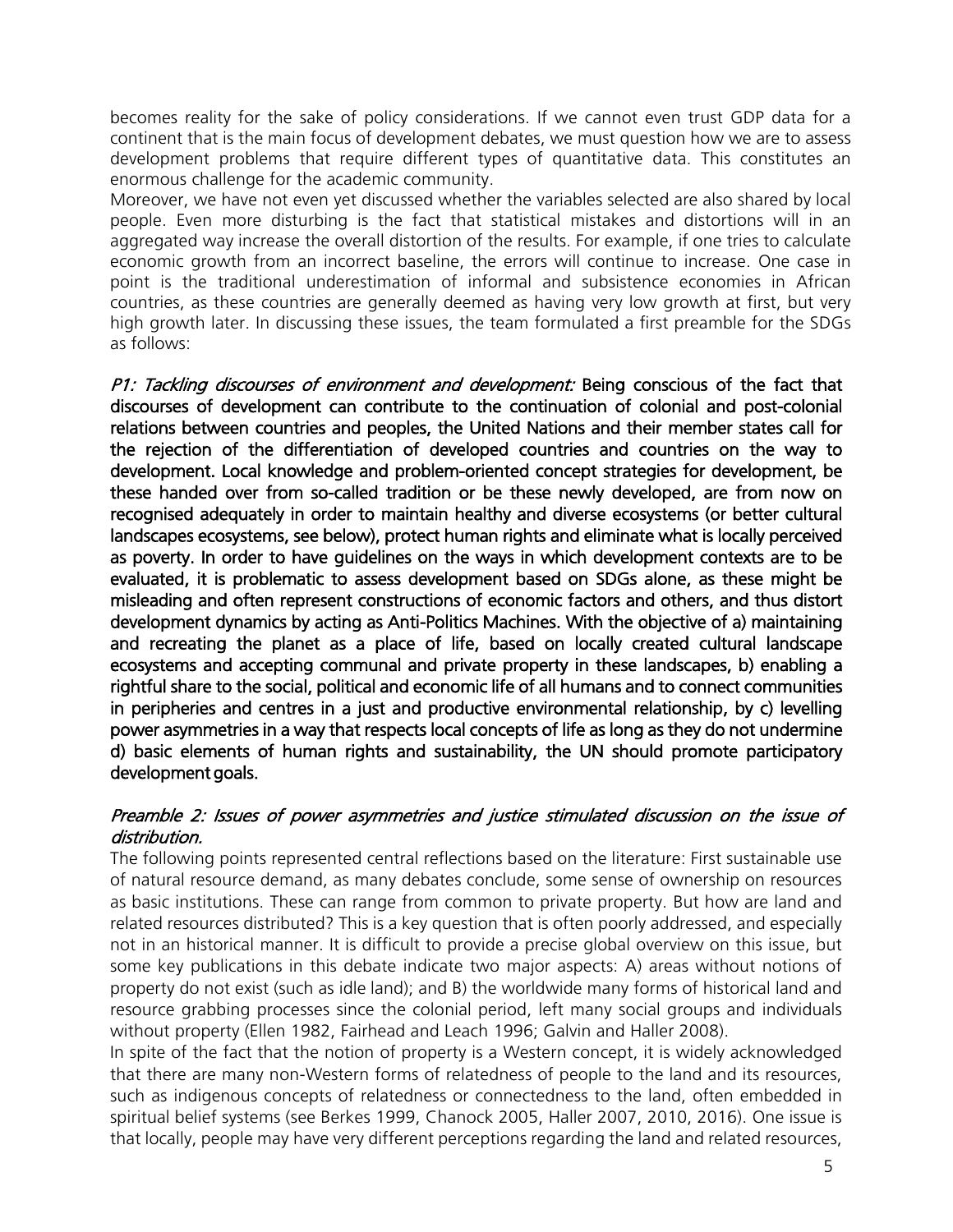becomes reality for the sake of policy considerations. If we cannot even trust GDP data for a continent that is the main focus of development debates, we must question how we are to assess development problems that require different types of quantitative data. This constitutes an enormous challenge for the academic community.

Moreover, we have not even yet discussed whether the variables selected are also shared by local people. Even more disturbing is the fact that statistical mistakes and distortions will in an aggregated way increase the overall distortion of the results. For example, if one tries to calculate economic growth from an incorrect baseline, the errors will continue to increase. One case in point is the traditional underestimation of informal and subsistence economies in African countries, as these countries are generally deemed as having very low growth at first, but very high growth later. In discussing these issues, the team formulated a first preamble for the SDGs as follows:

P1: Tackling discourses of environment and development: Being conscious of the fact that discourses of development can contribute to the continuation of colonial and post-colonial relations between countries and peoples, the United Nations and their member states call for the rejection of the differentiation of developed countries and countries on the way to development. Local knowledge and problem-oriented concept strategies for development, be these handed over from so-called tradition or be these newly developed, are from now on recognised adequately in order to maintain healthy and diverse ecosystems (or better cultural landscapes ecosystems, see below), protect human rights and eliminate what is locally perceived as poverty. In order to have guidelines on the ways in which development contexts are to be evaluated, it is problematic to assess development based on SDGs alone, as these might be misleading and often represent constructions of economic factors and others, and thus distort development dynamics by acting as Anti-Politics Machines. With the objective of a) maintaining and recreating the planet as a place of life, based on locally created cultural landscape ecosystems and accepting communal and private property in these landscapes, b) enabling a rightful share to the social, political and economic life of all humans and to connect communities in peripheries and centres in a just and productive environmental relationship, by c) levelling power asymmetries in a way that respects local concepts of life as long as they do not undermine d) basic elements of human rights and sustainability, the UN should promote participatory development goals.

#### Preamble 2: Issues of power asymmetries and justice stimulated discussion on the issue of distribution.

The following points represented central reflections based on the literature: First sustainable use of natural resource demand, as many debates conclude, some sense of ownership on resources as basic institutions. These can range from common to private property. But how are land and related resources distributed? This is a key question that is often poorly addressed, and especially not in an historical manner. It is difficult to provide a precise global overview on this issue, but some key publications in this debate indicate two major aspects: A) areas without notions of property do not exist (such as idle land); and B) the worldwide many forms of historical land and resource grabbing processes since the colonial period, left many social groups and individuals without property (Ellen 1982, Fairhead and Leach 1996; Galvin and Haller 2008).

In spite of the fact that the notion of property is a Western concept, it is widely acknowledged that there are many non-Western forms of relatedness of people to the land and its resources, such as indigenous concepts of relatedness or connectedness to the land, often embedded in spiritual belief systems (see Berkes 1999, Chanock 2005, Haller 2007, 2010, 2016). One issue is that locally, people may have very different perceptions regarding the land and related resources,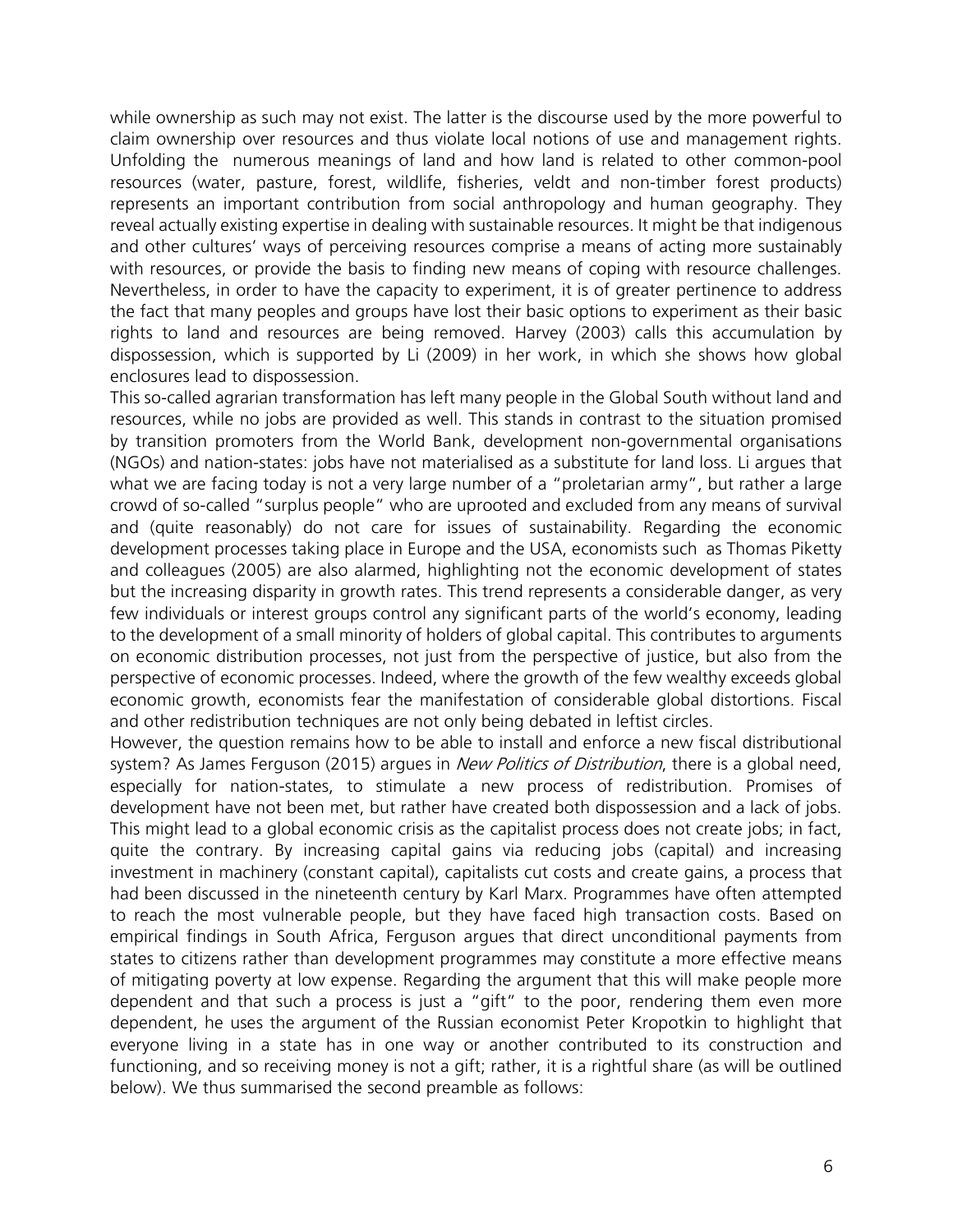while ownership as such may not exist. The latter is the discourse used by the more powerful to claim ownership over resources and thus violate local notions of use and management rights. Unfolding the numerous meanings of land and how land is related to other common-pool resources (water, pasture, forest, wildlife, fisheries, veldt and non-timber forest products) represents an important contribution from social anthropology and human geography. They reveal actually existing expertise in dealing with sustainable resources. It might be that indigenous and other cultures' ways of perceiving resources comprise a means of acting more sustainably with resources, or provide the basis to finding new means of coping with resource challenges. Nevertheless, in order to have the capacity to experiment, it is of greater pertinence to address the fact that many peoples and groups have lost their basic options to experiment as their basic rights to land and resources are being removed. Harvey (2003) calls this accumulation by dispossession, which is supported by Li (2009) in her work, in which she shows how global enclosures lead to dispossession.

This so-called agrarian transformation has left many people in the Global South without land and resources, while no jobs are provided as well. This stands in contrast to the situation promised by transition promoters from the World Bank, development non-governmental organisations (NGOs) and nation-states: jobs have not materialised as a substitute for land loss. Li argues that what we are facing today is not a very large number of a "proletarian army", but rather a large crowd of so-called "surplus people" who are uprooted and excluded from any means of survival and (quite reasonably) do not care for issues of sustainability. Regarding the economic development processes taking place in Europe and the USA, economists such as Thomas Piketty and colleagues (2005) are also alarmed, highlighting not the economic development of states but the increasing disparity in growth rates. This trend represents a considerable danger, as very few individuals or interest groups control any significant parts of the world's economy, leading to the development of a small minority of holders of global capital. This contributes to arguments on economic distribution processes, not just from the perspective of justice, but also from the perspective of economic processes. Indeed, where the growth of the few wealthy exceeds global economic growth, economists fear the manifestation of considerable global distortions. Fiscal and other redistribution techniques are not only being debated in leftist circles.

However, the question remains how to be able to install and enforce a new fiscal distributional system? As James Ferguson (2015) argues in *New Politics of Distribution*, there is a global need, especially for nation-states, to stimulate a new process of redistribution. Promises of development have not been met, but rather have created both dispossession and a lack of jobs. This might lead to a global economic crisis as the capitalist process does not create jobs; in fact, quite the contrary. By increasing capital gains via reducing jobs (capital) and increasing investment in machinery (constant capital), capitalists cut costs and create gains, a process that had been discussed in the nineteenth century by Karl Marx. Programmes have often attempted to reach the most vulnerable people, but they have faced high transaction costs. Based on empirical findings in South Africa, Ferguson argues that direct unconditional payments from states to citizens rather than development programmes may constitute a more effective means of mitigating poverty at low expense. Regarding the argument that this will make people more dependent and that such a process is just a "gift" to the poor, rendering them even more dependent, he uses the argument of the Russian economist Peter Kropotkin to highlight that everyone living in a state has in one way or another contributed to its construction and functioning, and so receiving money is not a gift; rather, it is a rightful share (as will be outlined below). We thus summarised the second preamble as follows: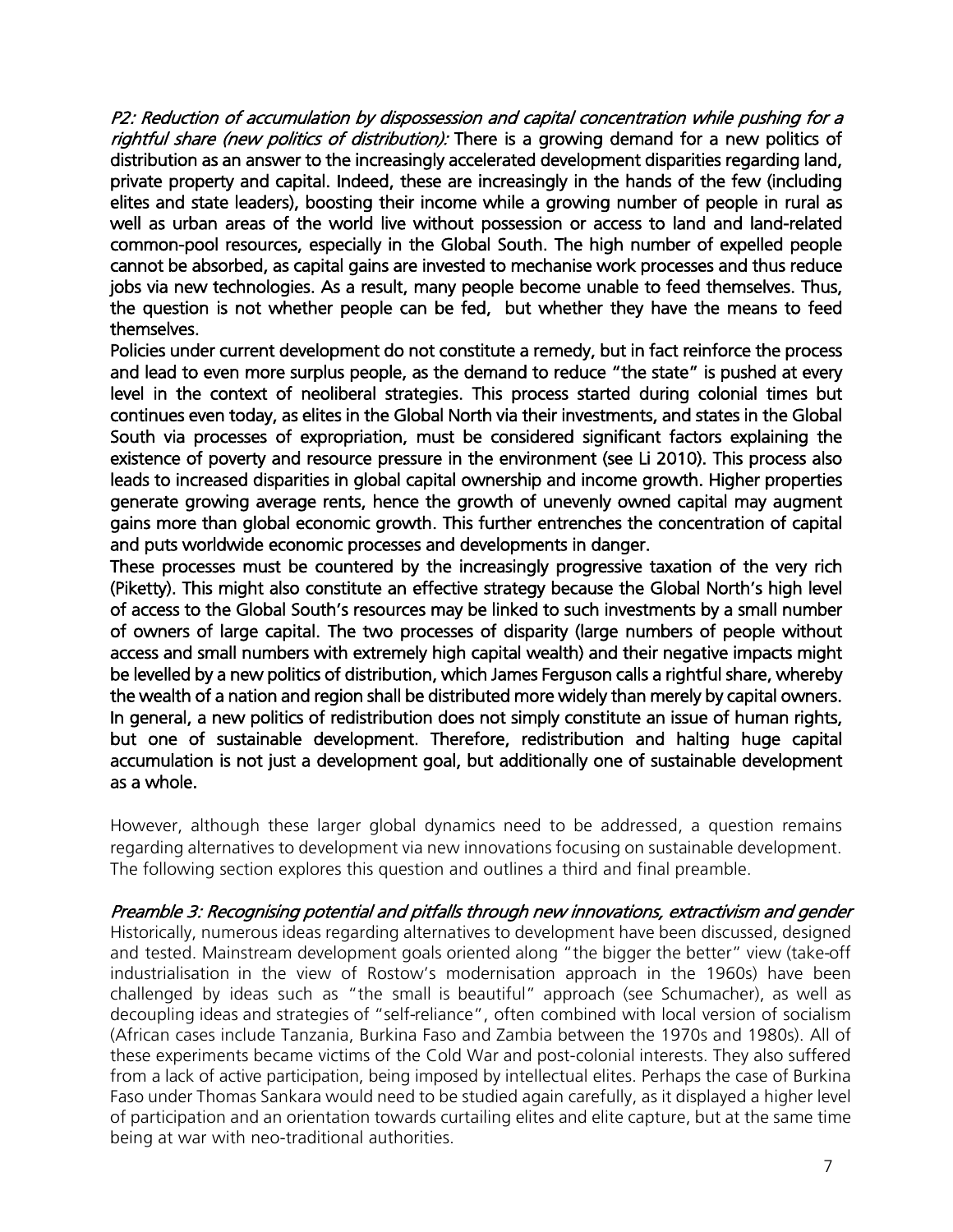P2: Reduction of accumulation by dispossession and capital concentration while pushing for a rightful share (new politics of distribution): There is a growing demand for a new politics of distribution as an answer to the increasingly accelerated development disparities regarding land, private property and capital. Indeed, these are increasingly in the hands of the few (including elites and state leaders), boosting their income while a growing number of people in rural as well as urban areas of the world live without possession or access to land and land-related common-pool resources, especially in the Global South. The high number of expelled people cannot be absorbed, as capital gains are invested to mechanise work processes and thus reduce jobs via new technologies. As a result, many people become unable to feed themselves. Thus, the question is not whether people can be fed, but whether they have the means to feed themselves.

Policies under current development do not constitute a remedy, but in fact reinforce the process and lead to even more surplus people, as the demand to reduce "the state" is pushed at every level in the context of neoliberal strategies. This process started during colonial times but continues even today, as elites in the Global North via their investments, and states in the Global South via processes of expropriation, must be considered significant factors explaining the existence of poverty and resource pressure in the environment (see Li 2010). This process also leads to increased disparities in global capital ownership and income growth. Higher properties generate growing average rents, hence the growth of unevenly owned capital may augment gains more than global economic growth. This further entrenches the concentration of capital and puts worldwide economic processes and developments in danger.

These processes must be countered by the increasingly progressive taxation of the very rich (Piketty). This might also constitute an effective strategy because the Global North's high level of access to the Global South's resources may be linked to such investments by a small number of owners of large capital. The two processes of disparity (large numbers of people without access and small numbers with extremely high capital wealth) and their negative impacts might be levelled by a new politics of distribution, which James Ferguson calls a rightful share, whereby the wealth of a nation and region shall be distributed more widely than merely by capital owners. In general, a new politics of redistribution does not simply constitute an issue of human rights, but one of sustainable development. Therefore, redistribution and halting huge capital accumulation is not just a development goal, but additionally one of sustainable development as a whole.

However, although these larger global dynamics need to be addressed, a question remains regarding alternatives to development via new innovations focusing on sustainable development. The following section explores this question and outlines a third and final preamble.

Preamble 3: Recognising potential and pitfalls through new innovations, extractivism and gender

Historically, numerous ideas regarding alternatives to development have been discussed, designed and tested. Mainstream development goals oriented along "the bigger the better" view (take-off industrialisation in the view of Rostow's modernisation approach in the 1960s) have been challenged by ideas such as "the small is beautiful" approach (see Schumacher), as well as decoupling ideas and strategies of "self-reliance", often combined with local version of socialism (African cases include Tanzania, Burkina Faso and Zambia between the 1970s and 1980s). All of these experiments became victims of the Cold War and post-colonial interests. They also suffered from a lack of active participation, being imposed by intellectual elites. Perhaps the case of Burkina Faso under Thomas Sankara would need to be studied again carefully, as it displayed a higher level of participation and an orientation towards curtailing elites and elite capture, but at the same time being at war with neo-traditional authorities.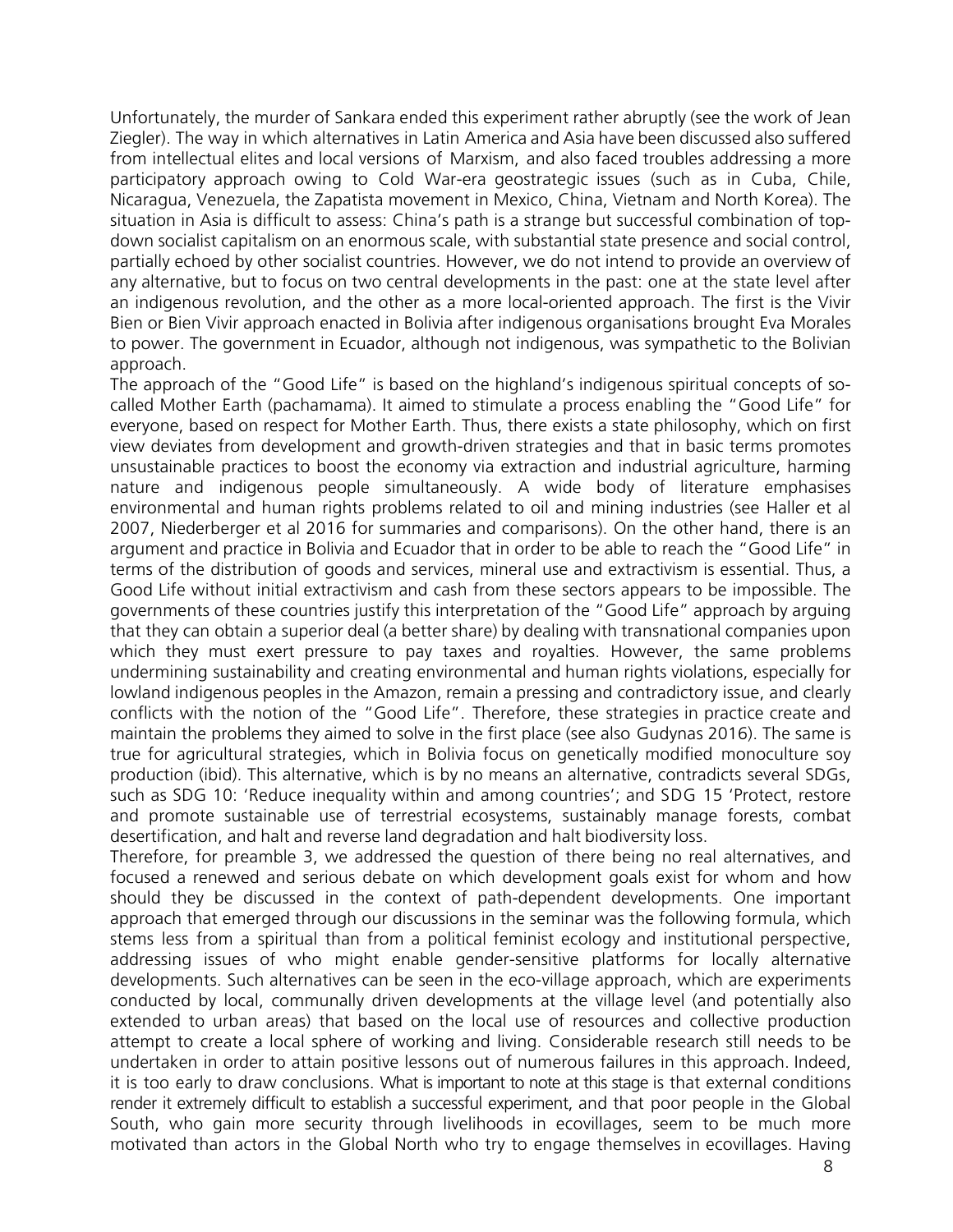Unfortunately, the murder of Sankara ended this experiment rather abruptly (see the work of Jean Ziegler). The way in which alternatives in Latin America and Asia have been discussed also suffered from intellectual elites and local versions of Marxism, and also faced troubles addressing a more participatory approach owing to Cold War-era geostrategic issues (such as in Cuba, Chile, Nicaragua, Venezuela, the Zapatista movement in Mexico, China, Vietnam and North Korea). The situation in Asia is difficult to assess: China's path is a strange but successful combination of topdown socialist capitalism on an enormous scale, with substantial state presence and social control, partially echoed by other socialist countries. However, we do not intend to provide an overview of any alternative, but to focus on two central developments in the past: one at the state level after an indigenous revolution, and the other as a more local-oriented approach. The first is the Vivir Bien or Bien Vivir approach enacted in Bolivia after indigenous organisations brought Eva Morales to power. The government in Ecuador, although not indigenous, was sympathetic to the Bolivian approach.

The approach of the "Good Life" is based on the highland's indigenous spiritual concepts of socalled Mother Earth (pachamama). It aimed to stimulate a process enabling the "Good Life" for everyone, based on respect for Mother Earth. Thus, there exists a state philosophy, which on first view deviates from development and growth-driven strategies and that in basic terms promotes unsustainable practices to boost the economy via extraction and industrial agriculture, harming nature and indigenous people simultaneously. A wide body of literature emphasises environmental and human rights problems related to oil and mining industries (see Haller et al 2007, Niederberger et al 2016 for summaries and comparisons). On the other hand, there is an argument and practice in Bolivia and Ecuador that in order to be able to reach the "Good Life" in terms of the distribution of goods and services, mineral use and extractivism is essential. Thus, a Good Life without initial extractivism and cash from these sectors appears to be impossible. The governments of these countries justify this interpretation of the "Good Life" approach by arguing that they can obtain a superior deal (a better share) by dealing with transnational companies upon which they must exert pressure to pay taxes and royalties. However, the same problems undermining sustainability and creating environmental and human rights violations, especially for lowland indigenous peoples in the Amazon, remain a pressing and contradictory issue, and clearly conflicts with the notion of the "Good Life". Therefore, these strategies in practice create and maintain the problems they aimed to solve in the first place (see also Gudynas 2016). The same is true for agricultural strategies, which in Bolivia focus on genetically modified monoculture soy production (ibid). This alternative, which is by no means an alternative, contradicts several SDGs, such as SDG 10: 'Reduce inequality within and among countries'; and SDG 15 'Protect, restore and promote sustainable use of terrestrial ecosystems, sustainably manage forests, combat desertification, and halt and reverse land degradation and halt biodiversity loss.

Therefore, for preamble 3, we addressed the question of there being no real alternatives, and focused a renewed and serious debate on which development goals exist for whom and how should they be discussed in the context of path-dependent developments. One important approach that emerged through our discussions in the seminar was the following formula, which stems less from a spiritual than from a political feminist ecology and institutional perspective, addressing issues of who might enable gender-sensitive platforms for locally alternative developments. Such alternatives can be seen in the eco-village approach, which are experiments conducted by local, communally driven developments at the village level (and potentially also extended to urban areas) that based on the local use of resources and collective production attempt to create a local sphere of working and living. Considerable research still needs to be undertaken in order to attain positive lessons out of numerous failures in this approach. Indeed, it is too early to draw conclusions. What is important to note at this stage is that external conditions render it extremely difficult to establish a successful experiment, and that poor people in the Global South, who gain more security through livelihoods in ecovillages, seem to be much more motivated than actors in the Global North who try to engage themselves in ecovillages. Having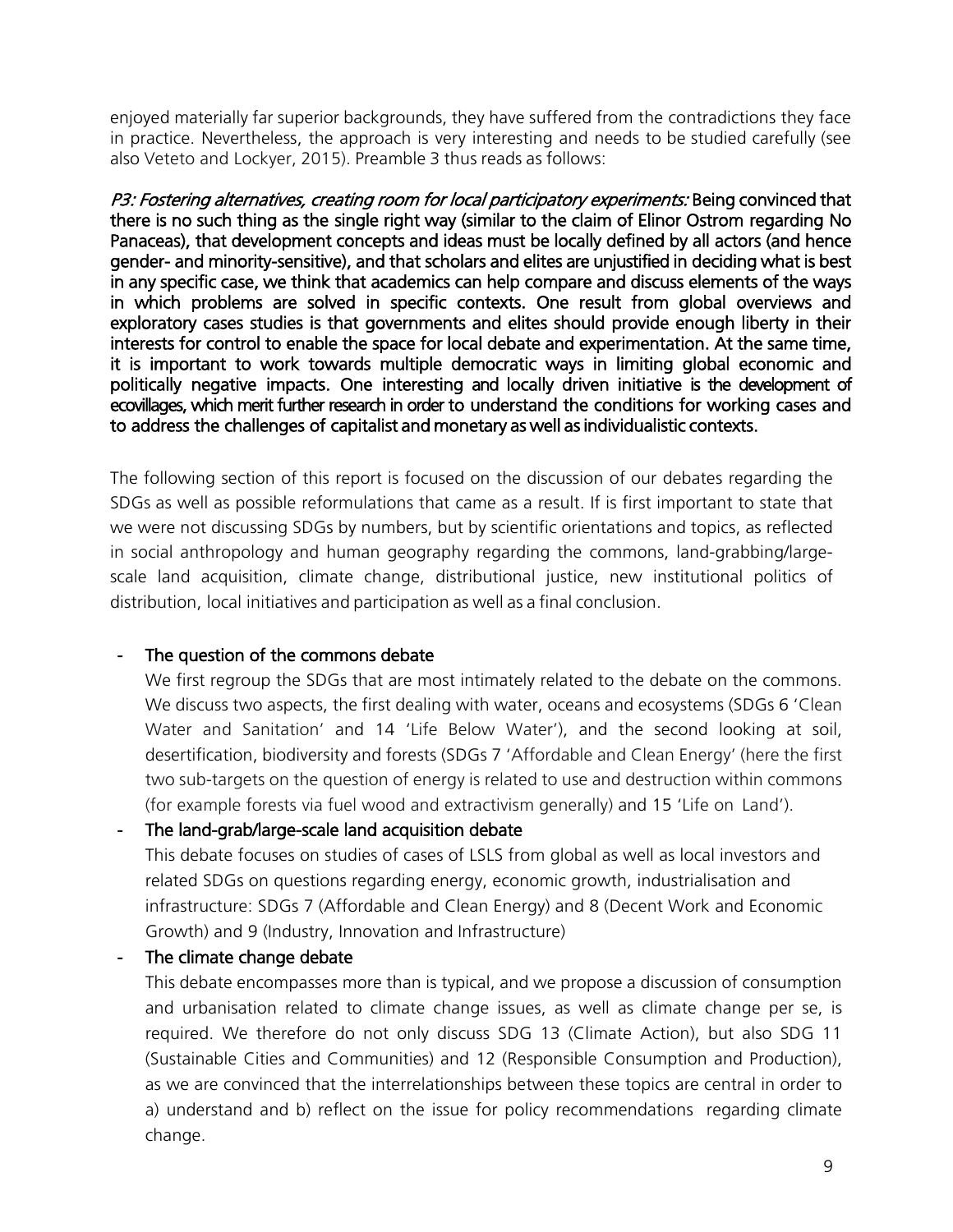enjoyed materially far superior backgrounds, they have suffered from the contradictions they face in practice. Nevertheless, the approach is very interesting and needs to be studied carefully (see also Veteto and Lockyer, 2015). Preamble 3 thus reads as follows:

P3: Fostering alternatives, creating room for local participatory experiments: Being convinced that there is no such thing as the single right way (similar to the claim of Elinor Ostrom regarding No Panaceas), that development concepts and ideas must be locally defined by all actors (and hence gender- and minority-sensitive), and that scholars and elites are unjustified in deciding what is best in any specific case, we think that academics can help compare and discuss elements of the ways in which problems are solved in specific contexts. One result from global overviews and exploratory cases studies is that governments and elites should provide enough liberty in their interests for control to enable the space for local debate and experimentation. At the same time, it is important to work towards multiple democratic ways in limiting global economic and politically negative impacts. One interesting and locally driven initiative is the development of ecovillages, which merit further research in order to understand the conditions for working cases and to address the challenges of capitalist and monetary as well as individualistic contexts.

The following section of this report is focused on the discussion of our debates regarding the SDGs as well as possible reformulations that came as a result. If is first important to state that we were not discussing SDGs by numbers, but by scientific orientations and topics, as reflected in social anthropology and human geography regarding the commons, land-grabbing/largescale land acquisition, climate change, distributional justice, new institutional politics of distribution, local initiatives and participation as well as a final conclusion.

#### - The question of the commons debate

We first regroup the SDGs that are most intimately related to the debate on the commons. We discuss two aspects, the first dealing with water, oceans and ecosystems (SDGs 6 'Clean Water and Sanitation' and 14 'Life Below Water'), and the second looking at soil, desertification, biodiversity and forests (SDGs 7 'Affordable and Clean Energy' (here the first two sub-targets on the question of energy is related to use and destruction within commons (for example forests via fuel wood and extractivism generally) and 15 'Life on Land').

- The land-grab/large-scale land acquisition debate

This debate focuses on studies of cases of LSLS from global as well as local investors and related SDGs on questions regarding energy, economic growth, industrialisation and infrastructure: SDGs 7 (Affordable and Clean Energy) and 8 (Decent Work and Economic Growth) and 9 (Industry, Innovation and Infrastructure)

- The climate change debate

This debate encompasses more than is typical, and we propose a discussion of consumption and urbanisation related to climate change issues, as well as climate change per se, is required. We therefore do not only discuss SDG 13 (Climate Action), but also SDG 11 (Sustainable Cities and Communities) and 12 (Responsible Consumption and Production), as we are convinced that the interrelationships between these topics are central in order to a) understand and b) reflect on the issue for policy recommendations regarding climate change.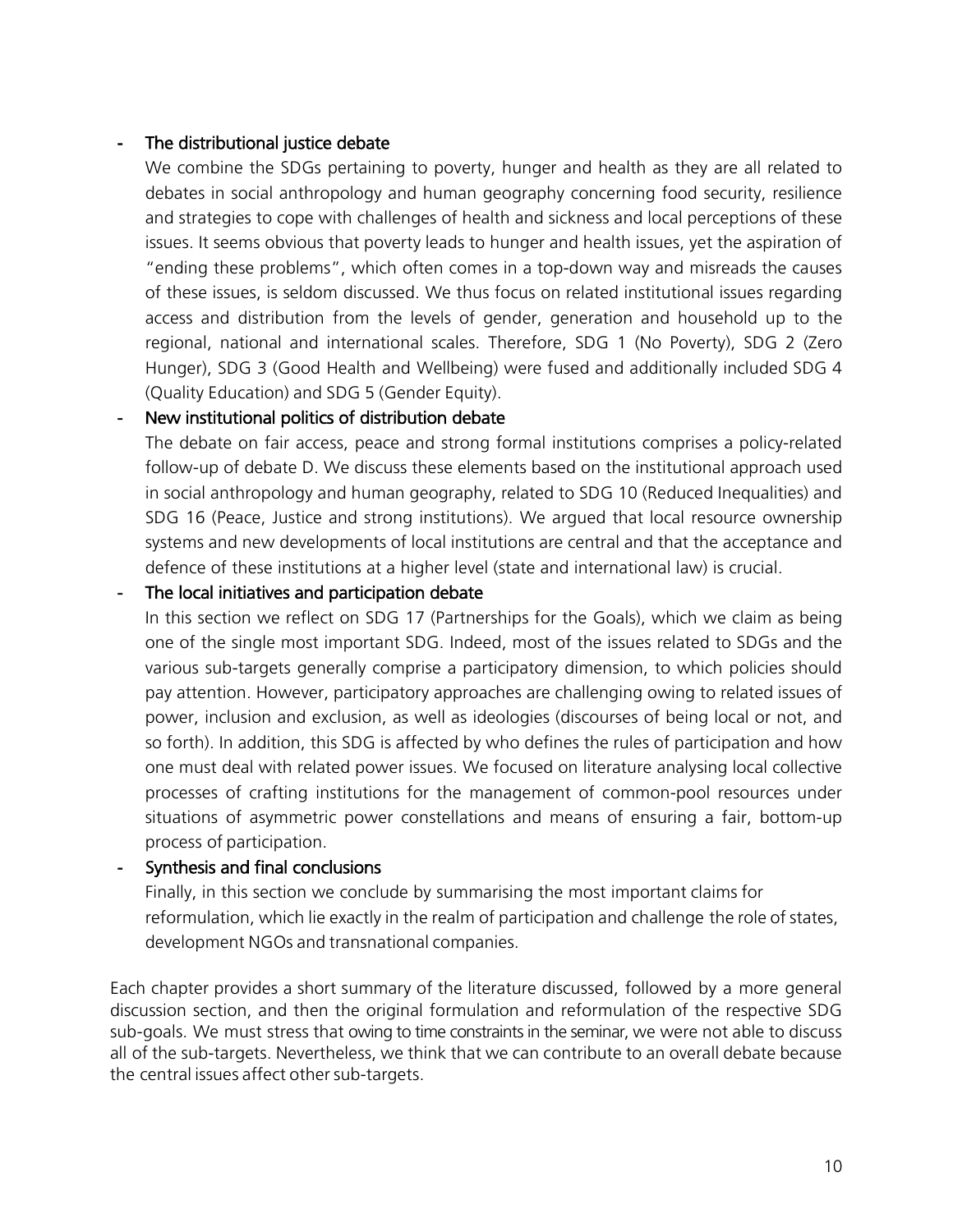#### - The distributional justice debate

We combine the SDGs pertaining to poverty, hunger and health as they are all related to debates in social anthropology and human geography concerning food security, resilience and strategies to cope with challenges of health and sickness and local perceptions of these issues. It seems obvious that poverty leads to hunger and health issues, yet the aspiration of "ending these problems", which often comes in a top-down way and misreads the causes of these issues, is seldom discussed. We thus focus on related institutional issues regarding access and distribution from the levels of gender, generation and household up to the regional, national and international scales. Therefore, SDG 1 (No Poverty), SDG 2 (Zero Hunger), SDG 3 (Good Health and Wellbeing) were fused and additionally included SDG 4 (Quality Education) and SDG 5 (Gender Equity).

#### - New institutional politics of distribution debate

The debate on fair access, peace and strong formal institutions comprises a policy-related follow-up of debate D. We discuss these elements based on the institutional approach used in social anthropology and human geography, related to SDG 10 (Reduced Inequalities) and SDG 16 (Peace, Justice and strong institutions). We argued that local resource ownership systems and new developments of local institutions are central and that the acceptance and defence of these institutions at a higher level (state and international law) is crucial.

#### The local initiatives and participation debate

In this section we reflect on SDG 17 (Partnerships for the Goals), which we claim as being one of the single most important SDG. Indeed, most of the issues related to SDGs and the various sub-targets generally comprise a participatory dimension, to which policies should pay attention. However, participatory approaches are challenging owing to related issues of power, inclusion and exclusion, as well as ideologies (discourses of being local or not, and so forth). In addition, this SDG is affected by who defines the rules of participation and how one must deal with related power issues. We focused on literature analysing local collective processes of crafting institutions for the management of common-pool resources under situations of asymmetric power constellations and means of ensuring a fair, bottom-up process of participation.

#### - Synthesis and final conclusions

Finally, in this section we conclude by summarising the most important claims for reformulation, which lie exactly in the realm of participation and challenge the role of states, development NGOs and transnational companies.

Each chapter provides a short summary of the literature discussed, followed by a more general discussion section, and then the original formulation and reformulation of the respective SDG sub-goals. We must stress that owing to time constraints in the seminar, we were not able to discuss all of the sub-targets. Nevertheless, we think that we can contribute to an overall debate because the central issues affect other sub-targets.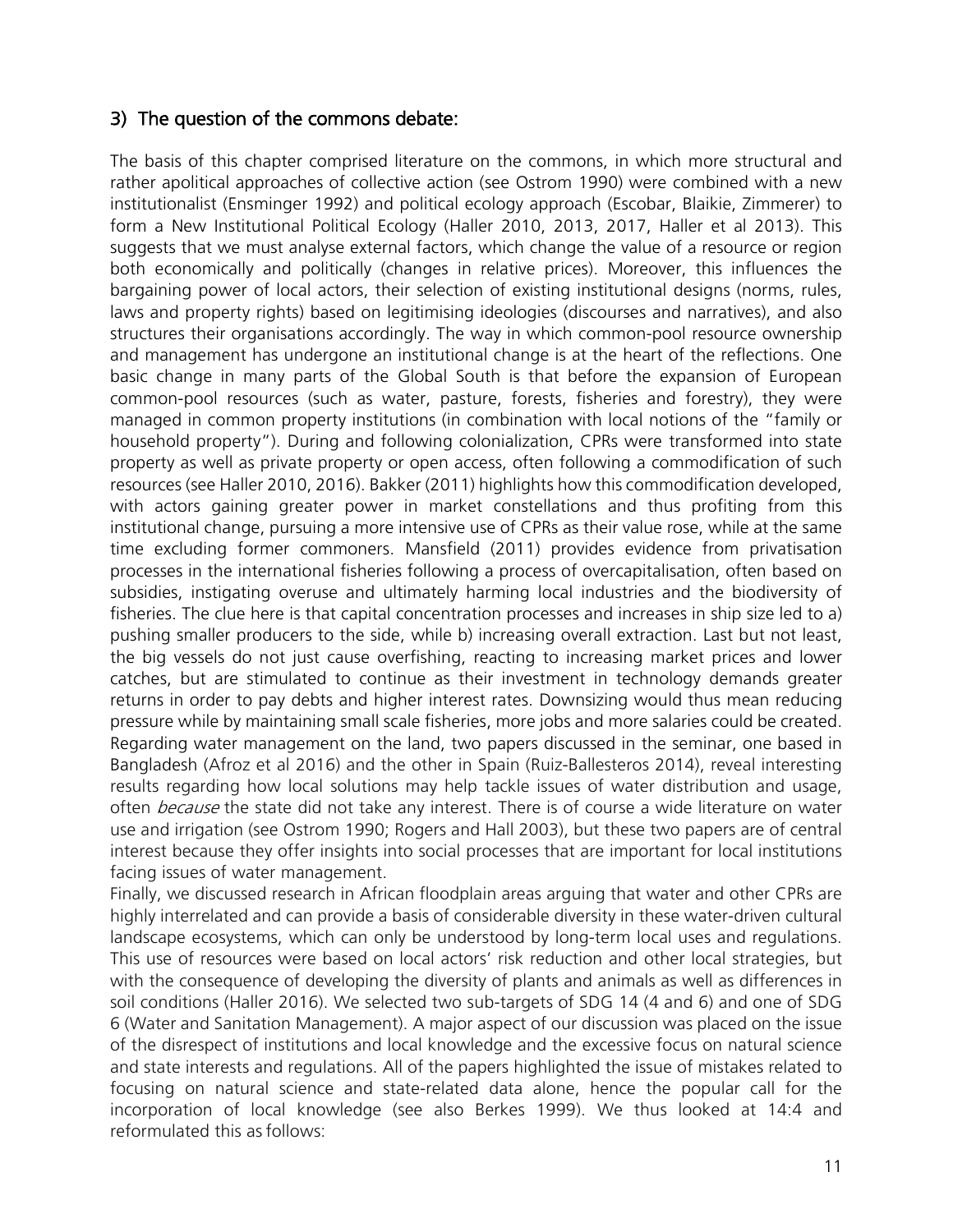## 3) The question of the commons debate:

The basis of this chapter comprised literature on the commons, in which more structural and rather apolitical approaches of collective action (see Ostrom 1990) were combined with a new institutionalist (Ensminger 1992) and political ecology approach (Escobar, Blaikie, Zimmerer) to form a New Institutional Political Ecology (Haller 2010, 2013, 2017, Haller et al 2013). This suggests that we must analyse external factors, which change the value of a resource or region both economically and politically (changes in relative prices). Moreover, this influences the bargaining power of local actors, their selection of existing institutional designs (norms, rules, laws and property rights) based on legitimising ideologies (discourses and narratives), and also structures their organisations accordingly. The way in which common-pool resource ownership and management has undergone an institutional change is at the heart of the reflections. One basic change in many parts of the Global South is that before the expansion of European common-pool resources (such as water, pasture, forests, fisheries and forestry), they were managed in common property institutions (in combination with local notions of the "family or household property"). During and following colonialization, CPRs were transformed into state property as well as private property or open access, often following a commodification of such resources (see Haller 2010, 2016). Bakker (2011) highlights how this commodification developed, with actors gaining greater power in market constellations and thus profiting from this institutional change, pursuing a more intensive use of CPRs as their value rose, while at the same time excluding former commoners. Mansfield (2011) provides evidence from privatisation processes in the international fisheries following a process of overcapitalisation, often based on subsidies, instigating overuse and ultimately harming local industries and the biodiversity of fisheries. The clue here is that capital concentration processes and increases in ship size led to a) pushing smaller producers to the side, while b) increasing overall extraction. Last but not least, the big vessels do not just cause overfishing, reacting to increasing market prices and lower catches, but are stimulated to continue as their investment in technology demands greater returns in order to pay debts and higher interest rates. Downsizing would thus mean reducing pressure while by maintaining small scale fisheries, more jobs and more salaries could be created. Regarding water management on the land, two papers discussed in the seminar, one based in Bangladesh (Afroz et al 2016) and the other in Spain (Ruiz-Ballesteros 2014), reveal interesting results regarding how local solutions may help tackle issues of water distribution and usage, often *because* the state did not take any interest. There is of course a wide literature on water use and irrigation (see Ostrom 1990; Rogers and Hall 2003), but these two papers are of central interest because they offer insights into social processes that are important for local institutions facing issues of water management.

Finally, we discussed research in African floodplain areas arguing that water and other CPRs are highly interrelated and can provide a basis of considerable diversity in these water-driven cultural landscape ecosystems, which can only be understood by long-term local uses and regulations. This use of resources were based on local actors' risk reduction and other local strategies, but with the consequence of developing the diversity of plants and animals as well as differences in soil conditions (Haller 2016). We selected two sub-targets of SDG 14 (4 and 6) and one of SDG 6 (Water and Sanitation Management). A major aspect of our discussion was placed on the issue of the disrespect of institutions and local knowledge and the excessive focus on natural science and state interests and regulations. All of the papers highlighted the issue of mistakes related to focusing on natural science and state-related data alone, hence the popular call for the incorporation of local knowledge (see also Berkes 1999). We thus looked at 14:4 and reformulated this as follows: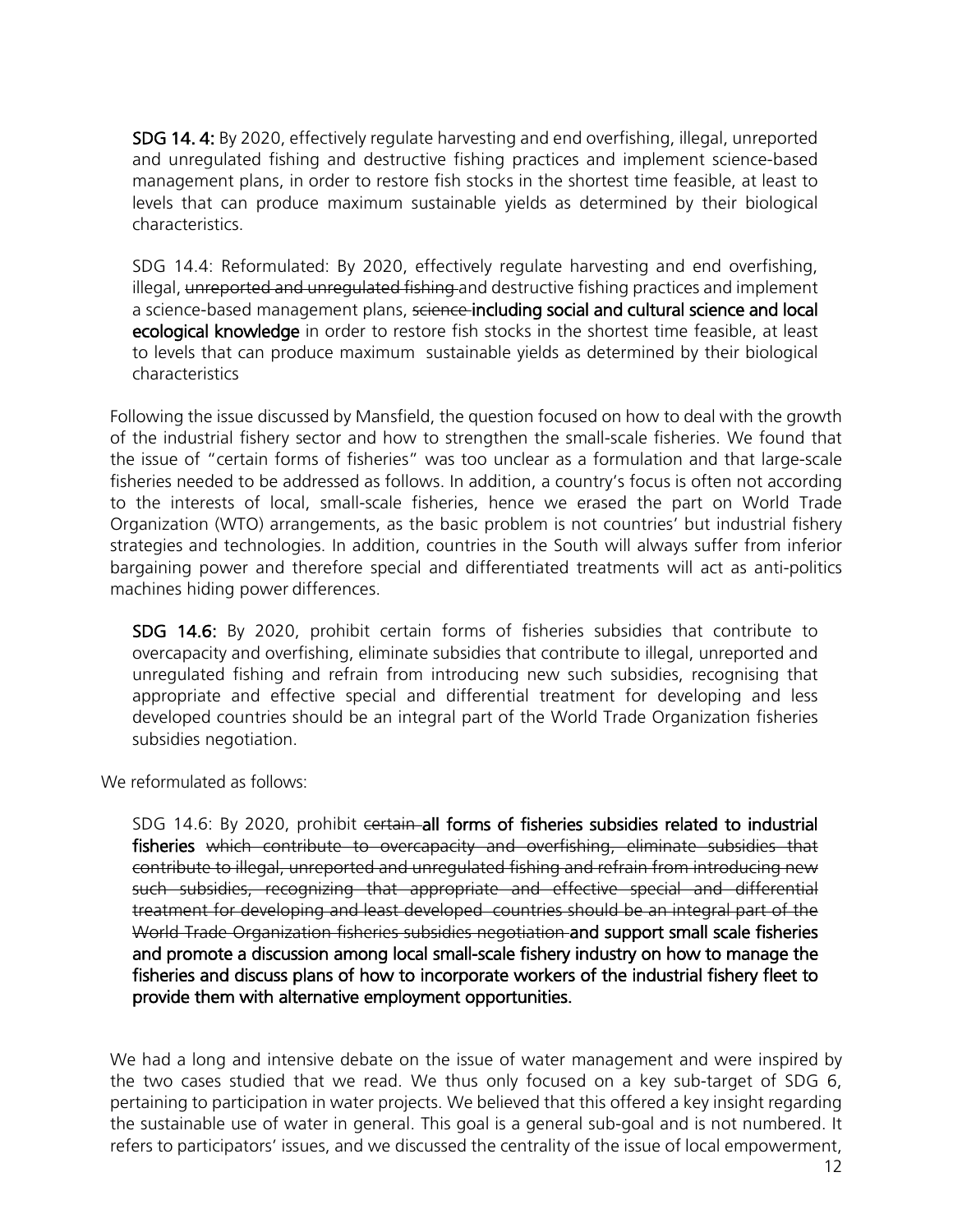SDG 14. 4: By 2020, effectively regulate harvesting and end overfishing, illegal, unreported and unregulated fishing and destructive fishing practices and implement science-based management plans, in order to restore fish stocks in the shortest time feasible, at least to levels that can produce maximum sustainable yields as determined by their biological characteristics.

SDG 14.4: Reformulated: By 2020, effectively regulate harvesting and end overfishing, illegal, unreported and unregulated fishing and destructive fishing practices and implement a science-based management plans, science-including social and cultural science and local ecological knowledge in order to restore fish stocks in the shortest time feasible, at least to levels that can produce maximum sustainable yields as determined by their biological characteristics

Following the issue discussed by Mansfield, the question focused on how to deal with the growth of the industrial fishery sector and how to strengthen the small-scale fisheries. We found that the issue of "certain forms of fisheries" was too unclear as a formulation and that large-scale fisheries needed to be addressed as follows. In addition, a country's focus is often not according to the interests of local, small-scale fisheries, hence we erased the part on World Trade Organization (WTO) arrangements, as the basic problem is not countries' but industrial fishery strategies and technologies. In addition, countries in the South will always suffer from inferior bargaining power and therefore special and differentiated treatments will act as anti-politics machines hiding power differences.

SDG 14.6: By 2020, prohibit certain forms of fisheries subsidies that contribute to overcapacity and overfishing, eliminate subsidies that contribute to illegal, unreported and unregulated fishing and refrain from introducing new such subsidies, recognising that appropriate and effective special and differential treatment for developing and less developed countries should be an integral part of the World Trade Organization fisheries subsidies negotiation.

We reformulated as follows:

SDG 14.6: By 2020, prohibit certain all forms of fisheries subsidies related to industrial fisheries which contribute to overcapacity and overfishing, eliminate subsidies that contribute to illegal, unreported and unregulated fishing and refrain from introducing new such subsidies, recognizing that appropriate and effective special and differential treatment for developing and least developed countries should be an integral part of the World Trade Organization fisheries subsidies negotiation and support small scale fisheries and promote a discussion among local small-scale fishery industry on how to manage the fisheries and discuss plans of how to incorporate workers of the industrial fishery fleet to provide them with alternative employment opportunities.

We had a long and intensive debate on the issue of water management and were inspired by the two cases studied that we read. We thus only focused on a key sub-target of SDG 6, pertaining to participation in water projects. We believed that this offered a key insight regarding the sustainable use of water in general. This goal is a general sub-goal and is not numbered. It refers to participators' issues, and we discussed the centrality of the issue of local empowerment,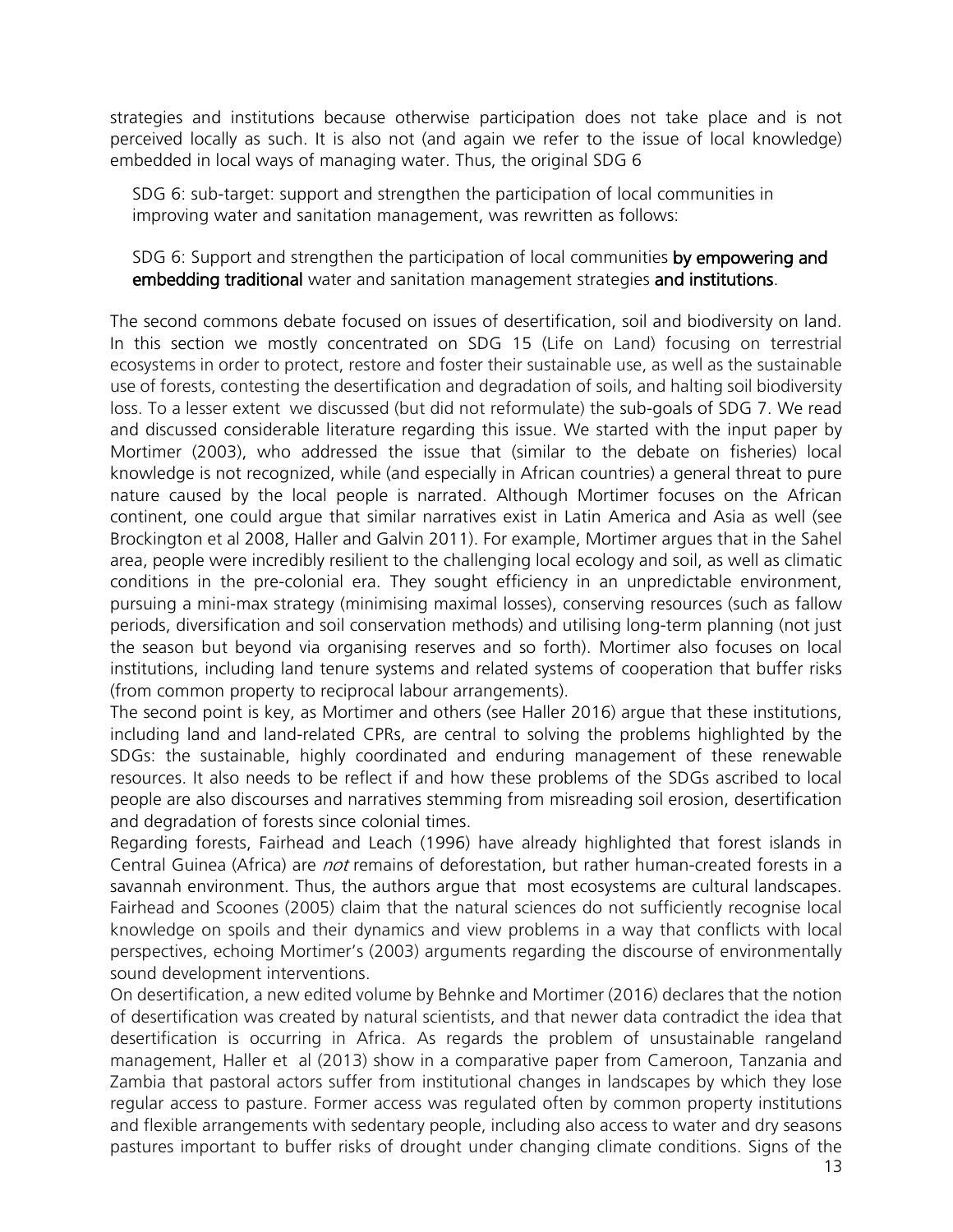strategies and institutions because otherwise participation does not take place and is not perceived locally as such. It is also not (and again we refer to the issue of local knowledge) embedded in local ways of managing water. Thus, the original SDG 6

SDG 6: sub-target: support and strengthen the participation of local communities in improving water and sanitation management, was rewritten as follows:

SDG 6: Support and strengthen the participation of local communities by empowering and embedding traditional water and sanitation management strategies and institutions.

The second commons debate focused on issues of desertification, soil and biodiversity on land. In this section we mostly concentrated on SDG 15 (Life on Land) focusing on terrestrial ecosystems in order to protect, restore and foster their sustainable use, as well as the sustainable use of forests, contesting the desertification and degradation of soils, and halting soil biodiversity loss. To a lesser extent we discussed (but did not reformulate) the sub-goals of SDG 7. We read and discussed considerable literature regarding this issue. We started with the input paper by Mortimer (2003), who addressed the issue that (similar to the debate on fisheries) local knowledge is not recognized, while (and especially in African countries) a general threat to pure nature caused by the local people is narrated. Although Mortimer focuses on the African continent, one could argue that similar narratives exist in Latin America and Asia as well (see Brockington et al 2008, Haller and Galvin 2011). For example, Mortimer argues that in the Sahel area, people were incredibly resilient to the challenging local ecology and soil, as well as climatic conditions in the pre-colonial era. They sought efficiency in an unpredictable environment, pursuing a mini-max strategy (minimising maximal losses), conserving resources (such as fallow periods, diversification and soil conservation methods) and utilising long-term planning (not just the season but beyond via organising reserves and so forth). Mortimer also focuses on local institutions, including land tenure systems and related systems of cooperation that buffer risks (from common property to reciprocal labour arrangements).

The second point is key, as Mortimer and others (see Haller 2016) argue that these institutions, including land and land-related CPRs, are central to solving the problems highlighted by the SDGs: the sustainable, highly coordinated and enduring management of these renewable resources. It also needs to be reflect if and how these problems of the SDGs ascribed to local people are also discourses and narratives stemming from misreading soil erosion, desertification and degradation of forests since colonial times.

Regarding forests, Fairhead and Leach (1996) have already highlighted that forest islands in Central Guinea (Africa) are *not* remains of deforestation, but rather human-created forests in a savannah environment. Thus, the authors argue that most ecosystems are cultural landscapes. Fairhead and Scoones (2005) claim that the natural sciences do not sufficiently recognise local knowledge on spoils and their dynamics and view problems in a way that conflicts with local perspectives, echoing Mortimer's (2003) arguments regarding the discourse of environmentally sound development interventions.

On desertification, a new edited volume by Behnke and Mortimer (2016) declares that the notion of desertification was created by natural scientists, and that newer data contradict the idea that desertification is occurring in Africa. As regards the problem of unsustainable rangeland management, Haller et al (2013) show in a comparative paper from Cameroon, Tanzania and Zambia that pastoral actors suffer from institutional changes in landscapes by which they lose regular access to pasture. Former access was regulated often by common property institutions and flexible arrangements with sedentary people, including also access to water and dry seasons pastures important to buffer risks of drought under changing climate conditions. Signs of the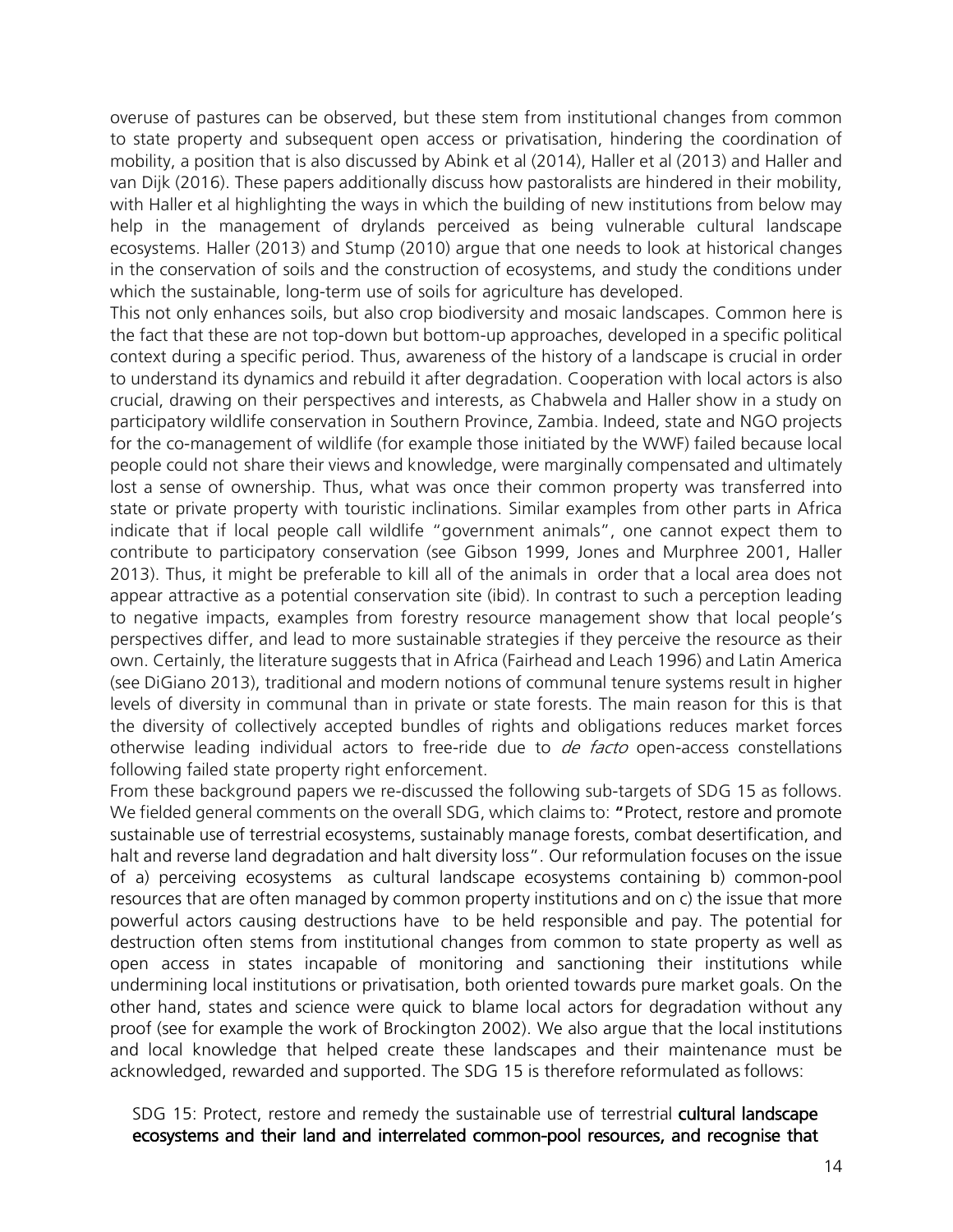overuse of pastures can be observed, but these stem from institutional changes from common to state property and subsequent open access or privatisation, hindering the coordination of mobility, a position that is also discussed by Abink et al (2014), Haller et al (2013) and Haller and van Dijk (2016). These papers additionally discuss how pastoralists are hindered in their mobility, with Haller et al highlighting the ways in which the building of new institutions from below may help in the management of drylands perceived as being vulnerable cultural landscape ecosystems. Haller (2013) and Stump (2010) argue that one needs to look at historical changes in the conservation of soils and the construction of ecosystems, and study the conditions under which the sustainable, long-term use of soils for agriculture has developed.

This not only enhances soils, but also crop biodiversity and mosaic landscapes. Common here is the fact that these are not top-down but bottom-up approaches, developed in a specific political context during a specific period. Thus, awareness of the history of a landscape is crucial in order to understand its dynamics and rebuild it after degradation. Cooperation with local actors is also crucial, drawing on their perspectives and interests, as Chabwela and Haller show in a study on participatory wildlife conservation in Southern Province, Zambia. Indeed, state and NGO projects for the co-management of wildlife (for example those initiated by the WWF) failed because local people could not share their views and knowledge, were marginally compensated and ultimately lost a sense of ownership. Thus, what was once their common property was transferred into state or private property with touristic inclinations. Similar examples from other parts in Africa indicate that if local people call wildlife "government animals", one cannot expect them to contribute to participatory conservation (see Gibson 1999, Jones and Murphree 2001, Haller 2013). Thus, it might be preferable to kill all of the animals in order that a local area does not appear attractive as a potential conservation site (ibid). In contrast to such a perception leading to negative impacts, examples from forestry resource management show that local people's perspectives differ, and lead to more sustainable strategies if they perceive the resource as their own. Certainly, the literature suggests that in Africa (Fairhead and Leach 1996) and Latin America (see DiGiano 2013), traditional and modern notions of communal tenure systems result in higher levels of diversity in communal than in private or state forests. The main reason for this is that the diversity of collectively accepted bundles of rights and obligations reduces market forces otherwise leading individual actors to free-ride due to *de facto* open-access constellations following failed state property right enforcement.

From these background papers we re-discussed the following sub-targets of SDG 15 as follows. We fielded general comments on the overall SDG, which claims to: "Protect, restore and promote sustainable use of terrestrial ecosystems, sustainably manage forests, combat desertification, and halt and reverse land degradation and halt diversity loss". Our reformulation focuses on the issue of a) perceiving ecosystems as cultural landscape ecosystems containing b) common-pool resources that are often managed by common property institutions and on c) the issue that more powerful actors causing destructions have to be held responsible and pay. The potential for destruction often stems from institutional changes from common to state property as well as open access in states incapable of monitoring and sanctioning their institutions while undermining local institutions or privatisation, both oriented towards pure market goals. On the other hand, states and science were quick to blame local actors for degradation without any proof (see for example the work of Brockington 2002). We also argue that the local institutions and local knowledge that helped create these landscapes and their maintenance must be acknowledged, rewarded and supported. The SDG 15 is therefore reformulated as follows:

SDG 15: Protect, restore and remedy the sustainable use of terrestrial cultural landscape ecosystems and their land and interrelated common-pool resources, and recognise that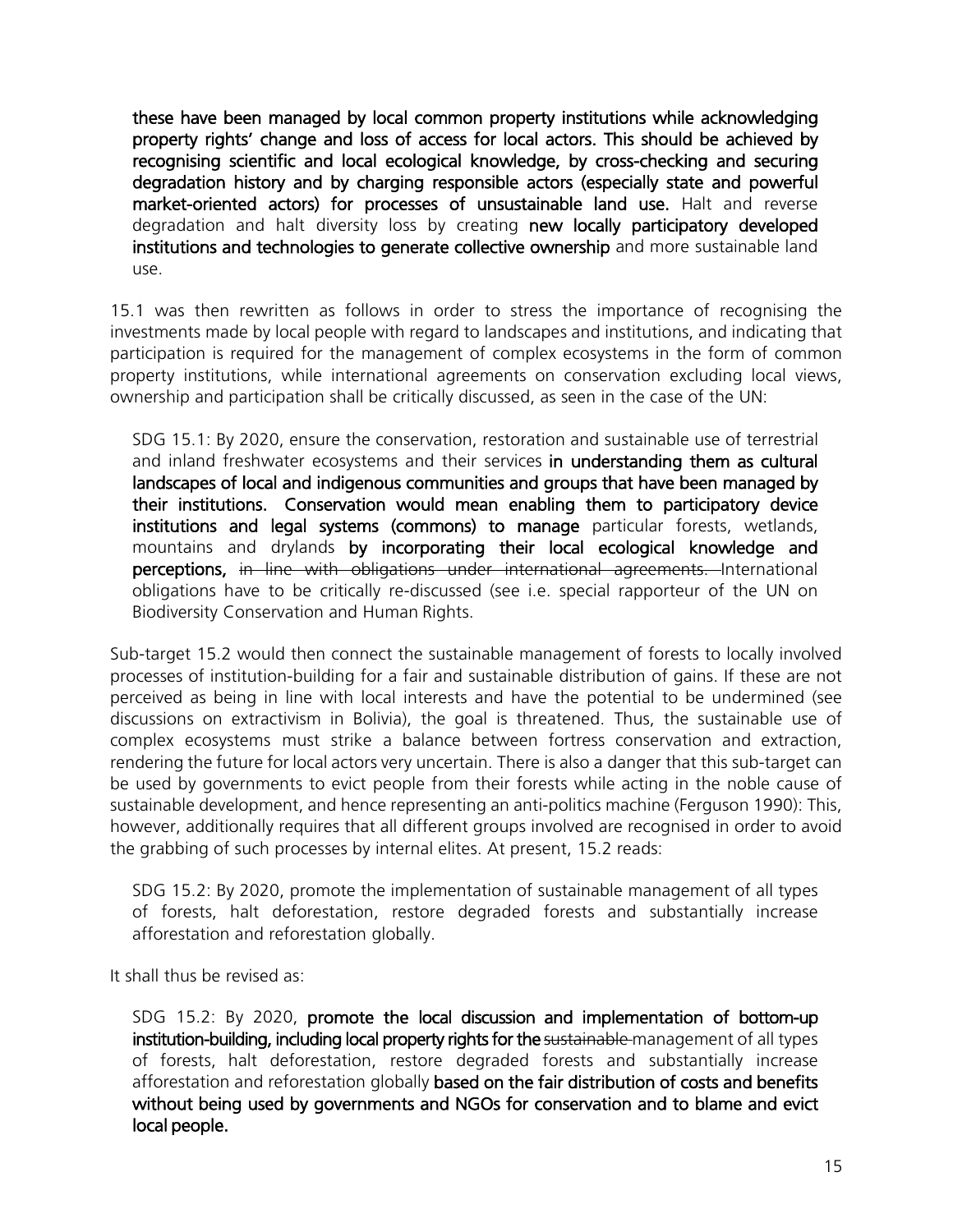these have been managed by local common property institutions while acknowledging property rights' change and loss of access for local actors. This should be achieved by recognising scientific and local ecological knowledge, by cross-checking and securing degradation history and by charging responsible actors (especially state and powerful market-oriented actors) for processes of unsustainable land use. Halt and reverse degradation and halt diversity loss by creating new locally participatory developed institutions and technologies to generate collective ownership and more sustainable land use.

15.1 was then rewritten as follows in order to stress the importance of recognising the investments made by local people with regard to landscapes and institutions, and indicating that participation is required for the management of complex ecosystems in the form of common property institutions, while international agreements on conservation excluding local views, ownership and participation shall be critically discussed, as seen in the case of the UN:

SDG 15.1: By 2020, ensure the conservation, restoration and sustainable use of terrestrial and inland freshwater ecosystems and their services in understanding them as cultural landscapes of local and indigenous communities and groups that have been managed by their institutions. Conservation would mean enabling them to participatory device institutions and legal systems (commons) to manage particular forests, wetlands, mountains and drylands by incorporating their local ecological knowledge and perceptions, in line with obligations under international agreements. International obligations have to be critically re-discussed (see i.e. special rapporteur of the UN on Biodiversity Conservation and Human Rights.

Sub-target 15.2 would then connect the sustainable management of forests to locally involved processes of institution-building for a fair and sustainable distribution of gains. If these are not perceived as being in line with local interests and have the potential to be undermined (see discussions on extractivism in Bolivia), the goal is threatened. Thus, the sustainable use of complex ecosystems must strike a balance between fortress conservation and extraction, rendering the future for local actors very uncertain. There is also a danger that this sub-target can be used by governments to evict people from their forests while acting in the noble cause of sustainable development, and hence representing an anti-politics machine (Ferguson 1990): This, however, additionally requires that all different groups involved are recognised in order to avoid the grabbing of such processes by internal elites. At present, 15.2 reads:

SDG 15.2: By 2020, promote the implementation of sustainable management of all types of forests, halt deforestation, restore degraded forests and substantially increase afforestation and reforestation globally.

It shall thus be revised as:

SDG 15.2: By 2020, promote the local discussion and implementation of bottom-up institution-building, including local property rights for the sustainable management of all types of forests, halt deforestation, restore degraded forests and substantially increase afforestation and reforestation globally based on the fair distribution of costs and benefits without being used by governments and NGOs for conservation and to blame and evict local people.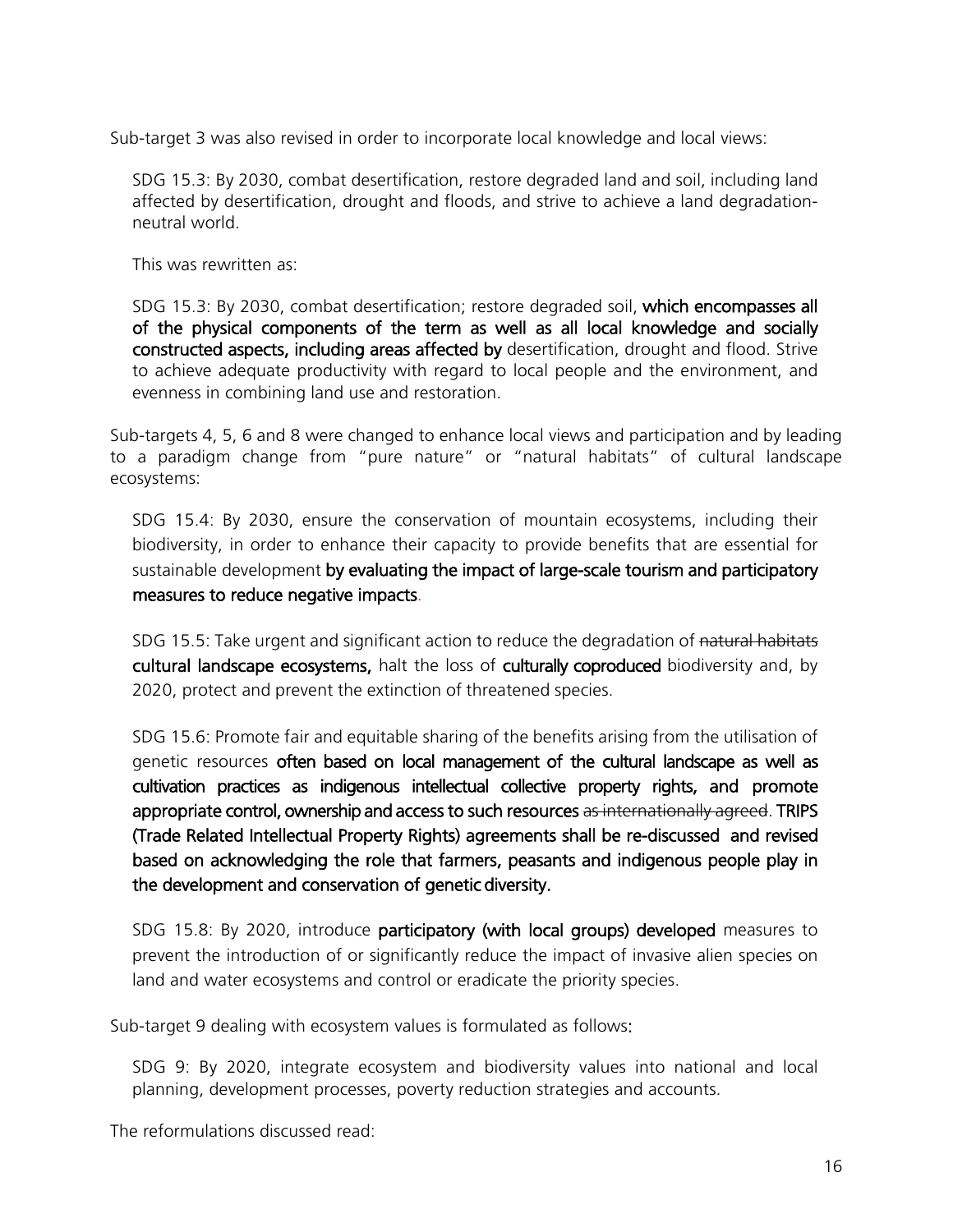Sub-target 3 was also revised in order to incorporate local knowledge and local views:

SDG 15.3: By 2030, combat desertification, restore degraded land and soil, including land affected by desertification, drought and floods, and strive to achieve a land degradationneutral world.

This was rewritten as:

SDG 15.3: By 2030, combat desertification; restore degraded soil, which encompasses all of the physical components of the term as well as all local knowledge and socially constructed aspects, including areas affected by desertification, drought and flood. Strive to achieve adequate productivity with regard to local people and the environment, and evenness in combining land use and restoration.

Sub-targets 4, 5, 6 and 8 were changed to enhance local views and participation and by leading to a paradigm change from "pure nature" or "natural habitats" of cultural landscape ecosystems:

SDG 15.4: By 2030, ensure the conservation of mountain ecosystems, including their biodiversity, in order to enhance their capacity to provide benefits that are essential for sustainable development by evaluating the impact of large-scale tourism and participatory measures to reduce negative impacts.

SDG 15.5: Take urgent and significant action to reduce the degradation of natural habitats cultural landscape ecosystems, halt the loss of culturally coproduced biodiversity and, by 2020, protect and prevent the extinction of threatened species.

SDG 15.6: Promote fair and equitable sharing of the benefits arising from the utilisation of genetic resources often based on local management of the cultural landscape as well as cultivation practices as indigenous intellectual collective property rights, and promote appropriate control, ownership and access to such resources as internationally agreed. TRIPS (Trade Related Intellectual Property Rights) agreements shall be re-discussed and revised based on acknowledging the role that farmers, peasants and indigenous people play in the development and conservation of genetic diversity.

SDG 15.8: By 2020, introduce participatory (with local groups) developed measures to prevent the introduction of or significantly reduce the impact of invasive alien species on land and water ecosystems and control or eradicate the priority species.

Sub-target 9 dealing with ecosystem values is formulated as follows:

SDG 9: By 2020, integrate ecosystem and biodiversity values into national and local planning, development processes, poverty reduction strategies and accounts.

The reformulations discussed read: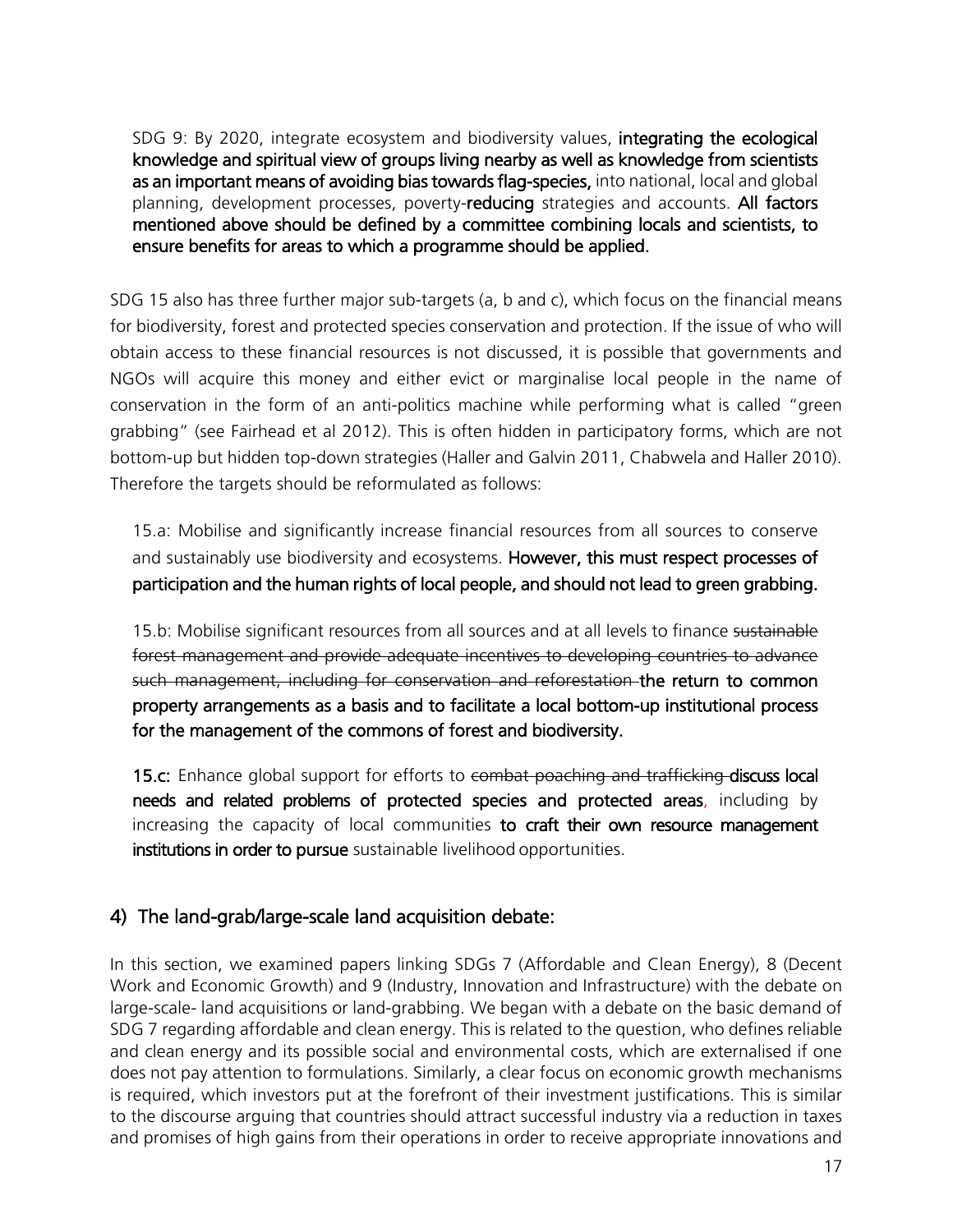SDG 9: By 2020, integrate ecosystem and biodiversity values, integrating the ecological knowledge and spiritual view of groups living nearby as well as knowledge from scientists as an important means of avoiding bias towards flag-species, into national, local and global planning, development processes, poverty-reducing strategies and accounts. All factors mentioned above should be defined by a committee combining locals and scientists, to ensure benefits for areas to which a programme should be applied.

SDG 15 also has three further major sub-targets (a, b and c), which focus on the financial means for biodiversity, forest and protected species conservation and protection. If the issue of who will obtain access to these financial resources is not discussed, it is possible that governments and NGOs will acquire this money and either evict or marginalise local people in the name of conservation in the form of an anti-politics machine while performing what is called "green grabbing" (see Fairhead et al 2012). This is often hidden in participatory forms, which are not bottom-up but hidden top-down strategies (Haller and Galvin 2011, Chabwela and Haller 2010). Therefore the targets should be reformulated as follows:

15.a: Mobilise and significantly increase financial resources from all sources to conserve and sustainably use biodiversity and ecosystems. However, this must respect processes of participation and the human rights of local people, and should not lead to green grabbing.

15.b: Mobilise significant resources from all sources and at all levels to finance sustainable forest management and provide adequate incentives to developing countries to advance such management, including for conservation and reforestation the return to common property arrangements as a basis and to facilitate a local bottom-up institutional process for the management of the commons of forest and biodiversity.

15.c: Enhance global support for efforts to combat poaching and trafficking discuss local needs and related problems of protected species and protected areas, including by increasing the capacity of local communities to craft their own resource management institutions in order to pursue sustainable livelihood opportunities.

## 4) The land-grab/large-scale land acquisition debate:

In this section, we examined papers linking SDGs 7 (Affordable and Clean Energy), 8 (Decent Work and Economic Growth) and 9 (Industry, Innovation and Infrastructure) with the debate on large-scale- land acquisitions or land-grabbing. We began with a debate on the basic demand of SDG 7 regarding affordable and clean energy. This is related to the question, who defines reliable and clean energy and its possible social and environmental costs, which are externalised if one does not pay attention to formulations. Similarly, a clear focus on economic growth mechanisms is required, which investors put at the forefront of their investment justifications. This is similar to the discourse arguing that countries should attract successful industry via a reduction in taxes and promises of high gains from their operations in order to receive appropriate innovations and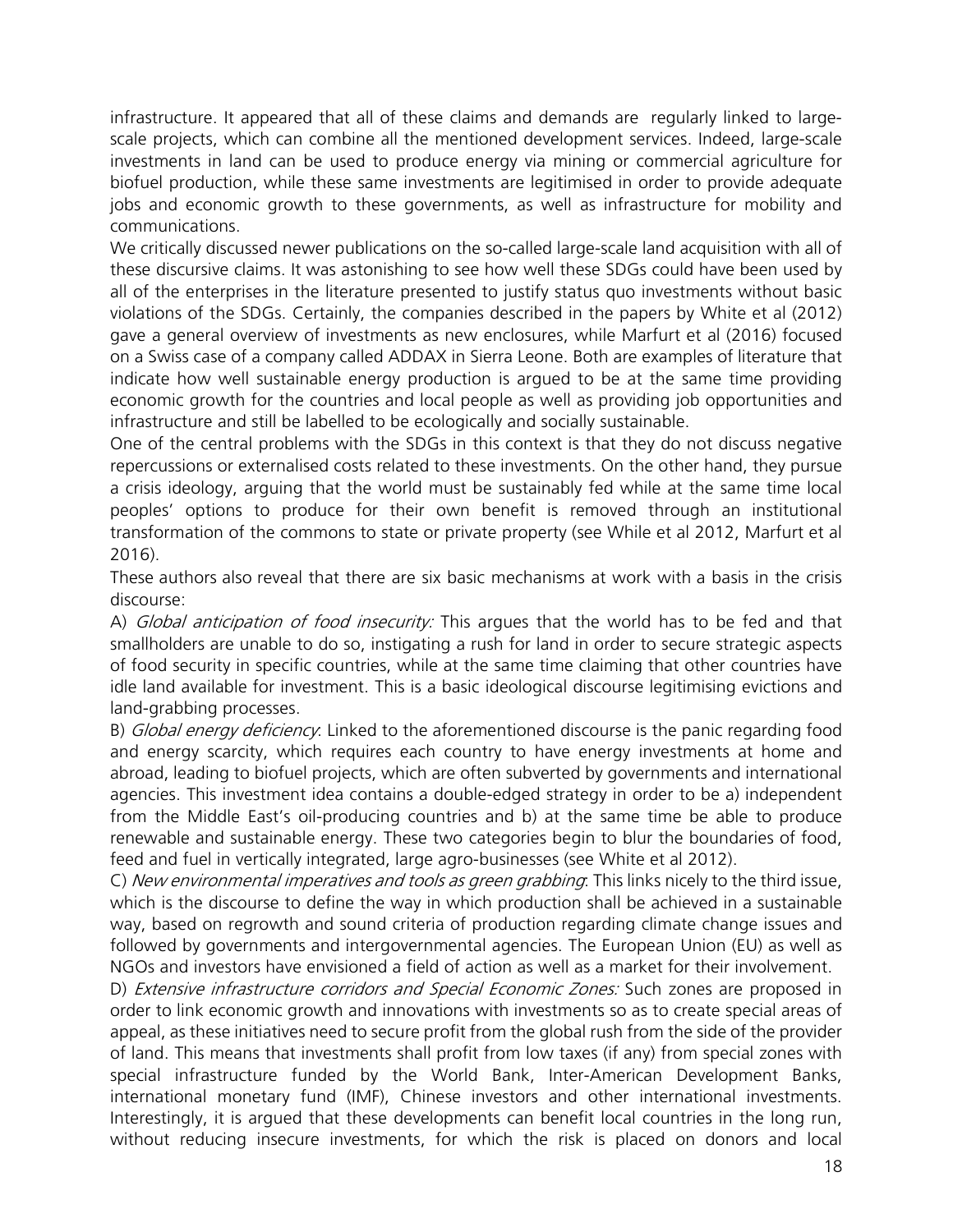infrastructure. It appeared that all of these claims and demands are regularly linked to largescale projects, which can combine all the mentioned development services. Indeed, large-scale investments in land can be used to produce energy via mining or commercial agriculture for biofuel production, while these same investments are legitimised in order to provide adequate jobs and economic growth to these governments, as well as infrastructure for mobility and communications.

We critically discussed newer publications on the so-called large-scale land acquisition with all of these discursive claims. It was astonishing to see how well these SDGs could have been used by all of the enterprises in the literature presented to justify status quo investments without basic violations of the SDGs. Certainly, the companies described in the papers by White et al (2012) gave a general overview of investments as new enclosures, while Marfurt et al (2016) focused on a Swiss case of a company called ADDAX in Sierra Leone. Both are examples of literature that indicate how well sustainable energy production is argued to be at the same time providing economic growth for the countries and local people as well as providing job opportunities and infrastructure and still be labelled to be ecologically and socially sustainable.

One of the central problems with the SDGs in this context is that they do not discuss negative repercussions or externalised costs related to these investments. On the other hand, they pursue a crisis ideology, arguing that the world must be sustainably fed while at the same time local peoples' options to produce for their own benefit is removed through an institutional transformation of the commons to state or private property (see While et al 2012, Marfurt et al 2016).

These authors also reveal that there are six basic mechanisms at work with a basis in the crisis discourse:

A) Global anticipation of food insecurity: This argues that the world has to be fed and that smallholders are unable to do so, instigating a rush for land in order to secure strategic aspects of food security in specific countries, while at the same time claiming that other countries have idle land available for investment. This is a basic ideological discourse legitimising evictions and land-grabbing processes.

B) *Global energy deficiency*: Linked to the aforementioned discourse is the panic regarding food and energy scarcity, which requires each country to have energy investments at home and abroad, leading to biofuel projects, which are often subverted by governments and international agencies. This investment idea contains a double-edged strategy in order to be a) independent from the Middle East's oil-producing countries and b) at the same time be able to produce renewable and sustainable energy. These two categories begin to blur the boundaries of food, feed and fuel in vertically integrated, large agro-businesses (see White et al 2012).

C) New environmental imperatives and tools as green grabbing. This links nicely to the third issue, which is the discourse to define the way in which production shall be achieved in a sustainable way, based on regrowth and sound criteria of production regarding climate change issues and followed by governments and intergovernmental agencies. The European Union (EU) as well as NGOs and investors have envisioned a field of action as well as a market for their involvement.

D) Extensive infrastructure corridors and Special Economic Zones: Such zones are proposed in order to link economic growth and innovations with investments so as to create special areas of appeal, as these initiatives need to secure profit from the global rush from the side of the provider of land. This means that investments shall profit from low taxes (if any) from special zones with special infrastructure funded by the World Bank, Inter-American Development Banks, international monetary fund (IMF), Chinese investors and other international investments. Interestingly, it is argued that these developments can benefit local countries in the long run, without reducing insecure investments, for which the risk is placed on donors and local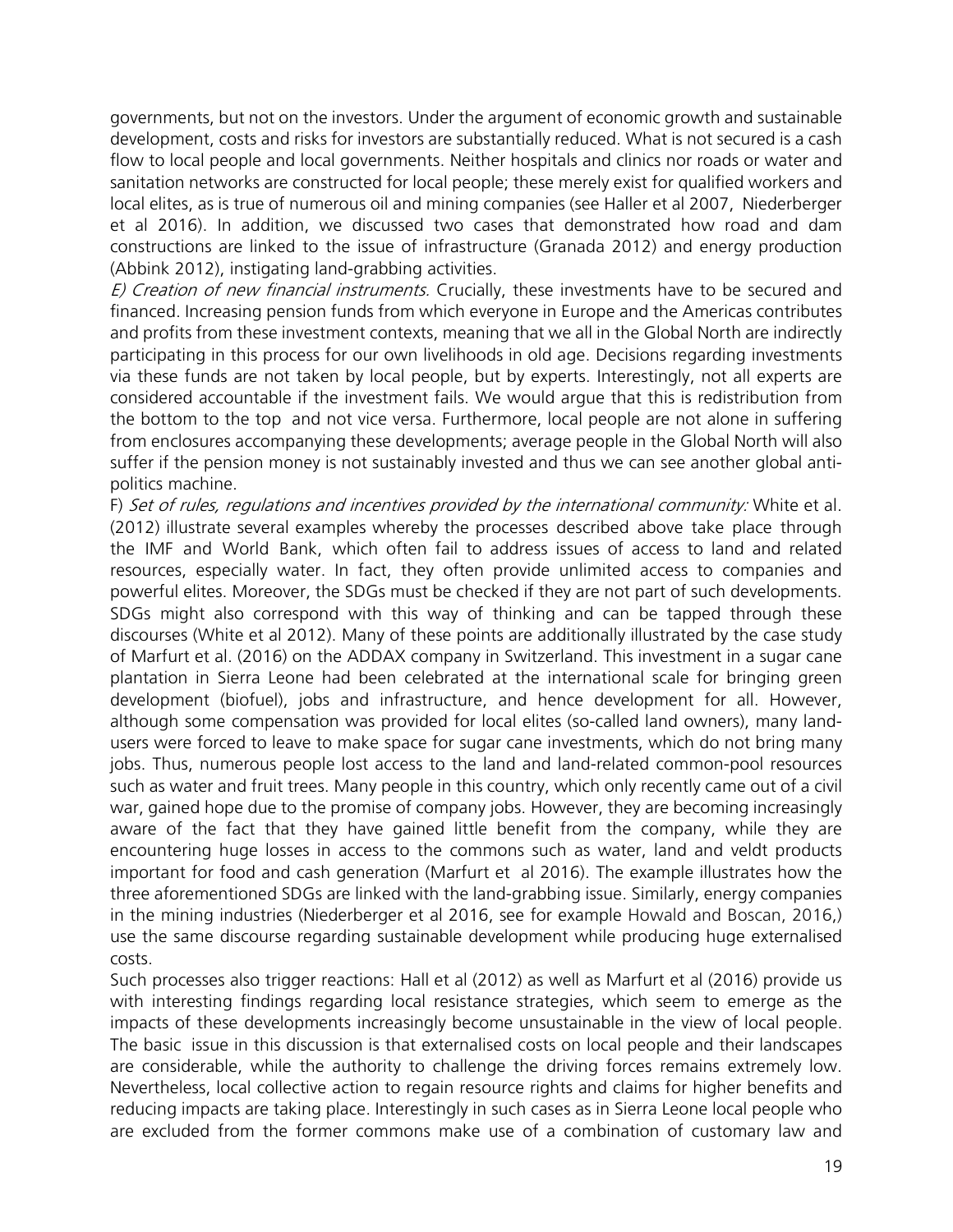governments, but not on the investors. Under the argument of economic growth and sustainable development, costs and risks for investors are substantially reduced. What is not secured is a cash flow to local people and local governments. Neither hospitals and clinics nor roads or water and sanitation networks are constructed for local people; these merely exist for qualified workers and local elites, as is true of numerous oil and mining companies (see Haller et al 2007, Niederberger et al 2016). In addition, we discussed two cases that demonstrated how road and dam constructions are linked to the issue of infrastructure (Granada 2012) and energy production (Abbink 2012), instigating land-grabbing activities.

E) Creation of new financial instruments. Crucially, these investments have to be secured and financed. Increasing pension funds from which everyone in Europe and the Americas contributes and profits from these investment contexts, meaning that we all in the Global North are indirectly participating in this process for our own livelihoods in old age. Decisions regarding investments via these funds are not taken by local people, but by experts. Interestingly, not all experts are considered accountable if the investment fails. We would argue that this is redistribution from the bottom to the top and not vice versa. Furthermore, local people are not alone in suffering from enclosures accompanying these developments; average people in the Global North will also suffer if the pension money is not sustainably invested and thus we can see another global antipolitics machine.

F) Set of rules, regulations and incentives provided by the international community: White et al. (2012) illustrate several examples whereby the processes described above take place through the IMF and World Bank, which often fail to address issues of access to land and related resources, especially water. In fact, they often provide unlimited access to companies and powerful elites. Moreover, the SDGs must be checked if they are not part of such developments. SDGs might also correspond with this way of thinking and can be tapped through these discourses (White et al 2012). Many of these points are additionally illustrated by the case study of Marfurt et al. (2016) on the ADDAX company in Switzerland. This investment in a sugar cane plantation in Sierra Leone had been celebrated at the international scale for bringing green development (biofuel), jobs and infrastructure, and hence development for all. However, although some compensation was provided for local elites (so-called land owners), many landusers were forced to leave to make space for sugar cane investments, which do not bring many jobs. Thus, numerous people lost access to the land and land-related common-pool resources such as water and fruit trees. Many people in this country, which only recently came out of a civil war, gained hope due to the promise of company jobs. However, they are becoming increasingly aware of the fact that they have gained little benefit from the company, while they are encountering huge losses in access to the commons such as water, land and veldt products important for food and cash generation (Marfurt et al 2016). The example illustrates how the three aforementioned SDGs are linked with the land-grabbing issue. Similarly, energy companies in the mining industries (Niederberger et al 2016, see for example Howald and Boscan, 2016,) use the same discourse regarding sustainable development while producing huge externalised costs.

Such processes also trigger reactions: Hall et al (2012) as well as Marfurt et al (2016) provide us with interesting findings regarding local resistance strategies, which seem to emerge as the impacts of these developments increasingly become unsustainable in the view of local people. The basic issue in this discussion is that externalised costs on local people and their landscapes are considerable, while the authority to challenge the driving forces remains extremely low. Nevertheless, local collective action to regain resource rights and claims for higher benefits and reducing impacts are taking place. Interestingly in such cases as in Sierra Leone local people who are excluded from the former commons make use of a combination of customary law and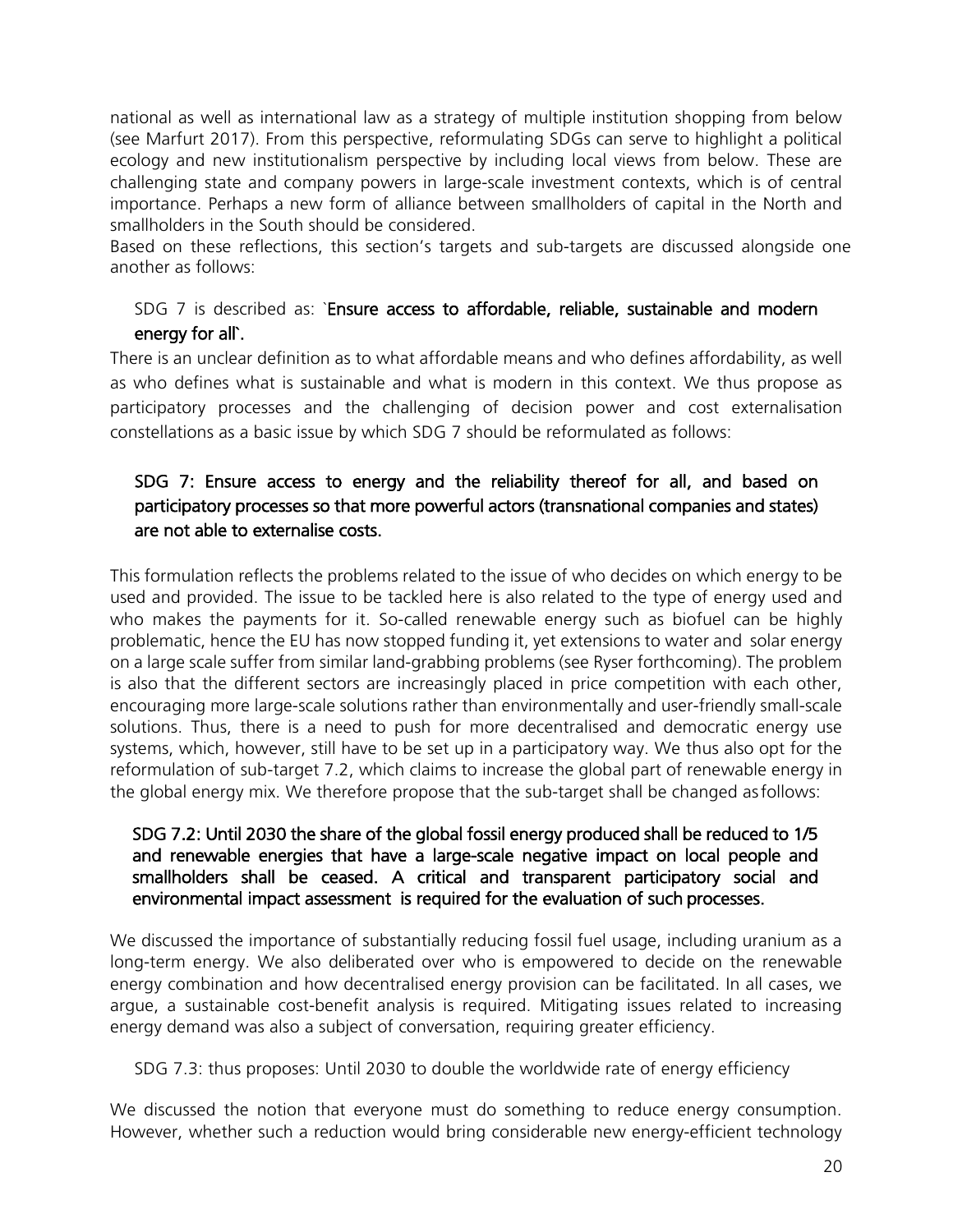national as well as international law as a strategy of multiple institution shopping from below (see Marfurt 2017). From this perspective, reformulating SDGs can serve to highlight a political ecology and new institutionalism perspective by including local views from below. These are challenging state and company powers in large-scale investment contexts, which is of central importance. Perhaps a new form of alliance between smallholders of capital in the North and smallholders in the South should be considered.

Based on these reflections, this section's targets and sub-targets are discussed alongside one another as follows:

## SDG 7 is described as: `Ensure access to affordable, reliable, sustainable and modern energy for all`.

There is an unclear definition as to what affordable means and who defines affordability, as well as who defines what is sustainable and what is modern in this context. We thus propose as participatory processes and the challenging of decision power and cost externalisation constellations as a basic issue by which SDG 7 should be reformulated as follows:

## SDG 7: Ensure access to energy and the reliability thereof for all, and based on participatory processes so that more powerful actors (transnational companies and states) are not able to externalise costs.

This formulation reflects the problems related to the issue of who decides on which energy to be used and provided. The issue to be tackled here is also related to the type of energy used and who makes the payments for it. So-called renewable energy such as biofuel can be highly problematic, hence the EU has now stopped funding it, yet extensions to water and solar energy on a large scale suffer from similar land-grabbing problems (see Ryser forthcoming). The problem is also that the different sectors are increasingly placed in price competition with each other, encouraging more large-scale solutions rather than environmentally and user-friendly small-scale solutions. Thus, there is a need to push for more decentralised and democratic energy use systems, which, however, still have to be set up in a participatory way. We thus also opt for the reformulation of sub-target 7.2, which claims to increase the global part of renewable energy in the global energy mix. We therefore propose that the sub-target shall be changed asfollows:

#### SDG 7.2: Until 2030 the share of the global fossil energy produced shall be reduced to 1/5 and renewable energies that have a large-scale negative impact on local people and smallholders shall be ceased. A critical and transparent participatory social and environmental impact assessment is required for the evaluation of such processes.

We discussed the importance of substantially reducing fossil fuel usage, including uranium as a long-term energy. We also deliberated over who is empowered to decide on the renewable energy combination and how decentralised energy provision can be facilitated. In all cases, we argue, a sustainable cost-benefit analysis is required. Mitigating issues related to increasing energy demand was also a subject of conversation, requiring greater efficiency.

#### SDG 7.3: thus proposes: Until 2030 to double the worldwide rate of energy efficiency

We discussed the notion that everyone must do something to reduce energy consumption. However, whether such a reduction would bring considerable new energy-efficient technology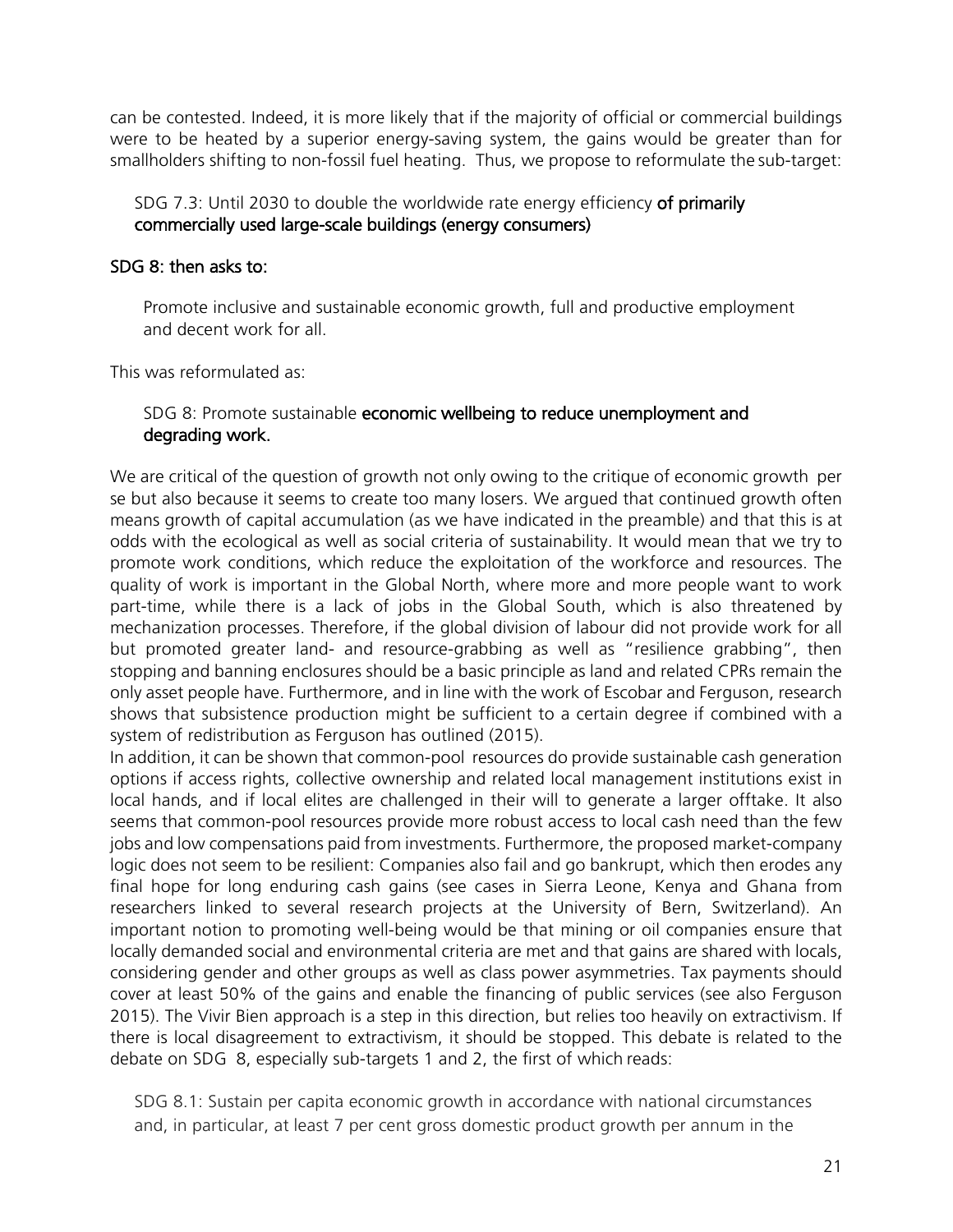can be contested. Indeed, it is more likely that if the majority of official or commercial buildings were to be heated by a superior energy-saving system, the gains would be greater than for smallholders shifting to non-fossil fuel heating. Thus, we propose to reformulate the sub-target:

#### SDG 7.3: Until 2030 to double the worldwide rate energy efficiency of primarily commercially used large-scale buildings (energy consumers)

#### SDG 8: then asks to:

Promote inclusive and sustainable economic growth, full and productive employment and decent work for all.

This was reformulated as:

#### SDG 8: Promote sustainable economic wellbeing to reduce unemployment and degrading work.

We are critical of the question of growth not only owing to the critique of economic growth per se but also because it seems to create too many losers. We argued that continued growth often means growth of capital accumulation (as we have indicated in the preamble) and that this is at odds with the ecological as well as social criteria of sustainability. It would mean that we try to promote work conditions, which reduce the exploitation of the workforce and resources. The quality of work is important in the Global North, where more and more people want to work part-time, while there is a lack of jobs in the Global South, which is also threatened by mechanization processes. Therefore, if the global division of labour did not provide work for all but promoted greater land- and resource-grabbing as well as "resilience grabbing", then stopping and banning enclosures should be a basic principle as land and related CPRs remain the only asset people have. Furthermore, and in line with the work of Escobar and Ferguson, research shows that subsistence production might be sufficient to a certain degree if combined with a system of redistribution as Ferguson has outlined (2015).

In addition, it can be shown that common-pool resources do provide sustainable cash generation options if access rights, collective ownership and related local management institutions exist in local hands, and if local elites are challenged in their will to generate a larger offtake. It also seems that common-pool resources provide more robust access to local cash need than the few jobs and low compensations paid from investments. Furthermore, the proposed market-company logic does not seem to be resilient: Companies also fail and go bankrupt, which then erodes any final hope for long enduring cash gains (see cases in Sierra Leone, Kenya and Ghana from researchers linked to several research projects at the University of Bern, Switzerland). An important notion to promoting well-being would be that mining or oil companies ensure that locally demanded social and environmental criteria are met and that gains are shared with locals, considering gender and other groups as well as class power asymmetries. Tax payments should cover at least 50% of the gains and enable the financing of public services (see also Ferguson 2015). The Vivir Bien approach is a step in this direction, but relies too heavily on extractivism. If there is local disagreement to extractivism, it should be stopped. This debate is related to the debate on SDG 8, especially sub-targets 1 and 2, the first of which reads:

SDG 8.1: Sustain per capita economic growth in accordance with national circumstances and, in particular, at least 7 per cent gross domestic product growth per annum in the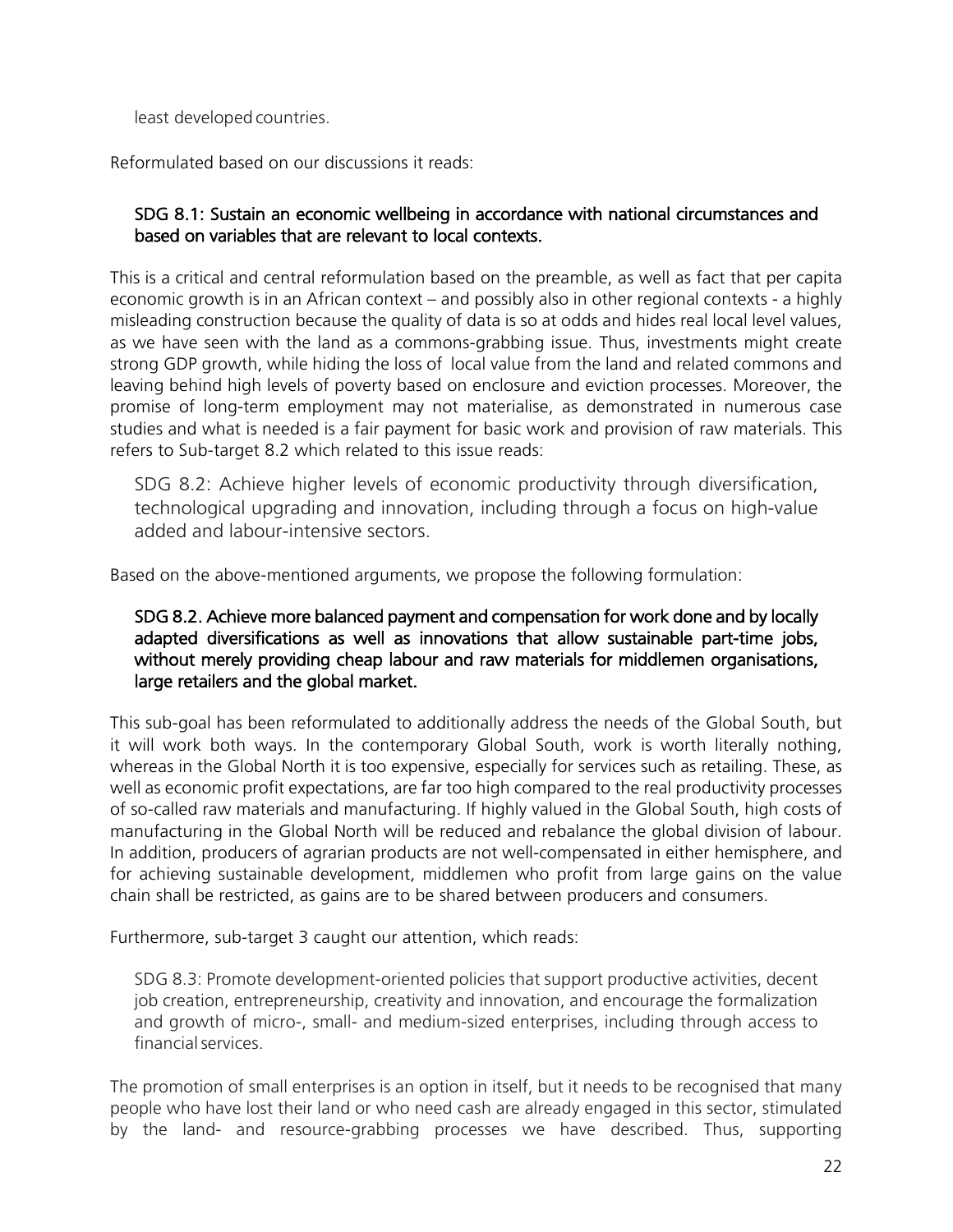least developed countries.

Reformulated based on our discussions it reads:

#### SDG 8.1: Sustain an economic wellbeing in accordance with national circumstances and based on variables that are relevant to local contexts.

This is a critical and central reformulation based on the preamble, as well as fact that per capita economic growth is in an African context – and possibly also in other regional contexts - a highly misleading construction because the quality of data is so at odds and hides real local level values, as we have seen with the land as a commons-grabbing issue. Thus, investments might create strong GDP growth, while hiding the loss of local value from the land and related commons and leaving behind high levels of poverty based on enclosure and eviction processes. Moreover, the promise of long-term employment may not materialise, as demonstrated in numerous case studies and what is needed is a fair payment for basic work and provision of raw materials. This refers to Sub-target 8.2 which related to this issue reads:

SDG 8.2: Achieve higher levels of economic productivity through diversification, technological upgrading and innovation, including through a focus on high-value added and labour-intensive sectors.

Based on the above-mentioned arguments, we propose the following formulation:

#### SDG 8.2. Achieve more balanced payment and compensation for work done and by locally adapted diversifications as well as innovations that allow sustainable part-time jobs, without merely providing cheap labour and raw materials for middlemen organisations, large retailers and the global market.

This sub-goal has been reformulated to additionally address the needs of the Global South, but it will work both ways. In the contemporary Global South, work is worth literally nothing, whereas in the Global North it is too expensive, especially for services such as retailing. These, as well as economic profit expectations, are far too high compared to the real productivity processes of so-called raw materials and manufacturing. If highly valued in the Global South, high costs of manufacturing in the Global North will be reduced and rebalance the global division of labour. In addition, producers of agrarian products are not well-compensated in either hemisphere, and for achieving sustainable development, middlemen who profit from large gains on the value chain shall be restricted, as gains are to be shared between producers and consumers.

Furthermore, sub-target 3 caught our attention, which reads:

SDG 8.3: Promote development-oriented policies that support productive activities, decent job creation, entrepreneurship, creativity and innovation, and encourage the formalization and growth of micro-, small- and medium-sized enterprises, including through access to financialservices.

The promotion of small enterprises is an option in itself, but it needs to be recognised that many people who have lost their land or who need cash are already engaged in this sector, stimulated by the land- and resource-grabbing processes we have described. Thus, supporting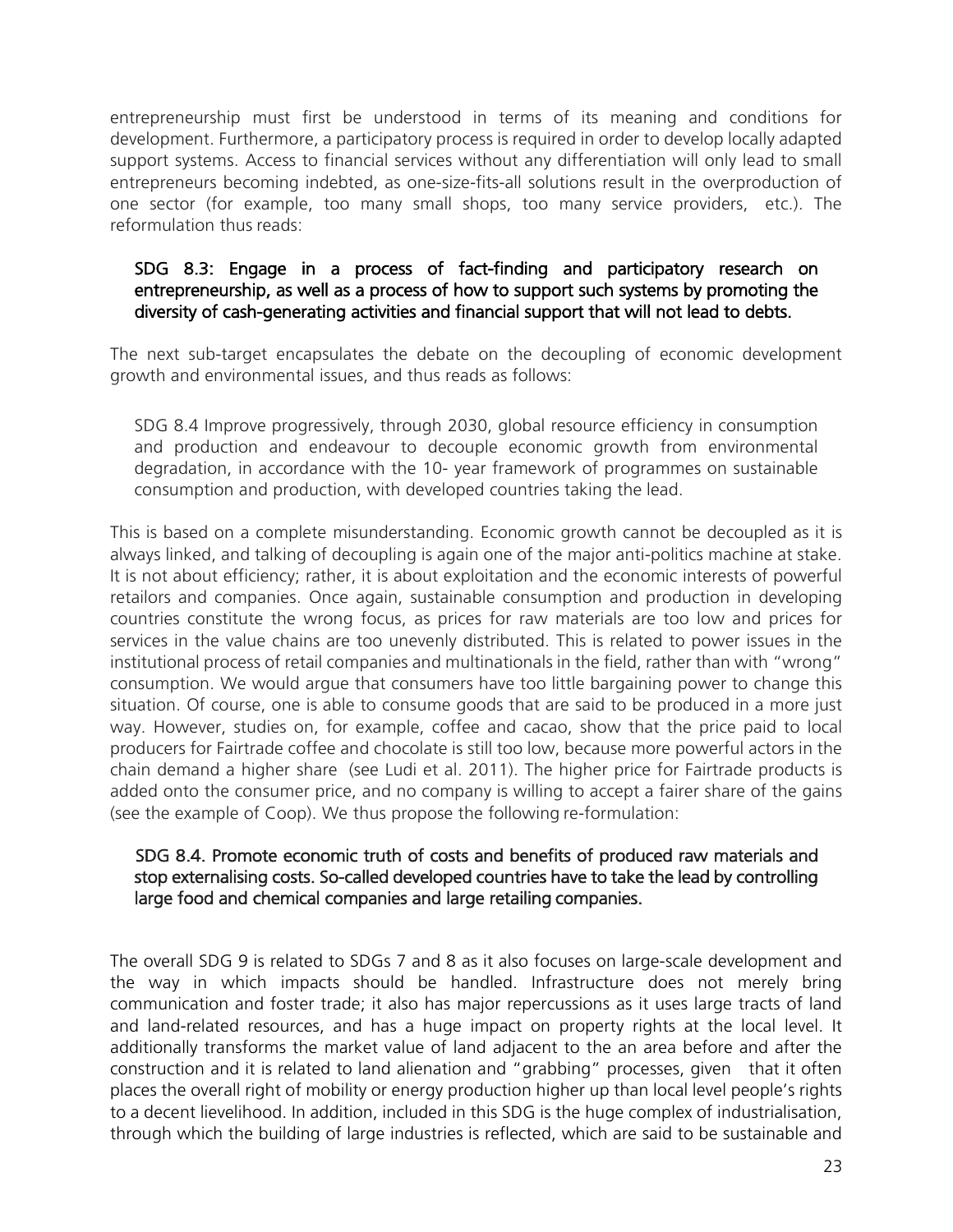entrepreneurship must first be understood in terms of its meaning and conditions for development. Furthermore, a participatory process is required in order to develop locally adapted support systems. Access to financial services without any differentiation will only lead to small entrepreneurs becoming indebted, as one-size-fits-all solutions result in the overproduction of one sector (for example, too many small shops, too many service providers, etc.). The reformulation thus reads:

#### SDG 8.3: Engage in a process of fact-finding and participatory research on entrepreneurship, as well as a process of how to support such systems by promoting the diversity of cash-generating activities and financial support that will not lead to debts.

The next sub-target encapsulates the debate on the decoupling of economic development growth and environmental issues, and thus reads as follows:

SDG 8.4 Improve progressively, through 2030, global resource efficiency in consumption and production and endeavour to decouple economic growth from environmental degradation, in accordance with the 10- year framework of programmes on sustainable consumption and production, with developed countries taking the lead.

This is based on a complete misunderstanding. Economic growth cannot be decoupled as it is always linked, and talking of decoupling is again one of the major anti-politics machine at stake. It is not about efficiency; rather, it is about exploitation and the economic interests of powerful retailors and companies. Once again, sustainable consumption and production in developing countries constitute the wrong focus, as prices for raw materials are too low and prices for services in the value chains are too unevenly distributed. This is related to power issues in the institutional process of retail companies and multinationals in the field, rather than with "wrong" consumption. We would argue that consumers have too little bargaining power to change this situation. Of course, one is able to consume goods that are said to be produced in a more just way. However, studies on, for example, coffee and cacao, show that the price paid to local producers for Fairtrade coffee and chocolate is still too low, because more powerful actors in the chain demand a higher share (see Ludi et al. 2011). The higher price for Fairtrade products is added onto the consumer price, and no company is willing to accept a fairer share of the gains (see the example of Coop). We thus propose the following re-formulation:

#### SDG 8.4. Promote economic truth of costs and benefits of produced raw materials and stop externalising costs. So-called developed countries have to take the lead by controlling large food and chemical companies and large retailing companies.

The overall SDG 9 is related to SDGs 7 and 8 as it also focuses on large-scale development and the way in which impacts should be handled. Infrastructure does not merely bring communication and foster trade; it also has major repercussions as it uses large tracts of land and land-related resources, and has a huge impact on property rights at the local level. It additionally transforms the market value of land adjacent to the an area before and after the construction and it is related to land alienation and "grabbing" processes, given that it often places the overall right of mobility or energy production higher up than local level people's rights to a decent lievelihood. In addition, included in this SDG is the huge complex of industrialisation, through which the building of large industries is reflected, which are said to be sustainable and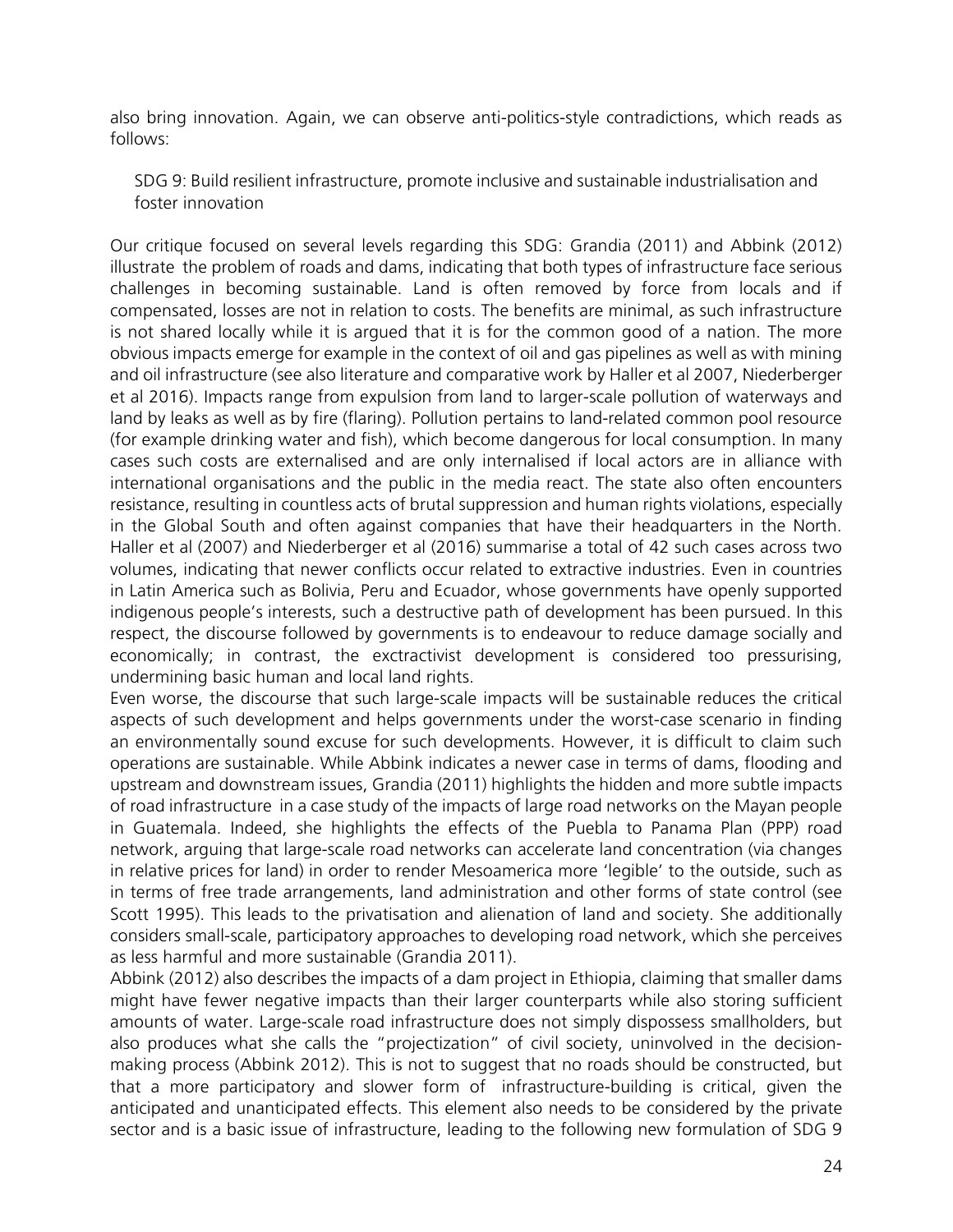also bring innovation. Again, we can observe anti-politics-style contradictions, which reads as follows:

SDG 9: Build resilient infrastructure, promote inclusive and sustainable industrialisation and foster innovation

Our critique focused on several levels regarding this SDG: Grandia (2011) and Abbink (2012) illustrate the problem of roads and dams, indicating that both types of infrastructure face serious challenges in becoming sustainable. Land is often removed by force from locals and if compensated, losses are not in relation to costs. The benefits are minimal, as such infrastructure is not shared locally while it is argued that it is for the common good of a nation. The more obvious impacts emerge for example in the context of oil and gas pipelines as well as with mining and oil infrastructure (see also literature and comparative work by Haller et al 2007, Niederberger et al 2016). Impacts range from expulsion from land to larger-scale pollution of waterways and land by leaks as well as by fire (flaring). Pollution pertains to land-related common pool resource (for example drinking water and fish), which become dangerous for local consumption. In many cases such costs are externalised and are only internalised if local actors are in alliance with international organisations and the public in the media react. The state also often encounters resistance, resulting in countless acts of brutal suppression and human rights violations, especially in the Global South and often against companies that have their headquarters in the North. Haller et al (2007) and Niederberger et al (2016) summarise a total of 42 such cases across two volumes, indicating that newer conflicts occur related to extractive industries. Even in countries in Latin America such as Bolivia, Peru and Ecuador, whose governments have openly supported indigenous people's interests, such a destructive path of development has been pursued. In this respect, the discourse followed by governments is to endeavour to reduce damage socially and economically; in contrast, the exctractivist development is considered too pressurising, undermining basic human and local land rights.

Even worse, the discourse that such large-scale impacts will be sustainable reduces the critical aspects of such development and helps governments under the worst-case scenario in finding an environmentally sound excuse for such developments. However, it is difficult to claim such operations are sustainable. While Abbink indicates a newer case in terms of dams, flooding and upstream and downstream issues, Grandia (2011) highlights the hidden and more subtle impacts of road infrastructure in a case study of the impacts of large road networks on the Mayan people in Guatemala. Indeed, she highlights the effects of the Puebla to Panama Plan (PPP) road network, arguing that large-scale road networks can accelerate land concentration (via changes in relative prices for land) in order to render Mesoamerica more 'legible' to the outside, such as in terms of free trade arrangements, land administration and other forms of state control (see Scott 1995). This leads to the privatisation and alienation of land and society. She additionally considers small-scale, participatory approaches to developing road network, which she perceives as less harmful and more sustainable (Grandia 2011).

Abbink (2012) also describes the impacts of a dam project in Ethiopia, claiming that smaller dams might have fewer negative impacts than their larger counterparts while also storing sufficient amounts of water. Large-scale road infrastructure does not simply dispossess smallholders, but also produces what she calls the "projectization" of civil society, uninvolved in the decisionmaking process (Abbink 2012). This is not to suggest that no roads should be constructed, but that a more participatory and slower form of infrastructure-building is critical, given the anticipated and unanticipated effects. This element also needs to be considered by the private sector and is a basic issue of infrastructure, leading to the following new formulation of SDG 9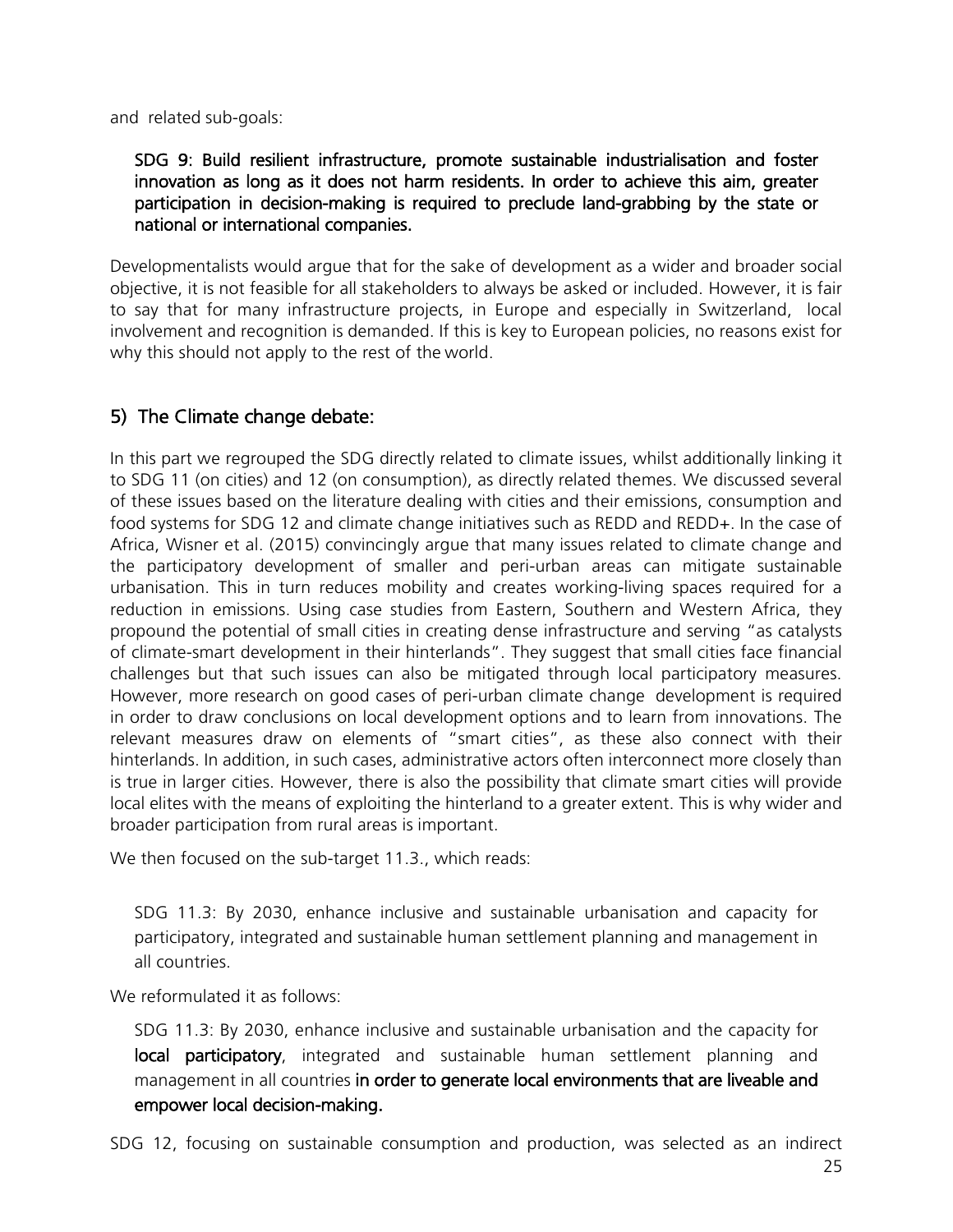and related sub-goals:

#### SDG 9: Build resilient infrastructure, promote sustainable industrialisation and foster innovation as long as it does not harm residents. In order to achieve this aim, greater participation in decision-making is required to preclude land-grabbing by the state or national or international companies.

Developmentalists would argue that for the sake of development as a wider and broader social objective, it is not feasible for all stakeholders to always be asked or included. However, it is fair to say that for many infrastructure projects, in Europe and especially in Switzerland, local involvement and recognition is demanded. If this is key to European policies, no reasons exist for why this should not apply to the rest of the world.

## 5) The Climate change debate:

In this part we regrouped the SDG directly related to climate issues, whilst additionally linking it to SDG 11 (on cities) and 12 (on consumption), as directly related themes. We discussed several of these issues based on the literature dealing with cities and their emissions, consumption and food systems for SDG 12 and climate change initiatives such as REDD and REDD+. In the case of Africa, Wisner et al. (2015) convincingly argue that many issues related to climate change and the participatory development of smaller and peri-urban areas can mitigate sustainable urbanisation. This in turn reduces mobility and creates working-living spaces required for a reduction in emissions. Using case studies from Eastern, Southern and Western Africa, they propound the potential of small cities in creating dense infrastructure and serving "as catalysts of climate-smart development in their hinterlands". They suggest that small cities face financial challenges but that such issues can also be mitigated through local participatory measures. However, more research on good cases of peri-urban climate change development is required in order to draw conclusions on local development options and to learn from innovations. The relevant measures draw on elements of "smart cities", as these also connect with their hinterlands. In addition, in such cases, administrative actors often interconnect more closely than is true in larger cities. However, there is also the possibility that climate smart cities will provide local elites with the means of exploiting the hinterland to a greater extent. This is why wider and broader participation from rural areas is important.

We then focused on the sub-target 11.3., which reads:

SDG 11.3: By 2030, enhance inclusive and sustainable urbanisation and capacity for participatory, integrated and sustainable human settlement planning and management in all countries.

We reformulated it as follows:

SDG 11.3: By 2030, enhance inclusive and sustainable urbanisation and the capacity for local participatory, integrated and sustainable human settlement planning and management in all countries in order to generate local environments that are liveable and empower local decision-making.

SDG 12, focusing on sustainable consumption and production, was selected as an indirect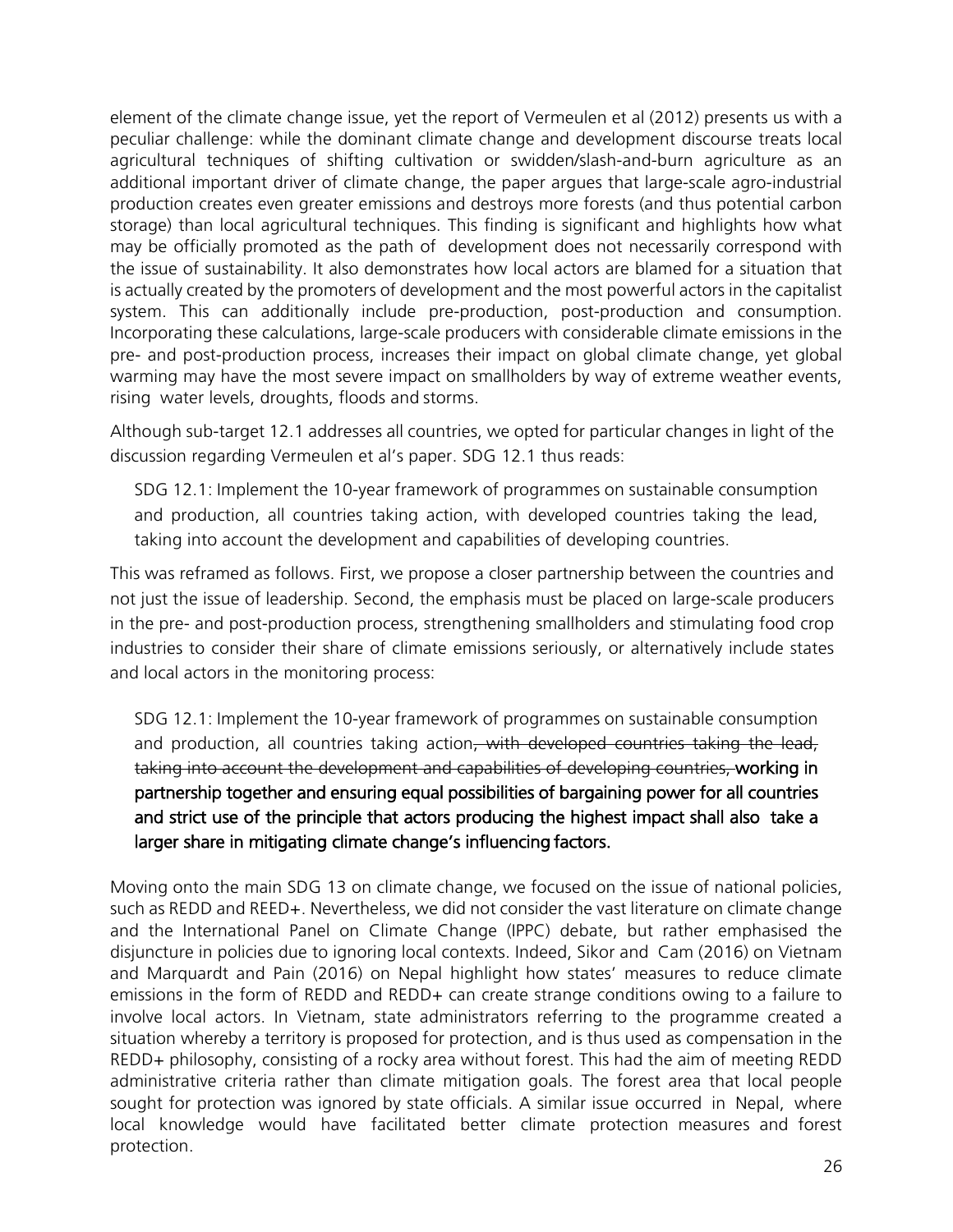element of the climate change issue, yet the report of Vermeulen et al (2012) presents us with a peculiar challenge: while the dominant climate change and development discourse treats local agricultural techniques of shifting cultivation or swidden/slash-and-burn agriculture as an additional important driver of climate change, the paper argues that large-scale agro-industrial production creates even greater emissions and destroys more forests (and thus potential carbon storage) than local agricultural techniques. This finding is significant and highlights how what may be officially promoted as the path of development does not necessarily correspond with the issue of sustainability. It also demonstrates how local actors are blamed for a situation that is actually created by the promoters of development and the most powerful actors in the capitalist system. This can additionally include pre-production, post-production and consumption. Incorporating these calculations, large-scale producers with considerable climate emissions in the pre- and post-production process, increases their impact on global climate change, yet global warming may have the most severe impact on smallholders by way of extreme weather events, rising water levels, droughts, floods and storms.

Although sub-target 12.1 addresses all countries, we opted for particular changes in light of the discussion regarding Vermeulen et al's paper. SDG 12.1 thus reads:

SDG 12.1: Implement the 10-year framework of programmes on sustainable consumption and production, all countries taking action, with developed countries taking the lead, taking into account the development and capabilities of developing countries.

This was reframed as follows. First, we propose a closer partnership between the countries and not just the issue of leadership. Second, the emphasis must be placed on large-scale producers in the pre- and post-production process, strengthening smallholders and stimulating food crop industries to consider their share of climate emissions seriously, or alternatively include states and local actors in the monitoring process:

SDG 12.1: Implement the 10-year framework of programmes on sustainable consumption and production, all countries taking action, with developed countries taking the lead, taking into account the development and capabilities of developing countries, working in partnership together and ensuring equal possibilities of bargaining power for all countries and strict use of the principle that actors producing the highest impact shall also take a larger share in mitigating climate change's influencing factors.

Moving onto the main SDG 13 on climate change, we focused on the issue of national policies, such as REDD and REED+. Nevertheless, we did not consider the vast literature on climate change and the International Panel on Climate Change (IPPC) debate, but rather emphasised the disjuncture in policies due to ignoring local contexts. Indeed, Sikor and Cam (2016) on Vietnam and Marquardt and Pain (2016) on Nepal highlight how states' measures to reduce climate emissions in the form of REDD and REDD+ can create strange conditions owing to a failure to involve local actors. In Vietnam, state administrators referring to the programme created a situation whereby a territory is proposed for protection, and is thus used as compensation in the REDD+ philosophy, consisting of a rocky area without forest. This had the aim of meeting REDD administrative criteria rather than climate mitigation goals. The forest area that local people sought for protection was ignored by state officials. A similar issue occurred in Nepal, where local knowledge would have facilitated better climate protection measures and forest protection.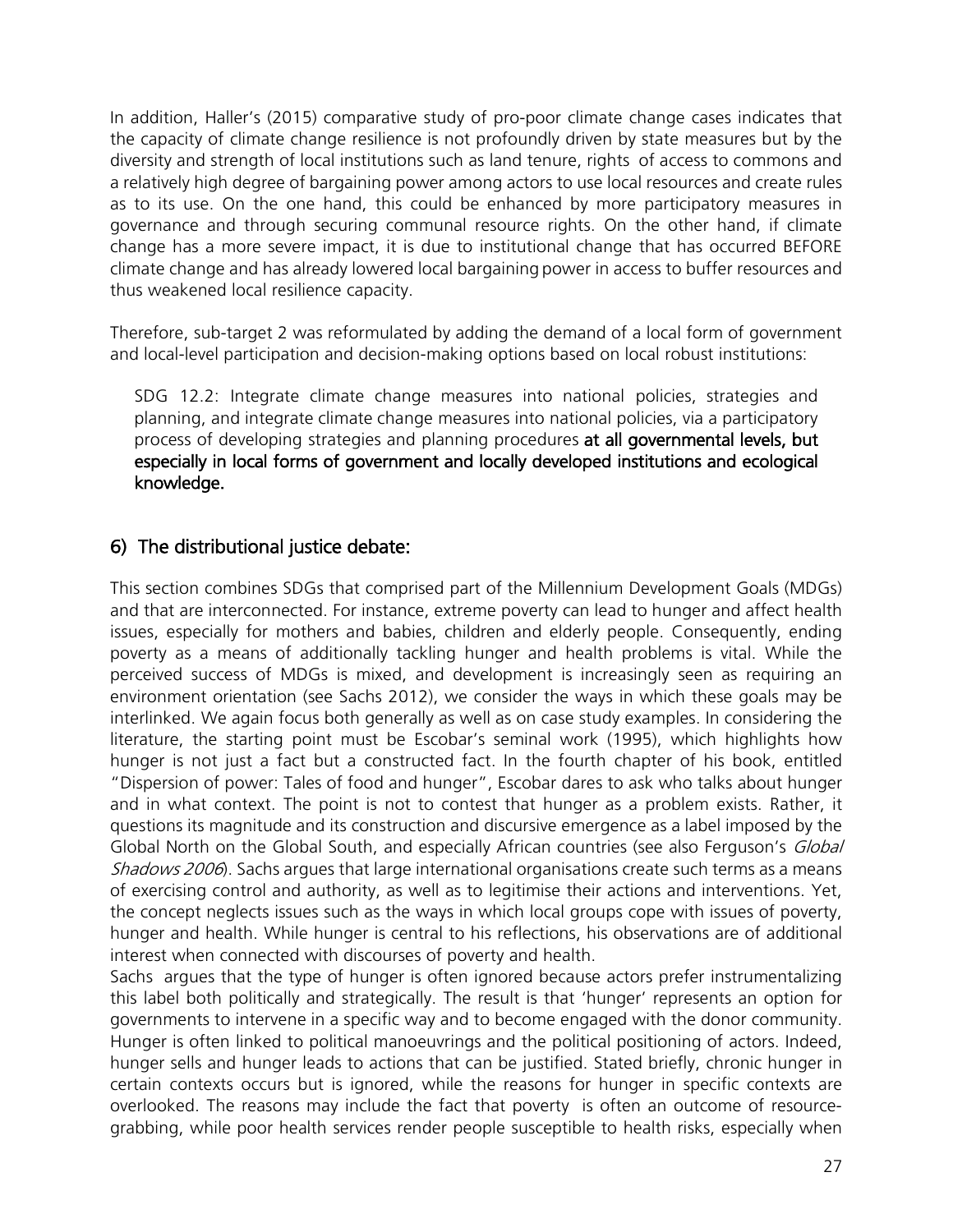In addition, Haller's (2015) comparative study of pro-poor climate change cases indicates that the capacity of climate change resilience is not profoundly driven by state measures but by the diversity and strength of local institutions such as land tenure, rights of access to commons and a relatively high degree of bargaining power among actors to use local resources and create rules as to its use. On the one hand, this could be enhanced by more participatory measures in governance and through securing communal resource rights. On the other hand, if climate change has a more severe impact, it is due to institutional change that has occurred BEFORE climate change and has already lowered local bargaining power in access to buffer resources and thus weakened local resilience capacity.

Therefore, sub-target 2 was reformulated by adding the demand of a local form of government and local-level participation and decision-making options based on local robust institutions:

SDG 12.2: Integrate climate change measures into national policies, strategies and planning, and integrate climate change measures into national policies, via a participatory process of developing strategies and planning procedures at all governmental levels, but especially in local forms of government and locally developed institutions and ecological knowledge.

## 6) The distributional justice debate:

This section combines SDGs that comprised part of the Millennium Development Goals (MDGs) and that are interconnected. For instance, extreme poverty can lead to hunger and affect health issues, especially for mothers and babies, children and elderly people. Consequently, ending poverty as a means of additionally tackling hunger and health problems is vital. While the perceived success of MDGs is mixed, and development is increasingly seen as requiring an environment orientation (see Sachs 2012), we consider the ways in which these goals may be interlinked. We again focus both generally as well as on case study examples. In considering the literature, the starting point must be Escobar's seminal work (1995), which highlights how hunger is not just a fact but a constructed fact. In the fourth chapter of his book, entitled "Dispersion of power: Tales of food and hunger", Escobar dares to ask who talks about hunger and in what context. The point is not to contest that hunger as a problem exists. Rather, it questions its magnitude and its construction and discursive emergence as a label imposed by the Global North on the Global South, and especially African countries (see also Ferguson's Global Shadows 2006). Sachs argues that large international organisations create such terms as a means of exercising control and authority, as well as to legitimise their actions and interventions. Yet, the concept neglects issues such as the ways in which local groups cope with issues of poverty, hunger and health. While hunger is central to his reflections, his observations are of additional interest when connected with discourses of poverty and health.

Sachs argues that the type of hunger is often ignored because actors prefer instrumentalizing this label both politically and strategically. The result is that 'hunger' represents an option for governments to intervene in a specific way and to become engaged with the donor community. Hunger is often linked to political manoeuvrings and the political positioning of actors. Indeed, hunger sells and hunger leads to actions that can be justified. Stated briefly, chronic hunger in certain contexts occurs but is ignored, while the reasons for hunger in specific contexts are overlooked. The reasons may include the fact that poverty is often an outcome of resourcegrabbing, while poor health services render people susceptible to health risks, especially when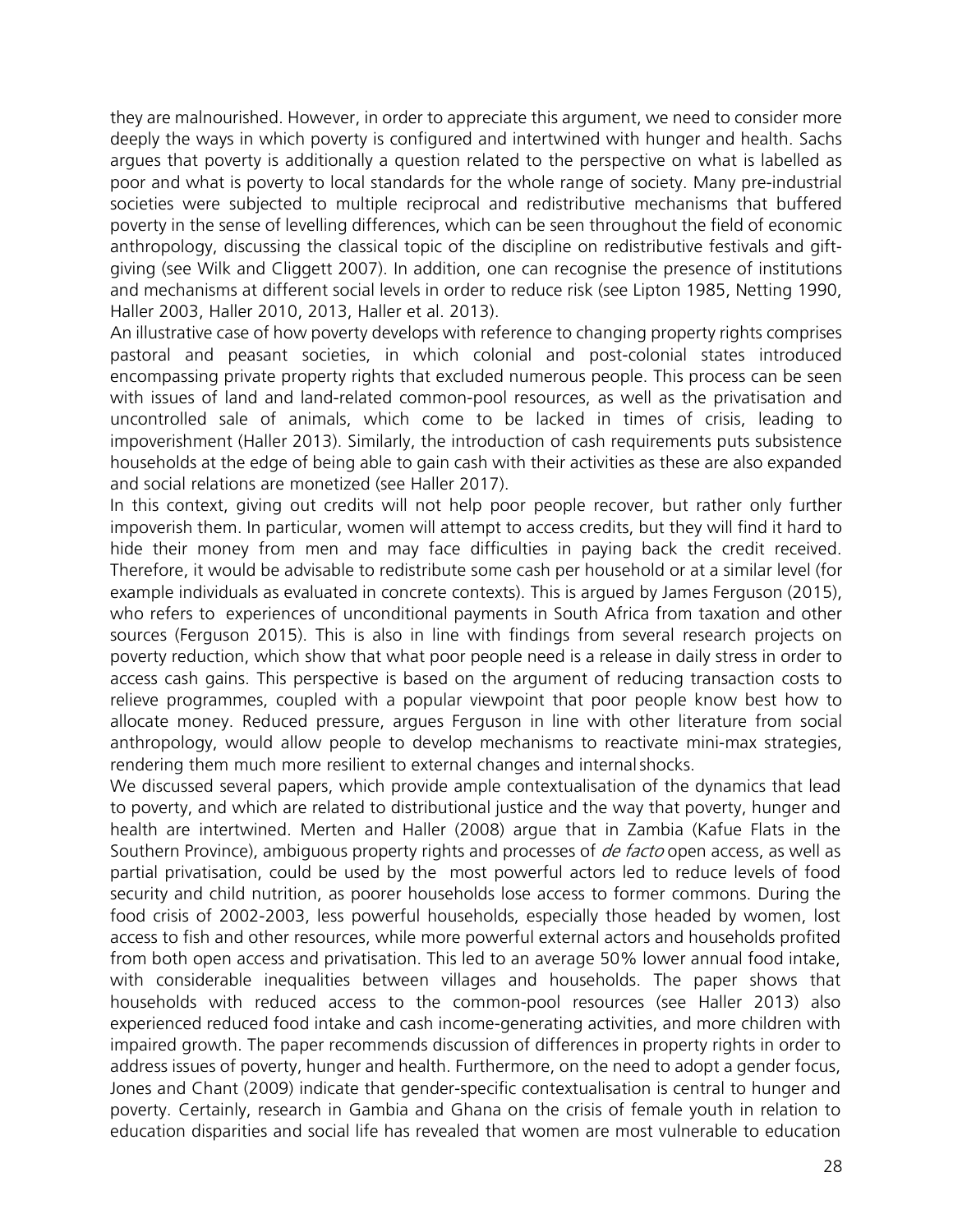they are malnourished. However, in order to appreciate this argument, we need to consider more deeply the ways in which poverty is configured and intertwined with hunger and health. Sachs argues that poverty is additionally a question related to the perspective on what is labelled as poor and what is poverty to local standards for the whole range of society. Many pre-industrial societies were subjected to multiple reciprocal and redistributive mechanisms that buffered poverty in the sense of levelling differences, which can be seen throughout the field of economic anthropology, discussing the classical topic of the discipline on redistributive festivals and giftgiving (see Wilk and Cliggett 2007). In addition, one can recognise the presence of institutions and mechanisms at different social levels in order to reduce risk (see Lipton 1985, Netting 1990, Haller 2003, Haller 2010, 2013, Haller et al. 2013).

An illustrative case of how poverty develops with reference to changing property rights comprises pastoral and peasant societies, in which colonial and post-colonial states introduced encompassing private property rights that excluded numerous people. This process can be seen with issues of land and land-related common-pool resources, as well as the privatisation and uncontrolled sale of animals, which come to be lacked in times of crisis, leading to impoverishment (Haller 2013). Similarly, the introduction of cash requirements puts subsistence households at the edge of being able to gain cash with their activities as these are also expanded and social relations are monetized (see Haller 2017).

In this context, giving out credits will not help poor people recover, but rather only further impoverish them. In particular, women will attempt to access credits, but they will find it hard to hide their money from men and may face difficulties in paying back the credit received. Therefore, it would be advisable to redistribute some cash per household or at a similar level (for example individuals as evaluated in concrete contexts). This is argued by James Ferguson (2015), who refers to experiences of unconditional payments in South Africa from taxation and other sources (Ferguson 2015). This is also in line with findings from several research projects on poverty reduction, which show that what poor people need is a release in daily stress in order to access cash gains. This perspective is based on the argument of reducing transaction costs to relieve programmes, coupled with a popular viewpoint that poor people know best how to allocate money. Reduced pressure, argues Ferguson in line with other literature from social anthropology, would allow people to develop mechanisms to reactivate mini-max strategies, rendering them much more resilient to external changes and internalshocks.

We discussed several papers, which provide ample contextualisation of the dynamics that lead to poverty, and which are related to distributional justice and the way that poverty, hunger and health are intertwined. Merten and Haller (2008) argue that in Zambia (Kafue Flats in the Southern Province), ambiguous property rights and processes of *de facto* open access, as well as partial privatisation, could be used by the most powerful actors led to reduce levels of food security and child nutrition, as poorer households lose access to former commons. During the food crisis of 2002-2003, less powerful households, especially those headed by women, lost access to fish and other resources, while more powerful external actors and households profited from both open access and privatisation. This led to an average 50% lower annual food intake, with considerable inequalities between villages and households. The paper shows that households with reduced access to the common-pool resources (see Haller 2013) also experienced reduced food intake and cash income-generating activities, and more children with impaired growth. The paper recommends discussion of differences in property rights in order to address issues of poverty, hunger and health. Furthermore, on the need to adopt a gender focus, Jones and Chant (2009) indicate that gender-specific contextualisation is central to hunger and poverty. Certainly, research in Gambia and Ghana on the crisis of female youth in relation to education disparities and social life has revealed that women are most vulnerable to education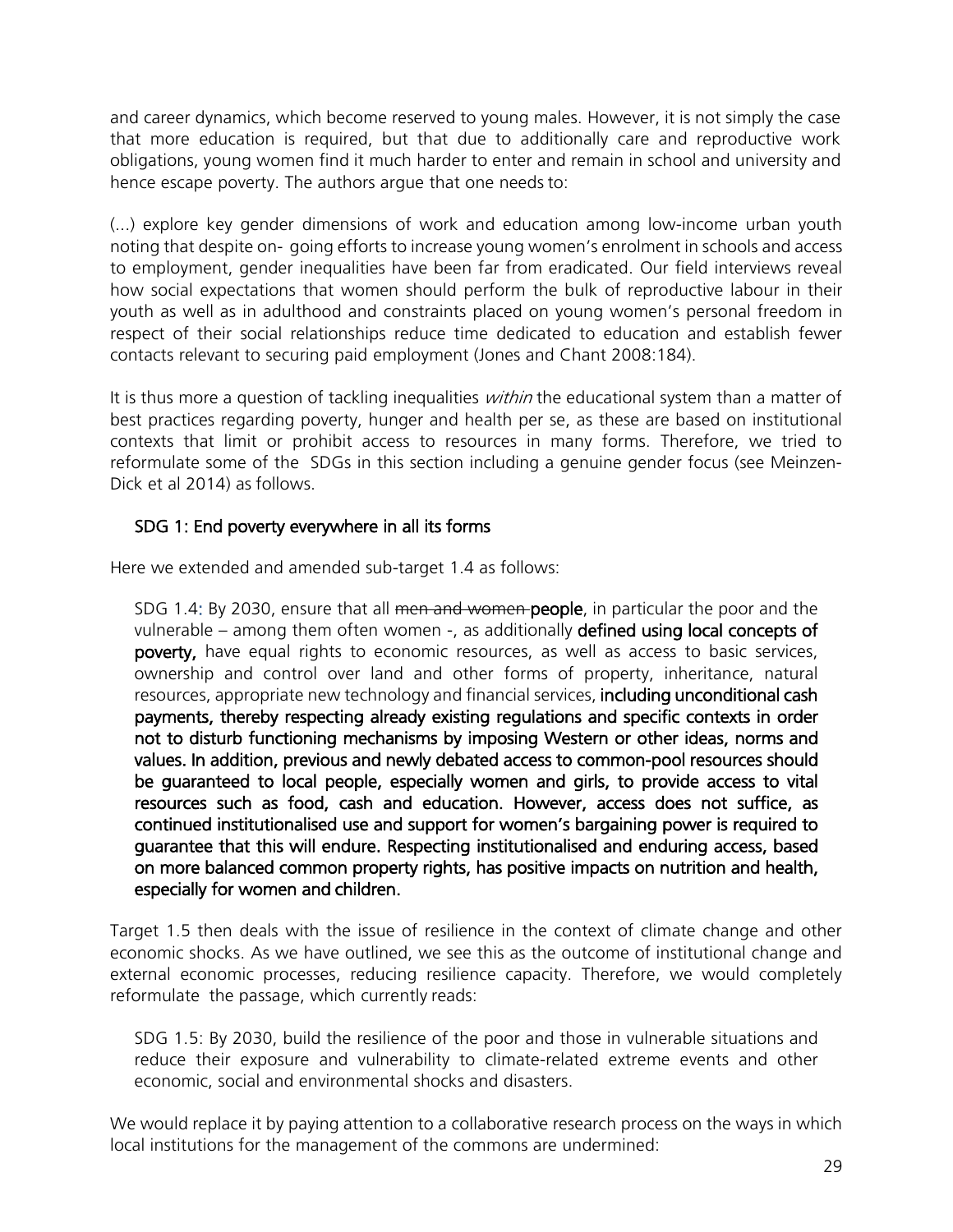and career dynamics, which become reserved to young males. However, it is not simply the case that more education is required, but that due to additionally care and reproductive work obligations, young women find it much harder to enter and remain in school and university and hence escape poverty. The authors argue that one needs to:

(...) explore key gender dimensions of work and education among low-income urban youth noting that despite on- going efforts to increase young women's enrolment in schools and access to employment, gender inequalities have been far from eradicated. Our field interviews reveal how social expectations that women should perform the bulk of reproductive labour in their youth as well as in adulthood and constraints placed on young women's personal freedom in respect of their social relationships reduce time dedicated to education and establish fewer contacts relevant to securing paid employment (Jones and Chant 2008:184).

It is thus more a question of tackling inequalities *within* the educational system than a matter of best practices regarding poverty, hunger and health per se, as these are based on institutional contexts that limit or prohibit access to resources in many forms. Therefore, we tried to reformulate some of the SDGs in this section including a genuine gender focus (see Meinzen-Dick et al 2014) as follows.

#### SDG 1: End poverty everywhere in all its forms

Here we extended and amended sub-target 1.4 as follows:

SDG 1.4: By 2030, ensure that all men and women-people, in particular the poor and the vulnerable – among them often women -, as additionally defined using local concepts of poverty, have equal rights to economic resources, as well as access to basic services, ownership and control over land and other forms of property, inheritance, natural resources, appropriate new technology and financial services, including unconditional cash payments, thereby respecting already existing regulations and specific contexts in order not to disturb functioning mechanisms by imposing Western or other ideas, norms and values. In addition, previous and newly debated access to common-pool resources should be guaranteed to local people, especially women and girls, to provide access to vital resources such as food, cash and education. However, access does not suffice, as continued institutionalised use and support for women's bargaining power is required to guarantee that this will endure. Respecting institutionalised and enduring access, based on more balanced common property rights, has positive impacts on nutrition and health, especially for women and children.

Target 1.5 then deals with the issue of resilience in the context of climate change and other economic shocks. As we have outlined, we see this as the outcome of institutional change and external economic processes, reducing resilience capacity. Therefore, we would completely reformulate the passage, which currently reads:

SDG 1.5: By 2030, build the resilience of the poor and those in vulnerable situations and reduce their exposure and vulnerability to climate-related extreme events and other economic, social and environmental shocks and disasters.

We would replace it by paying attention to a collaborative research process on the ways in which local institutions for the management of the commons are undermined: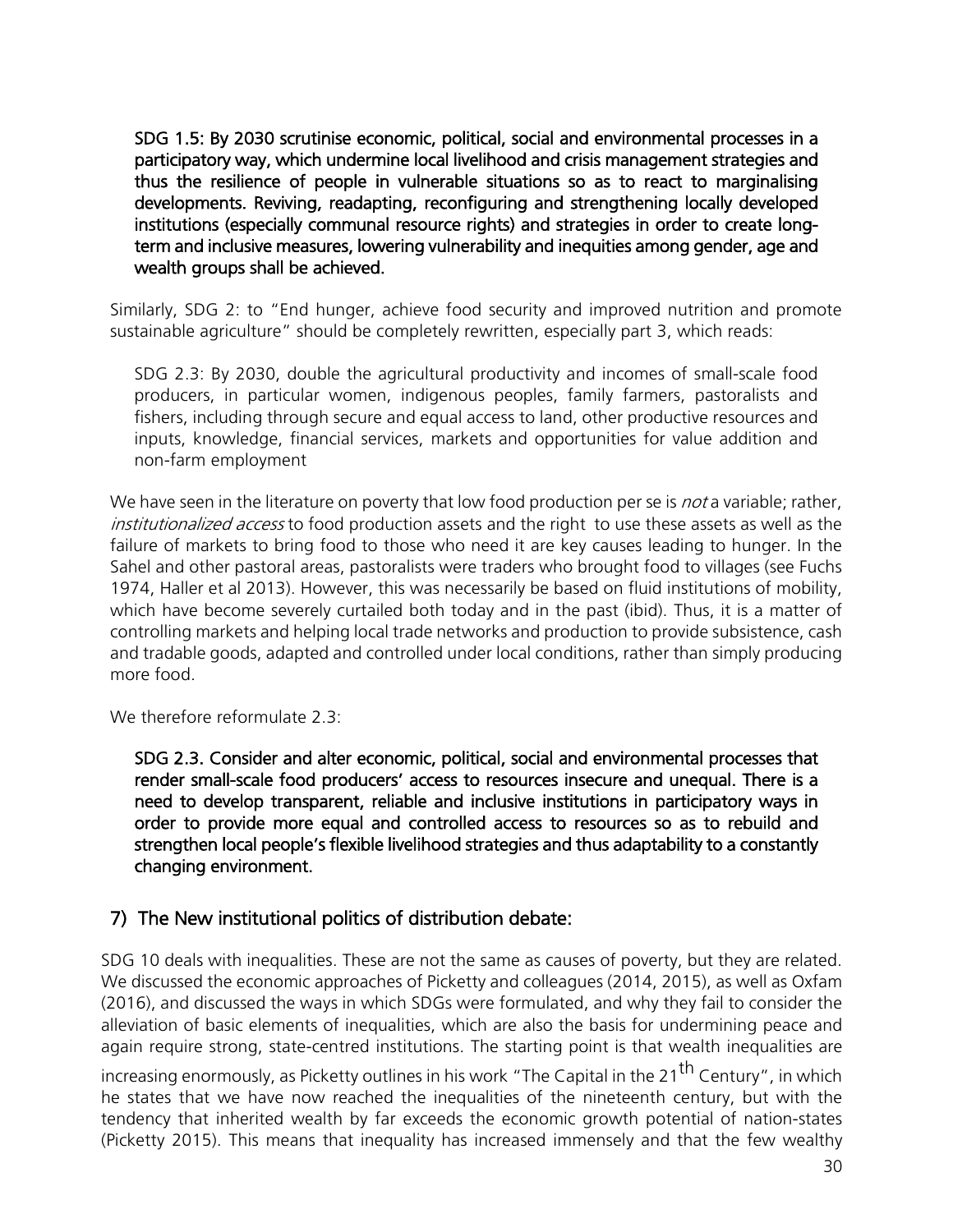SDG 1.5: By 2030 scrutinise economic, political, social and environmental processes in a participatory way, which undermine local livelihood and crisis management strategies and thus the resilience of people in vulnerable situations so as to react to marginalising developments. Reviving, readapting, reconfiguring and strengthening locally developed institutions (especially communal resource rights) and strategies in order to create longterm and inclusive measures, lowering vulnerability and inequities among gender, age and wealth groups shall be achieved.

Similarly, SDG 2: to "End hunger, achieve food security and improved nutrition and promote sustainable agriculture" should be completely rewritten, especially part 3, which reads:

SDG 2.3: By 2030, double the agricultural productivity and incomes of small-scale food producers, in particular women, indigenous peoples, family farmers, pastoralists and fishers, including through secure and equal access to land, other productive resources and inputs, knowledge, financial services, markets and opportunities for value addition and non-farm employment

We have seen in the literature on poverty that low food production per se is *not* a variable; rather, institutionalized access to food production assets and the right to use these assets as well as the failure of markets to bring food to those who need it are key causes leading to hunger. In the Sahel and other pastoral areas, pastoralists were traders who brought food to villages (see Fuchs 1974, Haller et al 2013). However, this was necessarily be based on fluid institutions of mobility, which have become severely curtailed both today and in the past (ibid). Thus, it is a matter of controlling markets and helping local trade networks and production to provide subsistence, cash and tradable goods, adapted and controlled under local conditions, rather than simply producing more food.

We therefore reformulate 2.3:

SDG 2.3. Consider and alter economic, political, social and environmental processes that render small-scale food producers' access to resources insecure and unequal. There is a need to develop transparent, reliable and inclusive institutions in participatory ways in order to provide more equal and controlled access to resources so as to rebuild and strengthen local people's flexible livelihood strategies and thus adaptability to a constantly changing environment.

## 7) The New institutional politics of distribution debate:

SDG 10 deals with inequalities. These are not the same as causes of poverty, but they are related. We discussed the economic approaches of Picketty and colleagues (2014, 2015), as well as Oxfam (2016), and discussed the ways in which SDGs were formulated, and why they fail to consider the alleviation of basic elements of inequalities, which are also the basis for undermining peace and again require strong, state-centred institutions. The starting point is that wealth inequalities are

increasing enormously, as Picketty outlines in his work "The Capital in the 21<sup>th</sup> Century", in which he states that we have now reached the inequalities of the nineteenth century, but with the tendency that inherited wealth by far exceeds the economic growth potential of nation-states (Picketty 2015). This means that inequality has increased immensely and that the few wealthy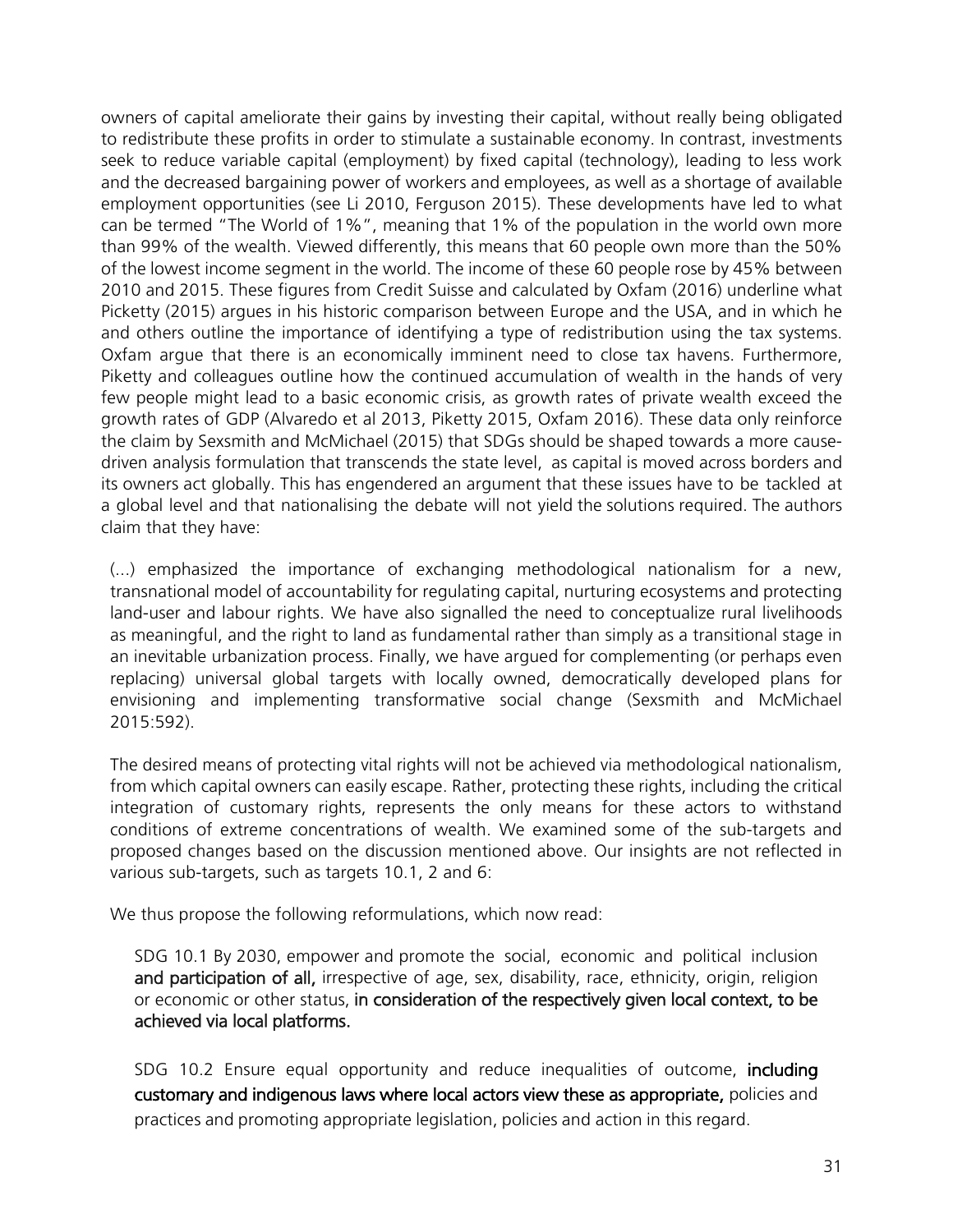owners of capital ameliorate their gains by investing their capital, without really being obligated to redistribute these profits in order to stimulate a sustainable economy. In contrast, investments seek to reduce variable capital (employment) by fixed capital (technology), leading to less work and the decreased bargaining power of workers and employees, as well as a shortage of available employment opportunities (see Li 2010, Ferguson 2015). These developments have led to what can be termed "The World of 1%", meaning that 1% of the population in the world own more than 99% of the wealth. Viewed differently, this means that 60 people own more than the 50% of the lowest income segment in the world. The income of these 60 people rose by 45% between 2010 and 2015. These figures from Credit Suisse and calculated by Oxfam (2016) underline what Picketty (2015) argues in his historic comparison between Europe and the USA, and in which he and others outline the importance of identifying a type of redistribution using the tax systems. Oxfam argue that there is an economically imminent need to close tax havens. Furthermore, Piketty and colleagues outline how the continued accumulation of wealth in the hands of very few people might lead to a basic economic crisis, as growth rates of private wealth exceed the growth rates of GDP (Alvaredo et al 2013, Piketty 2015, Oxfam 2016). These data only reinforce the claim by Sexsmith and McMichael (2015) that SDGs should be shaped towards a more causedriven analysis formulation that transcends the state level, as capital is moved across borders and its owners act globally. This has engendered an argument that these issues have to be tackled at a global level and that nationalising the debate will not yield the solutions required. The authors claim that they have:

(...) emphasized the importance of exchanging methodological nationalism for a new, transnational model of accountability for regulating capital, nurturing ecosystems and protecting land-user and labour rights. We have also signalled the need to conceptualize rural livelihoods as meaningful, and the right to land as fundamental rather than simply as a transitional stage in an inevitable urbanization process. Finally, we have argued for complementing (or perhaps even replacing) universal global targets with locally owned, democratically developed plans for envisioning and implementing transformative social change (Sexsmith and McMichael 2015:592).

The desired means of protecting vital rights will not be achieved via methodological nationalism, from which capital owners can easily escape. Rather, protecting these rights, including the critical integration of customary rights, represents the only means for these actors to withstand conditions of extreme concentrations of wealth. We examined some of the sub-targets and proposed changes based on the discussion mentioned above. Our insights are not reflected in various sub-targets, such as targets 10.1, 2 and 6:

We thus propose the following reformulations, which now read:

SDG 10.1 By 2030, empower and promote the social, economic and political inclusion and participation of all, irrespective of age, sex, disability, race, ethnicity, origin, religion or economic or other status, in consideration of the respectively given local context, to be achieved via local platforms.

SDG 10.2 Ensure equal opportunity and reduce inequalities of outcome, including customary and indigenous laws where local actors view these as appropriate, policies and practices and promoting appropriate legislation, policies and action in this regard.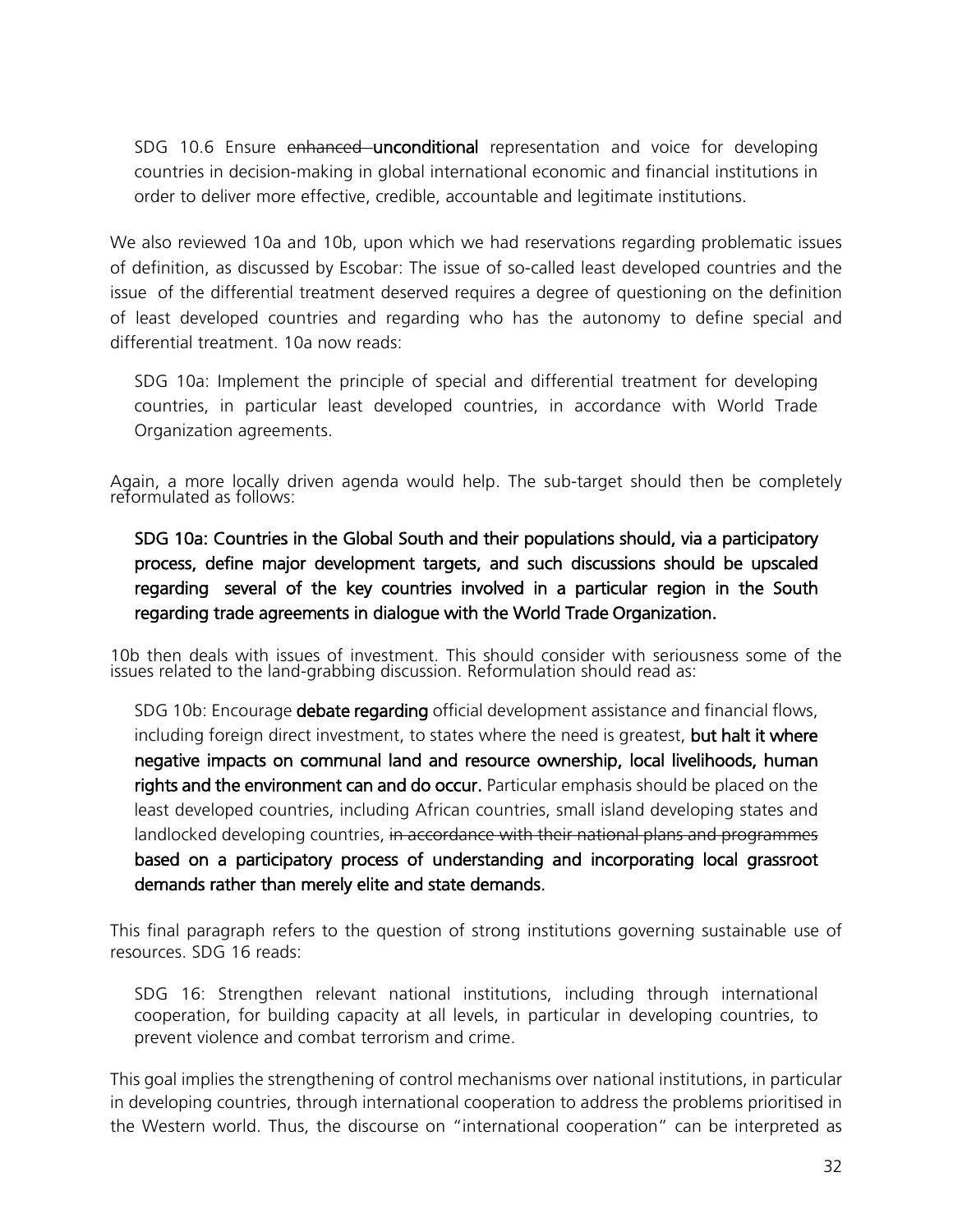SDG 10.6 Ensure enhanced unconditional representation and voice for developing countries in decision-making in global international economic and financial institutions in order to deliver more effective, credible, accountable and legitimate institutions.

We also reviewed 10a and 10b, upon which we had reservations regarding problematic issues of definition, as discussed by Escobar: The issue of so-called least developed countries and the issue of the differential treatment deserved requires a degree of questioning on the definition of least developed countries and regarding who has the autonomy to define special and differential treatment. 10a now reads:

SDG 10a: Implement the principle of special and differential treatment for developing countries, in particular least developed countries, in accordance with World Trade Organization agreements.

Again, a more locally driven agenda would help. The sub-target should then be completely reformulated as follows:

SDG 10a: Countries in the Global South and their populations should, via a participatory process, define major development targets, and such discussions should be upscaled regarding several of the key countries involved in a particular region in the South regarding trade agreements in dialogue with the World Trade Organization.

10b then deals with issues of investment. This should consider with seriousness some of the issues related to the land-grabbing discussion. Reformulation should read as:

SDG 10b: Encourage debate regarding official development assistance and financial flows, including foreign direct investment, to states where the need is greatest, but halt it where negative impacts on communal land and resource ownership, local livelihoods, human rights and the environment can and do occur. Particular emphasis should be placed on the least developed countries, including African countries, small island developing states and landlocked developing countries, in accordance with their national plans and programmes based on a participatory process of understanding and incorporating local grassroot demands rather than merely elite and state demands.

This final paragraph refers to the question of strong institutions governing sustainable use of resources. SDG 16 reads:

SDG 16: Strengthen relevant national institutions, including through international cooperation, for building capacity at all levels, in particular in developing countries, to prevent violence and combat terrorism and crime.

This goal implies the strengthening of control mechanisms over national institutions, in particular in developing countries, through international cooperation to address the problems prioritised in the Western world. Thus, the discourse on "international cooperation" can be interpreted as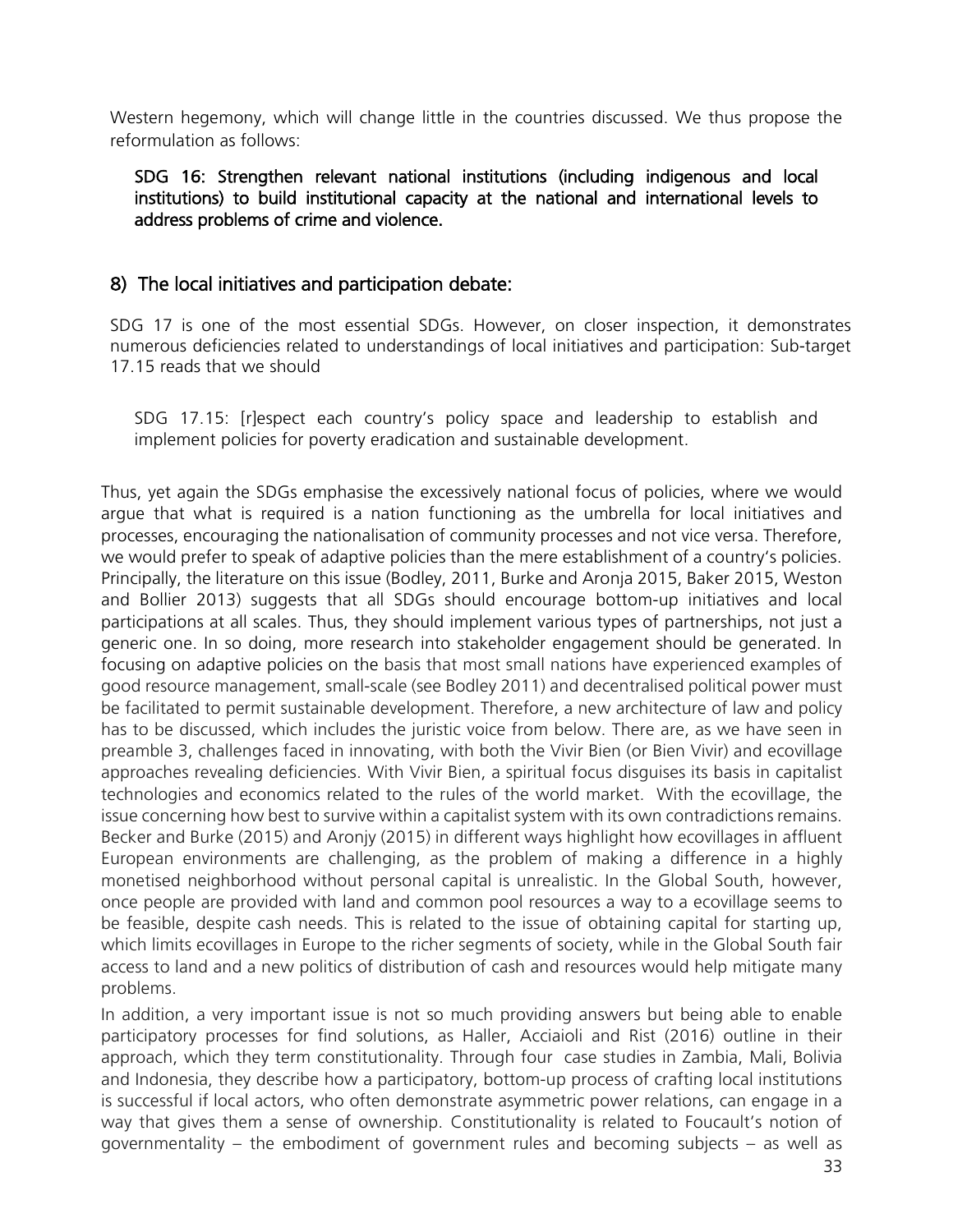Western hegemony, which will change little in the countries discussed. We thus propose the reformulation as follows:

SDG 16: Strengthen relevant national institutions (including indigenous and local institutions) to build institutional capacity at the national and international levels to address problems of crime and violence.

## 8) The local initiatives and participation debate:

SDG 17 is one of the most essential SDGs. However, on closer inspection, it demonstrates numerous deficiencies related to understandings of local initiatives and participation: Sub-target 17.15 reads that we should

SDG 17.15: [r]espect each country's policy space and leadership to establish and implement policies for poverty eradication and sustainable development.

Thus, yet again the SDGs emphasise the excessively national focus of policies, where we would argue that what is required is a nation functioning as the umbrella for local initiatives and processes, encouraging the nationalisation of community processes and not vice versa. Therefore, we would prefer to speak of adaptive policies than the mere establishment of a country's policies. Principally, the literature on this issue (Bodley, 2011, Burke and Aronja 2015, Baker 2015, Weston and Bollier 2013) suggests that all SDGs should encourage bottom-up initiatives and local participations at all scales. Thus, they should implement various types of partnerships, not just a generic one. In so doing, more research into stakeholder engagement should be generated. In focusing on adaptive policies on the basis that most small nations have experienced examples of good resource management, small-scale (see Bodley 2011) and decentralised political power must be facilitated to permit sustainable development. Therefore, a new architecture of law and policy has to be discussed, which includes the juristic voice from below. There are, as we have seen in preamble 3, challenges faced in innovating, with both the Vivir Bien (or Bien Vivir) and ecovillage approaches revealing deficiencies. With Vivir Bien, a spiritual focus disguises its basis in capitalist technologies and economics related to the rules of the world market. With the ecovillage, the issue concerning how best to survive within a capitalist system with its own contradictions remains. Becker and Burke (2015) and Aronjy (2015) in different ways highlight how ecovillages in affluent European environments are challenging, as the problem of making a difference in a highly monetised neighborhood without personal capital is unrealistic. In the Global South, however, once people are provided with land and common pool resources a way to a ecovillage seems to be feasible, despite cash needs. This is related to the issue of obtaining capital for starting up, which limits ecovillages in Europe to the richer segments of society, while in the Global South fair access to land and a new politics of distribution of cash and resources would help mitigate many problems.

In addition, a very important issue is not so much providing answers but being able to enable participatory processes for find solutions, as Haller, Acciaioli and Rist (2016) outline in their approach, which they term constitutionality. Through four case studies in Zambia, Mali, Bolivia and Indonesia, they describe how a participatory, bottom-up process of crafting local institutions is successful if local actors, who often demonstrate asymmetric power relations, can engage in a way that gives them a sense of ownership. Constitutionality is related to Foucault's notion of governmentality – the embodiment of government rules and becoming subjects – as well as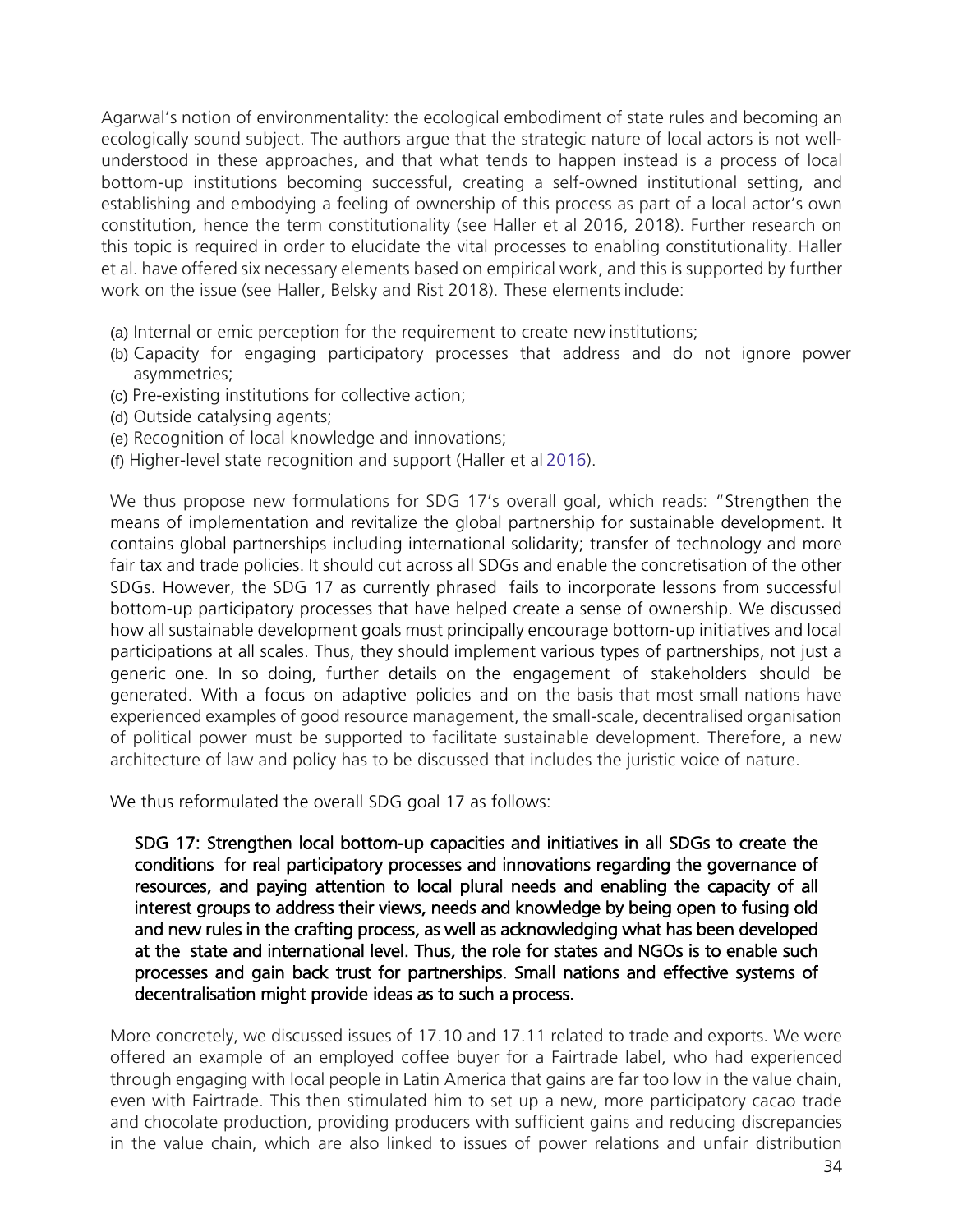Agarwal's notion of environmentality: the ecological embodiment of state rules and becoming an ecologically sound subject. The authors argue that the strategic nature of local actors is not wellunderstood in these approaches, and that what tends to happen instead is a process of local bottom-up institutions becoming successful, creating a self-owned institutional setting, and establishing and embodying a feeling of ownership of this process as part of a local actor's own constitution, hence the term constitutionality (see Haller et al 2016, 2018). Further research on this topic is required in order to elucidate the vital processes to enabling constitutionality. Haller et al. have offered six necessary elements based on empirical work, and this is supported by further work on the issue (see Haller, Belsky and Rist 2018). These elementsinclude:

- (a) Internal or emic perception for the requirement to create new institutions;
- (b) Capacity for engaging participatory processes that address and do not ignore power asymmetries;
- (c) Pre-existing institutions for collective action;
- (d) Outside catalysing agents;
- (e) Recognition of local knowledge and innovations;
- (f) Higher-level state recognition and support (Haller et al 2016).

We thus propose new formulations for SDG 17's overall goal, which reads: "Strengthen the means of implementation and revitalize the global partnership for sustainable development. It contains global partnerships including international solidarity; transfer of technology and more fair tax and trade policies. It should cut across all SDGs and enable the concretisation of the other SDGs. However, the SDG 17 as currently phrased fails to incorporate lessons from successful bottom-up participatory processes that have helped create a sense of ownership. We discussed how all sustainable development goals must principally encourage bottom-up initiatives and local participations at all scales. Thus, they should implement various types of partnerships, not just a generic one. In so doing, further details on the engagement of stakeholders should be generated. With a focus on adaptive policies and on the basis that most small nations have experienced examples of good resource management, the small-scale, decentralised organisation of political power must be supported to facilitate sustainable development. Therefore, a new architecture of law and policy has to be discussed that includes the juristic voice of nature.

We thus reformulated the overall SDG goal 17 as follows:

SDG 17: Strengthen local bottom-up capacities and initiatives in all SDGs to create the conditions for real participatory processes and innovations regarding the governance of resources, and paying attention to local plural needs and enabling the capacity of all interest groups to address their views, needs and knowledge by being open to fusing old and new rules in the crafting process, as well as acknowledging what has been developed at the state and international level. Thus, the role for states and NGOs is to enable such processes and gain back trust for partnerships. Small nations and effective systems of decentralisation might provide ideas as to such a process.

More concretely, we discussed issues of 17.10 and 17.11 related to trade and exports. We were offered an example of an employed coffee buyer for a Fairtrade label, who had experienced through engaging with local people in Latin America that gains are far too low in the value chain, even with Fairtrade. This then stimulated him to set up a new, more participatory cacao trade and chocolate production, providing producers with sufficient gains and reducing discrepancies in the value chain, which are also linked to issues of power relations and unfair distribution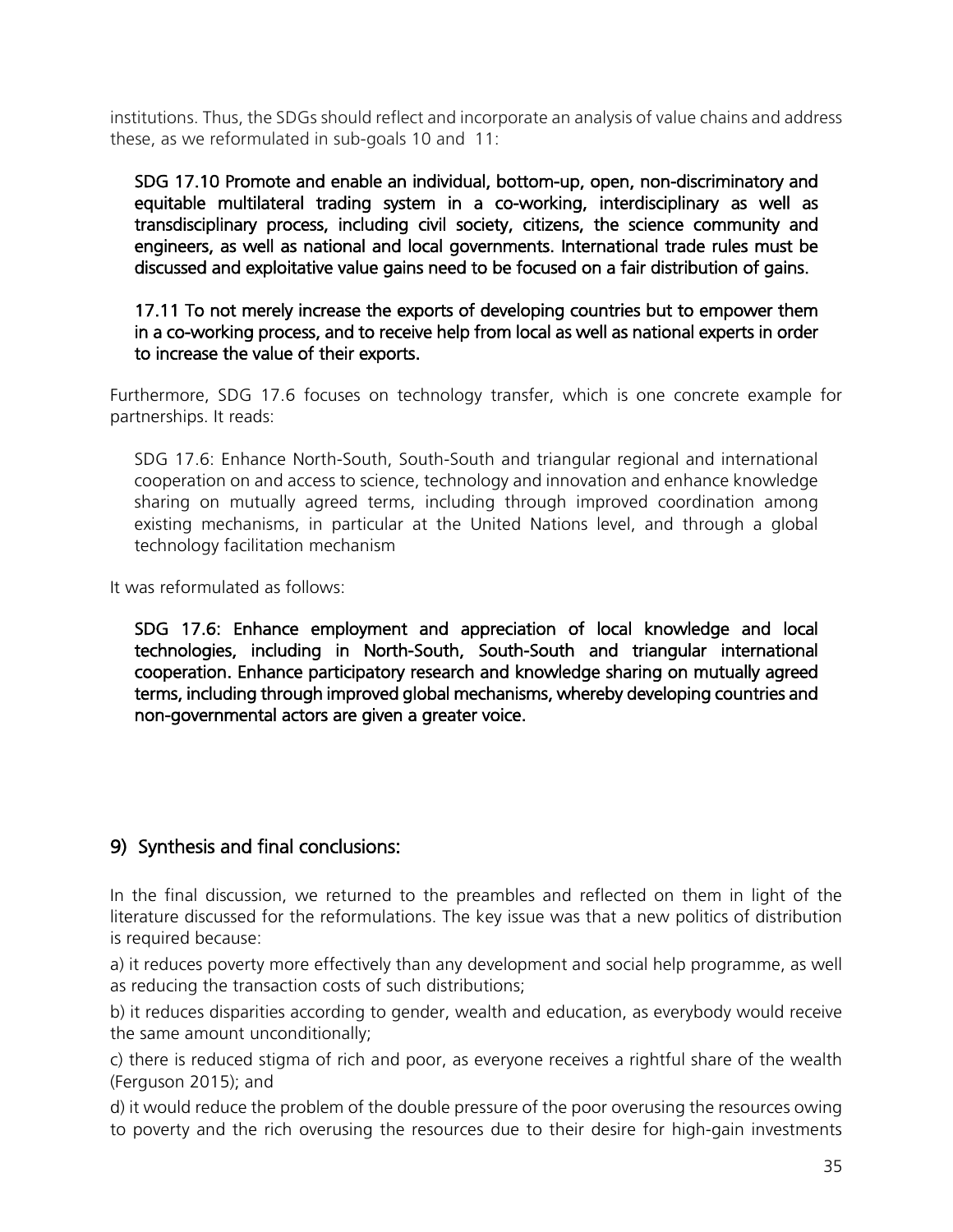institutions. Thus, the SDGs should reflect and incorporate an analysis of value chains and address these, as we reformulated in sub-goals 10 and 11:

SDG 17.10 Promote and enable an individual, bottom-up, open, non-discriminatory and equitable multilateral trading system in a co-working, interdisciplinary as well as transdisciplinary process, including civil society, citizens, the science community and engineers, as well as national and local governments. International trade rules must be discussed and exploitative value gains need to be focused on a fair distribution of gains.

17.11 To not merely increase the exports of developing countries but to empower them in a co-working process, and to receive help from local as well as national experts in order to increase the value of their exports.

Furthermore, SDG 17.6 focuses on technology transfer, which is one concrete example for partnerships. It reads:

SDG 17.6: Enhance North-South, South-South and triangular regional and international cooperation on and access to science, technology and innovation and enhance knowledge sharing on mutually agreed terms, including through improved coordination among existing mechanisms, in particular at the United Nations level, and through a global technology facilitation mechanism

It was reformulated as follows:

SDG 17.6: Enhance employment and appreciation of local knowledge and local technologies, including in North-South, South-South and triangular international cooperation. Enhance participatory research and knowledge sharing on mutually agreed terms, including through improved global mechanisms, whereby developing countries and non-governmental actors are given a greater voice.

## 9) Synthesis and final conclusions:

In the final discussion, we returned to the preambles and reflected on them in light of the literature discussed for the reformulations. The key issue was that a new politics of distribution is required because:

a) it reduces poverty more effectively than any development and social help programme, as well as reducing the transaction costs of such distributions;

b) it reduces disparities according to gender, wealth and education, as everybody would receive the same amount unconditionally;

c) there is reduced stigma of rich and poor, as everyone receives a rightful share of the wealth (Ferguson 2015); and

d) it would reduce the problem of the double pressure of the poor overusing the resources owing to poverty and the rich overusing the resources due to their desire for high-gain investments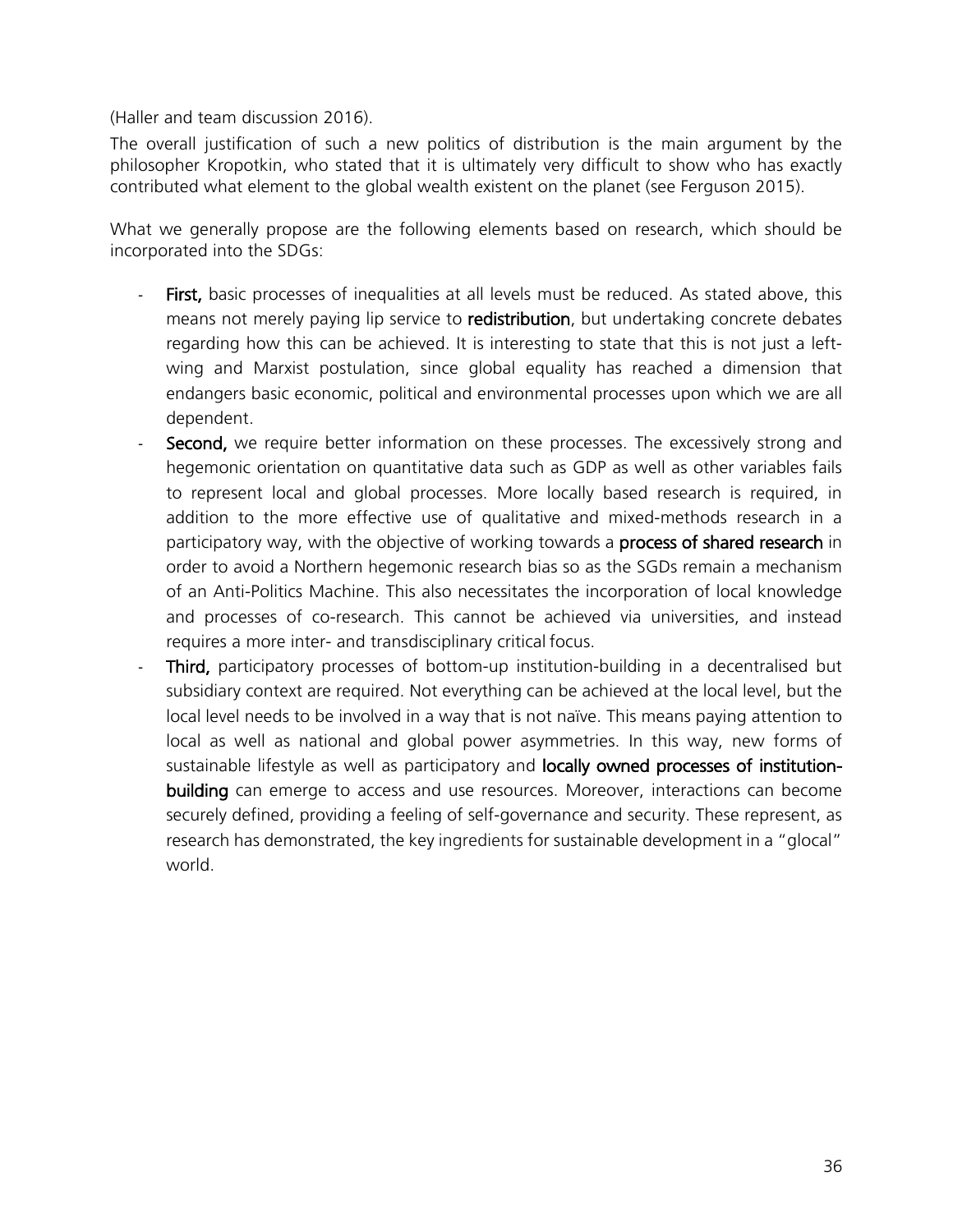(Haller and team discussion 2016).

The overall justification of such a new politics of distribution is the main argument by the philosopher Kropotkin, who stated that it is ultimately very difficult to show who has exactly contributed what element to the global wealth existent on the planet (see Ferguson 2015).

What we generally propose are the following elements based on research, which should be incorporated into the SDGs:

- First, basic processes of inequalities at all levels must be reduced. As stated above, this means not merely paying lip service to **redistribution**, but undertaking concrete debates regarding how this can be achieved. It is interesting to state that this is not just a leftwing and Marxist postulation, since global equality has reached a dimension that endangers basic economic, political and environmental processes upon which we are all dependent.
- Second, we require better information on these processes. The excessively strong and hegemonic orientation on quantitative data such as GDP as well as other variables fails to represent local and global processes. More locally based research is required, in addition to the more effective use of qualitative and mixed-methods research in a participatory way, with the objective of working towards a **process of shared research** in order to avoid a Northern hegemonic research bias so as the SGDs remain a mechanism of an Anti-Politics Machine. This also necessitates the incorporation of local knowledge and processes of co-research. This cannot be achieved via universities, and instead requires a more inter- and transdisciplinary critical focus.
	- Third, participatory processes of bottom-up institution-building in a decentralised but subsidiary context are required. Not everything can be achieved at the local level, but the local level needs to be involved in a way that is not naïve. This means paying attention to local as well as national and global power asymmetries. In this way, new forms of sustainable lifestyle as well as participatory and locally owned processes of institutionbuilding can emerge to access and use resources. Moreover, interactions can become securely defined, providing a feeling of self-governance and security. These represent, as research has demonstrated, the key ingredients for sustainable development in a "glocal" world.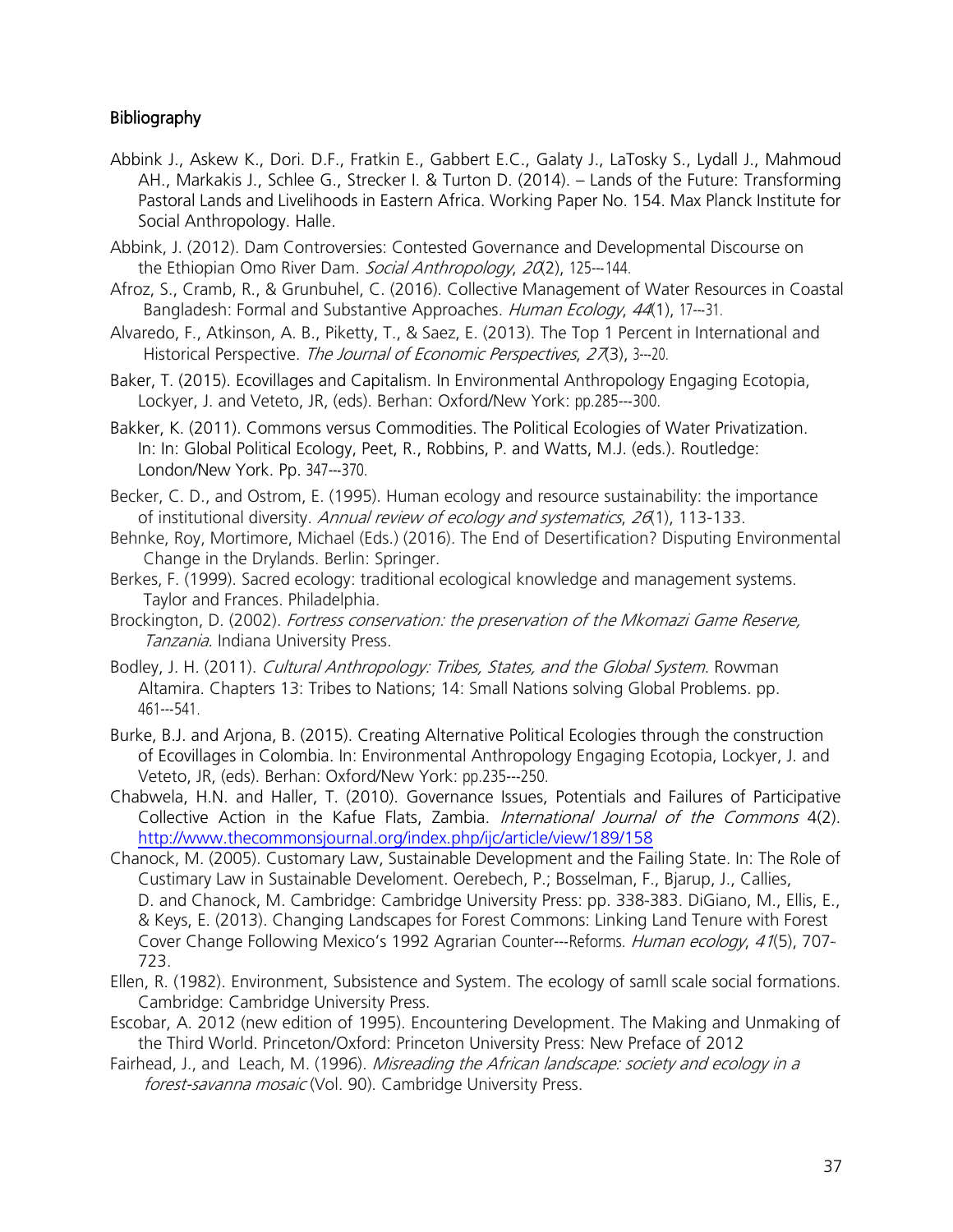#### **Bibliography**

- Abbink J., Askew K., Dori. D.F., Fratkin E., Gabbert E.C., Galaty J., LaTosky S., Lydall J., Mahmoud AH., Markakis J., Schlee G., Strecker I. & Turton D. (2014). – Lands of the Future: Transforming Pastoral Lands and Livelihoods in Eastern Africa. Working Paper No. 154. Max Planck Institute for Social Anthropology. Halle.
- Abbink, J. (2012). Dam Controversies: Contested Governance and Developmental Discourse on the Ethiopian Omo River Dam. Social Anthropology, 20(2), 125---144.
- Afroz, S., Cramb, R., & Grunbuhel, C. (2016). Collective Management of Water Resources in Coastal Bangladesh: Formal and Substantive Approaches. Human Ecology, 44(1), 17---31.
- Alvaredo, F., Atkinson, A. B., Piketty, T., & Saez, E. (2013). The Top 1 Percent in International and Historical Perspective. The Journal of Economic Perspectives, 27(3), 3---20.
- Baker, T. (2015). Ecovillages and Capitalism. In Environmental Anthropology Engaging Ecotopia, Lockyer, J. and Veteto, JR, (eds). Berhan: Oxford/New York: pp.285---300.
- Bakker, K. (2011). Commons versus Commodities. The Political Ecologies of Water Privatization. In: In: Global Political Ecology, Peet, R., Robbins, P. and Watts, M.J. (eds.). Routledge: London/New York. Pp. 347---370.
- Becker, C. D., and Ostrom, E. (1995). Human ecology and resource sustainability: the importance of institutional diversity. Annual review of ecology and systematics, 26(1), 113-133.
- Behnke, Roy, Mortimore, Michael (Eds.) (2016). The End of Desertification? Disputing Environmental Change in the Drylands. Berlin: Springer.
- Berkes, F. (1999). Sacred ecology: traditional ecological knowledge and management systems. Taylor and Frances. Philadelphia.
- Brockington, D. (2002). Fortress conservation: the preservation of the Mkomazi Game Reserve, Tanzania. Indiana University Press.
- Bodley, J. H. (2011). Cultural Anthropology: Tribes, States, and the Global System. Rowman Altamira. Chapters 13: Tribes to Nations; 14: Small Nations solving Global Problems. pp. 461-‐541.
- Burke, B.J. and Arjona, B. (2015). Creating Alternative Political Ecologies through the construction of Ecovillages in Colombia. In: Environmental Anthropology Engaging Ecotopia, Lockyer, J. and Veteto, JR, (eds). Berhan: Oxford/New York: pp.235-‐250.
- Chabwela, H.N. and Haller, T. (2010). Governance Issues, Potentials and Failures of Participative Collective Action in the Kafue Flats, Zambia. International Journal of the Commons 4(2). <http://www.thecommonsjournal.org/index.php/ijc/article/view/189/158>
- Chanock, M. (2005). Customary Law, Sustainable Development and the Failing State. In: The Role of Custimary Law in Sustainable Develoment. Oerebech, P.; Bosselman, F., Bjarup, J., Callies, D. and Chanock, M. Cambridge: Cambridge University Press: pp. 338-383. DiGiano, M., Ellis, E., & Keys, E. (2013). Changing Landscapes for Forest Commons: Linking Land Tenure with Forest Cover Change Following Mexico's 1992 Agrarian Counter-‐Reforms. Human ecology, 41(5), 707-‐ 723.
- Ellen, R. (1982). Environment, Subsistence and System. The ecology of samll scale social formations. Cambridge: Cambridge University Press.
- Escobar, A. 2012 (new edition of 1995). Encountering Development. The Making and Unmaking of the Third World. Princeton/Oxford: Princeton University Press: New Preface of 2012
- Fairhead, J., and Leach, M. (1996). Misreading the African landscape: society and ecology in a forest-savanna mosaic (Vol. 90). Cambridge University Press.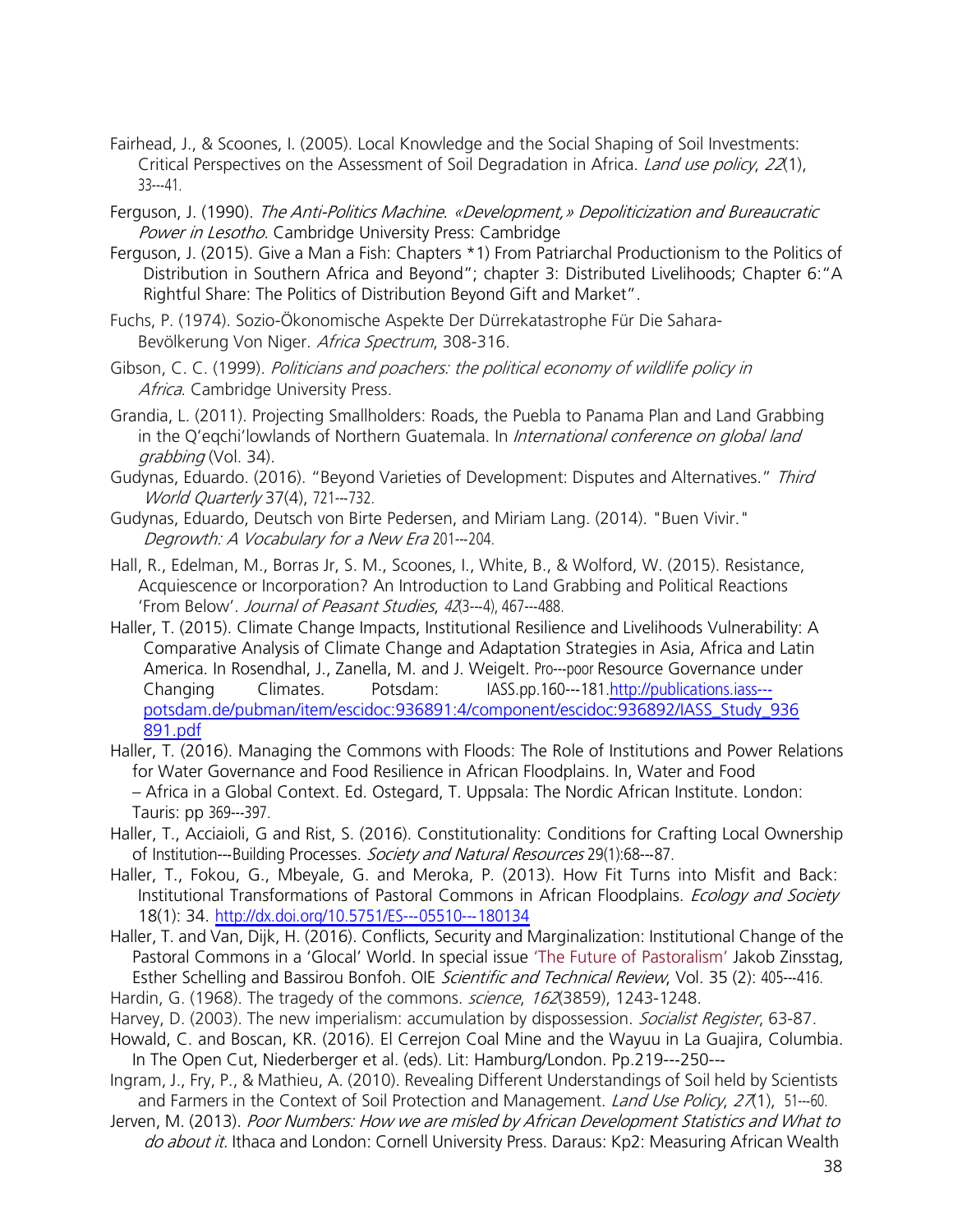- Fairhead, J., & Scoones, I. (2005). Local Knowledge and the Social Shaping of Soil Investments: Critical Perspectives on the Assessment of Soil Degradation in Africa. *Land use policy, 22*(1),  $33--41$ .
- Ferguson, J. (1990). The Anti-Politics Machine. «Development,» Depoliticization and Bureaucratic Power in Lesotho. Cambridge University Press: Cambridge
- Ferguson, J. (2015). Give a Man a Fish: Chapters \*1) From Patriarchal Productionism to the Politics of Distribution in Southern Africa and Beyond"; chapter 3: Distributed Livelihoods; Chapter 6:"A Rightful Share: The Politics of Distribution Beyond Gift and Market".
- Fuchs, P. (1974). Sozio-Ökonomische Aspekte Der Dürrekatastrophe Für Die Sahara-Bevölkerung Von Niger. Africa Spectrum, 308-316.
- Gibson, C. C. (1999). Politicians and poachers: the political economy of wildlife policy in Africa. Cambridge University Press.
- Grandia, L. (2011). Projecting Smallholders: Roads, the Puebla to Panama Plan and Land Grabbing in the Q'eqchi'lowlands of Northern Guatemala. In International conference on global land grabbing (Vol. 34).
- Gudynas, Eduardo. (2016). "Beyond Varieties of Development: Disputes and Alternatives." Third World Quarterly 37(4), 721---732.
- Gudynas, Eduardo, Deutsch von Birte Pedersen, and Miriam Lang. (2014). "Buen Vivir." Degrowth: A Vocabulary for a New Era 201---204.
- Hall, R., Edelman, M., Borras Jr, S. M., Scoones, I., White, B., & Wolford, W. (2015). Resistance, Acquiescence or Incorporation? An Introduction to Land Grabbing and Political Reactions 'From Below'. Journal of Peasant Studies, 42(3---4), 467---488.
- Haller, T. (2015). Climate Change Impacts, Institutional Resilience and Livelihoods Vulnerability: A Comparative Analysis of Climate Change and Adaptation Strategies in Asia, Africa and Latin America. In Rosendhal, J., Zanella, M. and J. Weigelt. Pro---poor Resource Governance under<br>Changing Climates. Potsdam: JASS.pp.160---181.http://publications.jass---Changing Climates. Potsdam: IASS.pp.160-‐181[.http://publications.iass-](http://publications.iass-/)‐ potsdam.de/pubman/item/escidoc:936891:4/component/escidoc:936892/IASS\_Study\_936 891.pdf
- Haller, T. (2016). Managing the Commons with Floods: The Role of Institutions and Power Relations for Water Governance and Food Resilience in African Floodplains. In, Water and Food – Africa in a Global Context. Ed. Ostegard, T. Uppsala: The Nordic African Institute. London: Tauris: pp 369-‐397.
- Haller, T., Acciaioli, G and Rist, S. (2016). Constitutionality: Conditions for Crafting Local Ownership of Institution---Building Processes. Society and Natural Resources 29(1):68---87.
- Haller, T., Fokou, G., Mbeyale, G. and Meroka, P. (2013). How Fit Turns into Misfit and Back: Institutional Transformations of Pastoral Commons in African Floodplains. *Ecology and Society* 18(1): 34. <http://dx.doi.org/10.5751/ES->--05510---180134
- Haller, T. and Van, Dijk, H. (2016). Conflicts, Security and Marginalization: Institutional Change of the Pastoral Commons in a 'Glocal' World. In special issue 'The Future of Pastoralism' Jakob Zinsstag, Esther Schelling and Bassirou Bonfoh. OIE Scientific and Technical Review, Vol. 35 (2): 405---416.
- Hardin, G. (1968). The tragedy of the commons. *science, 162*(3859), 1243-1248.
- Harvey, D. (2003). The new imperialism: accumulation by dispossession. Socialist Register, 63-87.
- Howald, C. and Boscan, KR. (2016). El Cerrejon Coal Mine and the Wayuu in La Guajira, Columbia. In The Open Cut, Niederberger et al. (eds). Lit: Hamburg/London. Pp.219---250---
- Ingram, J., Fry, P., & Mathieu, A. (2010). Revealing Different Understandings of Soil held by Scientists and Farmers in the Context of Soil Protection and Management. Land Use Policy, 27(1), 51---60.
- Jerven, M. (2013). Poor Numbers: How we are misled by African Development Statistics and What to do about it. Ithaca and London: Cornell University Press. Daraus: Kp2: Measuring African Wealth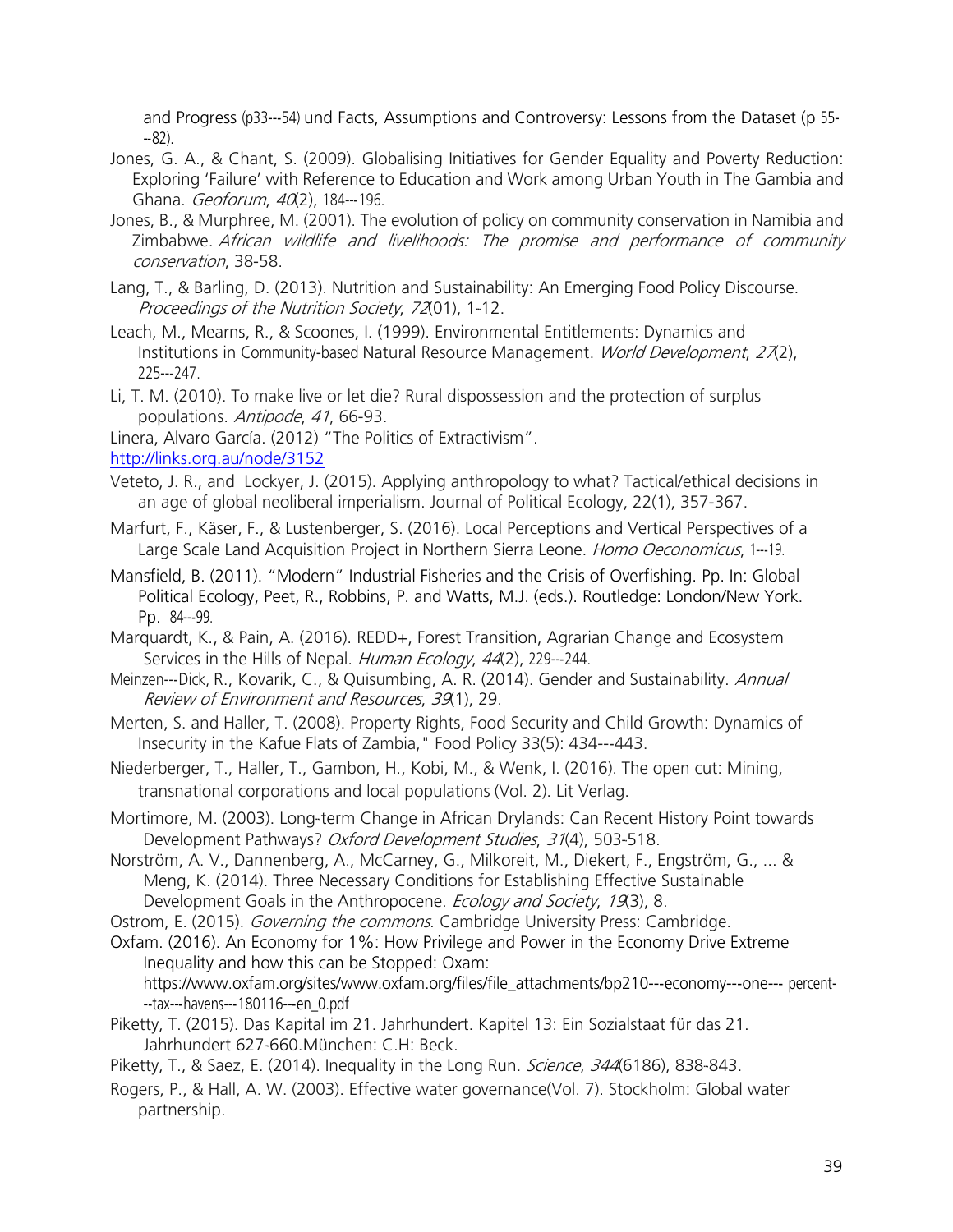and Progress (p33-‐54) und Facts, Assumptions and Controversy: Lessons from the Dataset (p 55- ‐82).

- Jones, G. A., & Chant, S. (2009). Globalising Initiatives for Gender Equality and Poverty Reduction: Exploring 'Failure' with Reference to Education and Work among Urban Youth in The Gambia and Ghana. Geoforum, 40(2), 184---196.
- Jones, B., & Murphree, M. (2001). The evolution of policy on community conservation in Namibia and Zimbabwe. African wildlife and livelihoods: The promise and performance of community conservation, 38-58.
- Lang, T., & Barling, D. (2013). Nutrition and Sustainability: An Emerging Food Policy Discourse. Proceedings of the Nutrition Society, 72(01), 1-‐12.
- Leach, M., Mearns, R., & Scoones, I. (1999). Environmental Entitlements: Dynamics and Institutions in Community-based Natural Resource Management. World Development, 27(2), 225-‐247.
- Li, T. M. (2010). To make live or let die? Rural dispossession and the protection of surplus populations. Antipode, 41, 66-93.

Linera, Alvaro García. (2012) "The Politics of Extractivism".

<http://links.org.au/node/3152>

- Veteto, J. R., and Lockyer, J. (2015). Applying anthropology to what? Tactical/ethical decisions in an age of global neoliberal imperialism. Journal of Political Ecology, 22(1), 357-367.
- Marfurt, F., Käser, F., & Lustenberger, S. (2016). Local Perceptions and Vertical Perspectives of a Large Scale Land Acquisition Project in Northern Sierra Leone. Homo Oeconomicus, 1---19.
- Mansfield, B. (2011). "Modern" Industrial Fisheries and the Crisis of Overfishing. Pp. In: Global Political Ecology, Peet, R., Robbins, P. and Watts, M.J. (eds.). Routledge: London/New York. Pp. 84---99.
- Marquardt, K., & Pain, A. (2016). REDD+, Forest Transition, Agrarian Change and Ecosystem Services in the Hills of Nepal. Human Ecology, 44(2), 229---244.
- Meinzen---Dick, R., Kovarik, C., & Quisumbing, A. R. (2014). Gender and Sustainability. Annual Review of Environment and Resources, 39(1), 29.
- Merten, S. and Haller, T. (2008). Property Rights, Food Security and Child Growth: Dynamics of Insecurity in the Kafue Flats of Zambia," Food Policy 33(5): 434---443.
- Niederberger, T., Haller, T., Gambon, H., Kobi, M., & Wenk, I. (2016). The open cut: Mining, transnational corporations and local populations (Vol. 2). Lit Verlag.
- Mortimore, M. (2003). Long-term Change in African Drylands: Can Recent History Point towards Development Pathways? Oxford Development Studies, 31(4), 503-518.
- Norström, A. V., Dannenberg, A., McCarney, G., Milkoreit, M., Diekert, F., Engström, G., ... & Meng, K. (2014). Three Necessary Conditions for Establishing Effective Sustainable Development Goals in the Anthropocene. Ecology and Society, 19(3), 8.

Ostrom, E. (2015). Governing the commons. Cambridge University Press: Cambridge.

Oxfam. (2016). An Economy for 1%: How Privilege and Power in the Economy Drive Extreme Inequality and how this can be Stopped: Oxam:

[https://www.oxfam.org/sites/www.oxfam.org/files/file\\_attachments/bp210-](http://www.oxfam.org/sites/www.oxfam.org/files/file_attachments/bp210-)--economy---one--- percent---tax---havens---180116---en\_0.pdf

Piketty, T. (2015). Das Kapital im 21. Jahrhundert. Kapitel 13: Ein Sozialstaat für das 21. Jahrhundert 627-660. München: C.H: Beck.

Piketty, T., & Saez, E. (2014). Inequality in the Long Run. Science, 344(6186), 838-843.

Rogers, P., & Hall, A. W. (2003). Effective water governance(Vol. 7). Stockholm: Global water partnership.